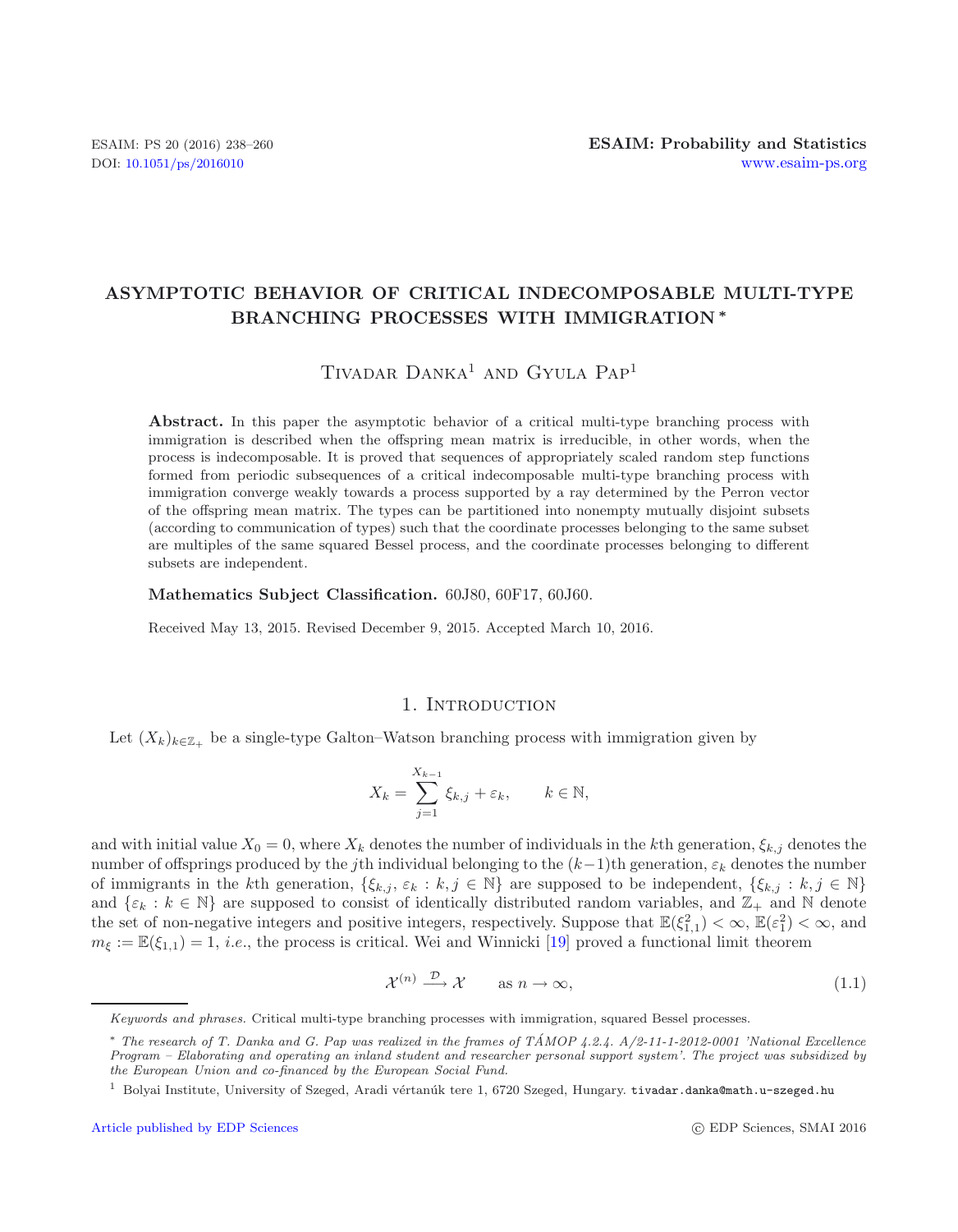# **ASYMPTOTIC BEHAVIOR OF CRITICAL INDECOMPOSABLE MULTI-TYPE BRANCHING PROCESSES WITH IMMIGRATION** *∗*

# TIVADAR DANKA<sup>1</sup> AND GYULA PAP<sup>1</sup>

Abstract. In this paper the asymptotic behavior of a critical multi-type branching process with immigration is described when the offspring mean matrix is irreducible, in other words, when the process is indecomposable. It is proved that sequences of appropriately scaled random step functions formed from periodic subsequences of a critical indecomposable multi-type branching process with immigration converge weakly towards a process supported by a ray determined by the Perron vector of the offspring mean matrix. The types can be partitioned into nonempty mutually disjoint subsets (according to communication of types) such that the coordinate processes belonging to the same subset are multiples of the same squared Bessel process, and the coordinate processes belonging to different subsets are independent.

### **Mathematics Subject Classification.** 60J80, 60F17, 60J60.

Received May 13, 2015. Revised December 9, 2015. Accepted March 10, 2016.

### <span id="page-0-0"></span>1. INTRODUCTION

Let  $(X_k)_{k \in \mathbb{Z}_+}$  be a single-type Galton–Watson branching process with immigration given by

$$
X_k = \sum_{j=1}^{X_{k-1}} \xi_{k,j} + \varepsilon_k, \qquad k \in \mathbb{N},
$$

and with initial value  $X_0 = 0$ , where  $X_k$  denotes the number of individuals in the kth generation,  $\xi_{k,j}$  denotes the number of offsprings produced by the jth individual belonging to the  $(k-1)$ th generation,  $\varepsilon_k$  denotes the number of immigrants in the kth generation,  $\{\xi_{k,j}, \varepsilon_k : k, j \in \mathbb{N}\}\$  are supposed to be independent,  $\{\xi_{k,j} : k, j \in \mathbb{N}\}\$ and  $\{\varepsilon_k : k \in \mathbb{N}\}\$  are supposed to consist of identically distributed random variables, and  $\mathbb{Z}_+$  and  $\mathbb{N}\$  denote the set of non-negative integers and positive integers, respectively. Suppose that  $\mathbb{E}(\xi_{1,1}^2) < \infty$ ,  $\mathbb{E}(\xi_1^2) < \infty$ , and  $m_{\xi} := \mathbb{E}(\xi_{1,1}) = 1$ , *i.e.*, the process is critical. Wei and Winnicki [\[19\]](#page-22-0) proved a functional limit theorem

$$
\mathcal{X}^{(n)} \xrightarrow{\mathcal{D}} \mathcal{X} \qquad \text{as } n \to \infty,
$$
\n(1.1)

*Keywords and phrases.* Critical multi-type branching processes with immigration, squared Bessel processes.

<sup>∗</sup> *The research of T. Danka and G. Pap was realized in the frames of TAMOP 4.2.4. A/2-11-1-2012-0001 'National Excellence ´ Program – Elaborating and operating an inland student and researcher personal support system'. The project was subsidized by the European Union and co-financed by the European Social Fund.*

 $^1$  Bolyai Institute, University of Szeged, Aradi vértanúk tere 1, 6720 Szeged, Hungary. tivadar.danka@math.u-szeged.hu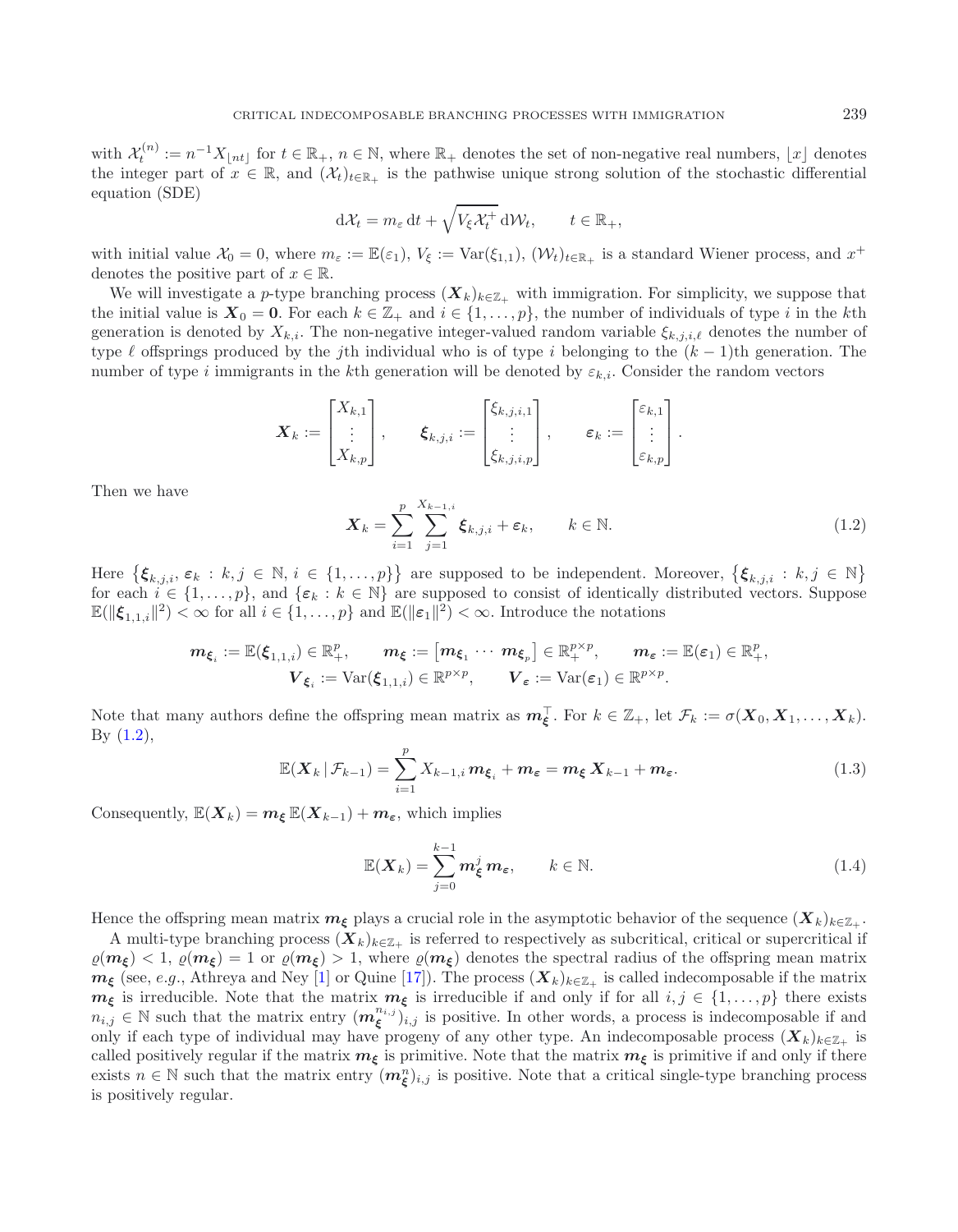with  $\mathcal{X}_t^{(n)} := n^{-1}X_{\lfloor nt \rfloor}$  for  $t \in \mathbb{R}_+$ ,  $n \in \mathbb{N}$ , where  $\mathbb{R}_+$  denotes the set of non-negative real numbers,  $\lfloor x \rfloor$  denotes the integer part of  $x \in \mathbb{R}$ , and  $(\mathcal{X}_t)_{t \in \mathbb{R}_+}$  is the pathwise unique strong solution of the stochastic differential equation (SDE)

$$
d\mathcal{X}_t = m_\varepsilon dt + \sqrt{V_\xi \mathcal{X}_t^+} d\mathcal{W}_t, \qquad t \in \mathbb{R}_+,
$$

<span id="page-1-0"></span>with initial value  $\mathcal{X}_0 = 0$ , where  $m_{\varepsilon} := \mathbb{E}(\varepsilon_1)$ ,  $V_{\xi} := \text{Var}(\xi_{1,1})$ ,  $(\mathcal{W}_t)_{t \in \mathbb{R}_+}$  is a standard Wiener process, and  $x^+$ denotes the positive part of  $x \in \mathbb{R}$ .

We will investigate a p-type branching process  $(X_k)_{k \in \mathbb{Z}_+}$  with immigration. For simplicity, we suppose that the initial value is  $X_0 = 0$ . For each  $k \in \mathbb{Z}_+$  and  $i \in \{1, \ldots, p\}$ , the number of individuals of type i in the kth generation is denoted by  $X_{k,i}$ . The non-negative integer-valued random variable  $\xi_{k,j,i,\ell}$  denotes the number of type  $\ell$  offsprings produced by the jth individual who is of type i belonging to the  $(k-1)$ th generation. The number of type i immigrants in the kth generation will be denoted by  $\varepsilon_{k,i}$ . Consider the random vectors

$$
\boldsymbol{X}_k := \begin{bmatrix} X_{k,1} \\ \vdots \\ X_{k,p} \end{bmatrix}, \qquad \boldsymbol{\xi}_{k,j,i} := \begin{bmatrix} \xi_{k,j,i,1} \\ \vdots \\ \xi_{k,j,i,p} \end{bmatrix}, \qquad \boldsymbol{\varepsilon}_k := \begin{bmatrix} \varepsilon_{k,1} \\ \vdots \\ \varepsilon_{k,p} \end{bmatrix}.
$$

<span id="page-1-2"></span>Then we have

<span id="page-1-1"></span>
$$
\boldsymbol{X}_k = \sum_{i=1}^p \sum_{j=1}^{X_{k-1,i}} \boldsymbol{\xi}_{k,j,i} + \boldsymbol{\varepsilon}_k, \qquad k \in \mathbb{N}.
$$
 (1.2)

Here  $\{\boldsymbol{\xi}_{k,j,i}, \boldsymbol{\varepsilon}_k : k,j \in \mathbb{N}, i \in \{1,\ldots,p\}\}\$ are supposed to be independent. Moreover,  $\{\boldsymbol{\xi}_{k,j,i} : k,j \in \mathbb{N}\}\$ for each  $i \in \{1,\ldots,p\}$ , and  $\{\varepsilon_k : k \in \mathbb{N}\}$  are supposed to consist of identically distributed vectors. Suppose  $\mathbb{E}(\|\boldsymbol{\xi}_{1,1,i}\|^2) < \infty$  for all  $i \in \{1,\ldots,p\}$  and  $\mathbb{E}(\|\boldsymbol{\varepsilon}_1\|^2) < \infty$ . Introduce the notations

$$
\mathbf{m}_{\boldsymbol{\xi}_i} := \mathbb{E}(\boldsymbol{\xi}_{1,1,i}) \in \mathbb{R}_+^p, \qquad \mathbf{m}_{\boldsymbol{\xi}} := \begin{bmatrix} \mathbf{m}_{\boldsymbol{\xi}_1} \cdots \ \mathbf{m}_{\boldsymbol{\xi}_p} \end{bmatrix} \in \mathbb{R}_+^{p \times p}, \qquad \mathbf{m}_{\boldsymbol{\varepsilon}} := \mathbb{E}(\boldsymbol{\varepsilon}_1) \in \mathbb{R}_+^p, \\ \mathbf{V}_{\boldsymbol{\xi}_i} := \mathrm{Var}(\boldsymbol{\xi}_{1,1,i}) \in \mathbb{R}^{p \times p}, \qquad \mathbf{V}_{\boldsymbol{\varepsilon}} := \mathrm{Var}(\boldsymbol{\varepsilon}_1) \in \mathbb{R}^{p \times p}.
$$

Note that many authors define the offspring mean matrix as  $m_{\xi}^{\top}$ . For  $k \in \mathbb{Z}_{+}$ , let  $\mathcal{F}_{k} := \sigma(X_0, X_1, \ldots, X_k)$ . By  $(1.2)$ ,

$$
\mathbb{E}(\boldsymbol{X}_{k} | \mathcal{F}_{k-1}) = \sum_{i=1}^{p} X_{k-1,i} \boldsymbol{m}_{\boldsymbol{\xi}_{i}} + \boldsymbol{m}_{\boldsymbol{\varepsilon}} = \boldsymbol{m}_{\boldsymbol{\xi}} \boldsymbol{X}_{k-1} + \boldsymbol{m}_{\boldsymbol{\varepsilon}}.
$$
\n(1.3)

Consequently,  $\mathbb{E}(X_k) = m_{\xi} \mathbb{E}(X_{k-1}) + m_{\xi}$ , which implies

$$
\mathbb{E}(\boldsymbol{X}_k) = \sum_{j=0}^{k-1} \boldsymbol{m}_{\xi}^j \, \boldsymbol{m}_{\varepsilon}, \qquad k \in \mathbb{N}.
$$
 (1.4)

Hence the offspring mean matrix  $m_{\xi}$  plays a crucial role in the asymptotic behavior of the sequence  $(X_k)_{k\in\mathbb{Z}_+}$ .

A multi-type branching process  $(X_k)_{k \in \mathbb{Z}_+}$  is referred to respectively as subcritical, critical or supercritical if  $\varrho(m_{\mathcal{E}}) < 1$ ,  $\varrho(m_{\mathcal{E}}) = 1$  or  $\varrho(m_{\mathcal{E}}) > 1$ , where  $\varrho(m_{\mathcal{E}})$  denotes the spectral radius of the offspring mean matrix  $m_{\xi}$  (see, *e.g.*, Athreya and Ney [\[1\]](#page-21-0) or Quine [\[17](#page-22-1)]). The process  $(X_k)_{k\in\mathbb{Z}_+}$  is called indecomposable if the matrix  $m_{\xi}$  is irreducible. Note that the matrix  $m_{\xi}$  is irreducible if and only if for all  $i, j \in \{1, ..., p\}$  there exists  $n_{i,j} \in \mathbb{N}$  such that the matrix entry  $(m_{\xi}^{n_{i,j}})_{i,j}$  is positive. In other words, a process is indecomposable if and only if each type of individual may have progeny of any other type. An indecomposable process  $(X_k)_{k \in \mathbb{Z}_+}$  is called positively regular if the matrix  $m_{\xi}$  is primitive. Note that the matrix  $m_{\xi}$  is primitive if and only if there exists  $n \in \mathbb{N}$  such that the matrix entry  $(m_{\xi}^n)_{i,j}$  is positive. Note that a critical single-type branching process is positively regular.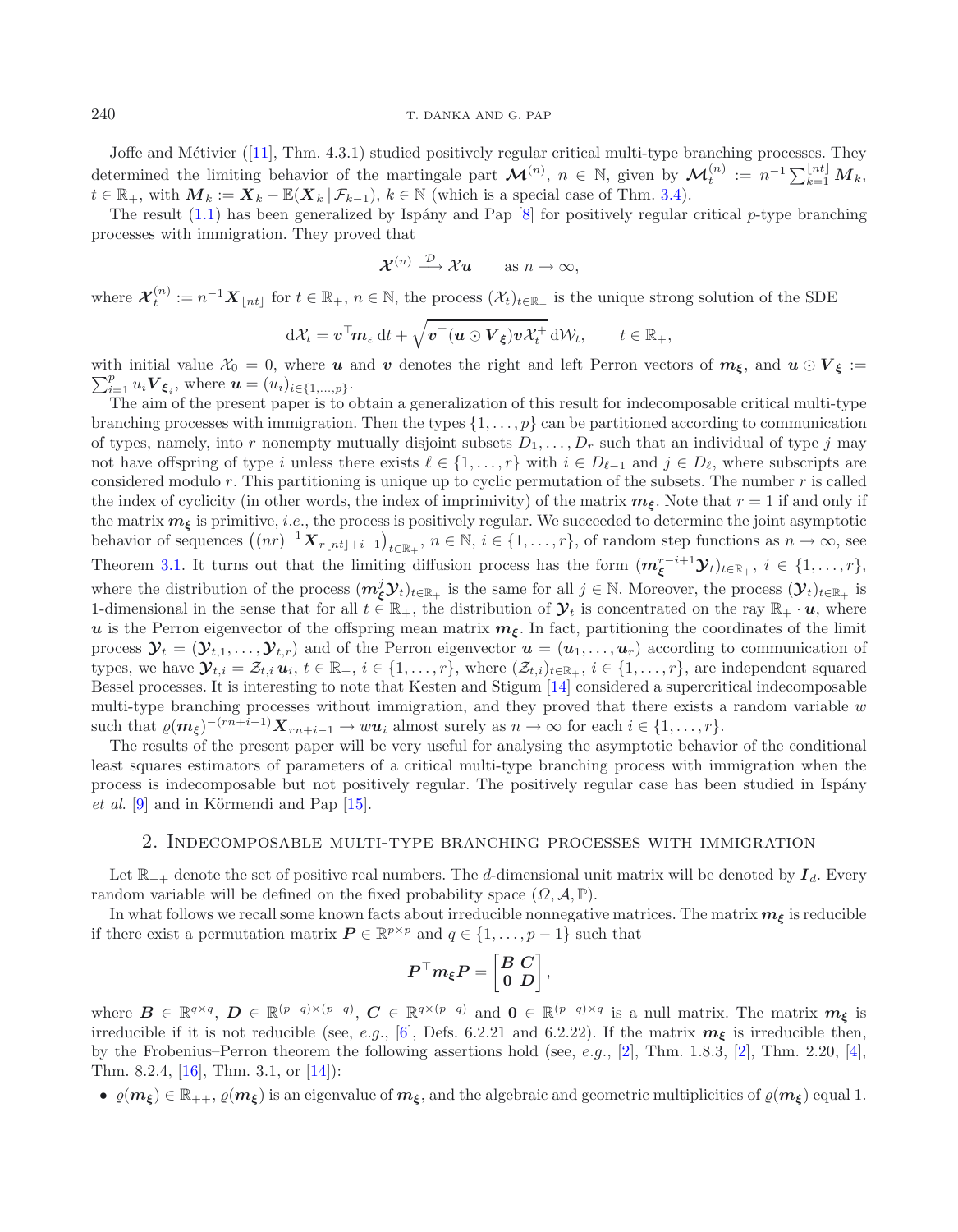#### 240 T. DANKA AND G. PAP

Joffe and Métivier ([\[11\]](#page-22-2), Thm. 4.3.1) studied positively regular critical multi-type branching processes. They determined the limiting behavior of the martingale part  $\mathcal{M}^{(n)}$ ,  $n \in \mathbb{N}$ , given by  $\mathcal{M}_t^{(n)} := n^{-1} \sum_{k=1}^{\lfloor nt \rfloor} M_k$ ,  $t \in \mathbb{R}_+$ , with  $\mathbf{M}_k := \mathbf{X}_k - \mathbb{E}(\mathbf{X}_k | \mathcal{F}_{k-1}), k \in \mathbb{N}$  (which is a special case of Thm. [3.4\)](#page-6-0).

The result  $(1.1)$  has been generalized by Ispány and Pap [\[8\]](#page-21-1) for positively regular critical p-type branching processes with immigration. They proved that

$$
\mathcal{X}^{(n)} \stackrel{\mathcal{D}}{\longrightarrow} \mathcal{X}u \qquad \text{as } n \to \infty,
$$

where  $\mathcal{X}_t^{(n)} := n^{-1} \mathcal{X}_{\lfloor nt \rfloor}$  for  $t \in \mathbb{R}_+$ ,  $n \in \mathbb{N}$ , the process  $(\mathcal{X}_t)_{t \in \mathbb{R}_+}$  is the unique strong solution of the SDE

$$
\mathrm{d}\mathcal{X}_t = \boldsymbol{v}^\top \boldsymbol{m}_{\varepsilon} \, \mathrm{d}t + \sqrt{\boldsymbol{v}^\top (\boldsymbol{u} \odot \boldsymbol{V}_{\boldsymbol{\xi}}) \boldsymbol{v} \mathcal{X}_t^+} \, \mathrm{d}\mathcal{W}_t, \qquad t \in \mathbb{R}_+,
$$

with initial value  $\mathcal{X}_0 = 0$ , where *u* and *v* denotes the right and left Perron vectors of  $m_\xi$ , and  $u \odot V_\xi := \sum_{k=1}^p a_{\xi}$  $\sum_{i=1}^{p} u_i V_{\xi_i}$ , where  $u = (u_i)_{i \in \{1, ..., p\}}$ .

The aim of the present paper is to obtain a generalization of this result for indecomposable critical multi-type branching processes with immigration. Then the types  $\{1,\ldots,p\}$  can be partitioned according to communication of types, namely, into r nonempty mutually disjoint subsets  $D_1, \ldots, D_r$  such that an individual of type j may not have offspring of type i unless there exists  $\ell \in \{1,\ldots,r\}$  with  $i \in D_{\ell-1}$  and  $j \in D_{\ell}$ , where subscripts are considered modulo  $r$ . This partitioning is unique up to cyclic permutation of the subsets. The number  $r$  is called the index of cyclicity (in other words, the index of imprimivity) of the matrix  $m_{\xi}$ . Note that  $r = 1$  if and only if the matrix  $m_{\xi}$  is primitive, *i.e.*, the process is positively regular. We succeeded to determine the joint asymptotic behavior of sequences  $((nr)^{-1}X_{r{\lfloor nt\rfloor}+i-1})_{t\in\mathbb{R}_+}$ ,  $n\in\mathbb{N}$ ,  $i\in\{1,\ldots,r\}$ , of random step functions as  $n\to\infty$ , see Theorem [3.1.](#page-4-0) It turns out that the limiting diffusion process has the form  $(m_{\xi}^{r-i+1} \mathcal{Y}_t)_{t \in \mathbb{R}_+}$ ,  $i \in \{1, ..., r\}$ , where the distribution of the process  $(m_{\xi}^{j} \mathcal{Y}_{t})_{t \in \mathbb{R}_{+}}$  is the same for all  $j \in \mathbb{N}$ . Moreover, the process  $(\mathcal{Y}_{t})_{t \in \mathbb{R}_{+}}$  is 1-dimensional in the sense that for all  $t \in \mathbb{R}_+$ , the distribution of  $\mathcal{Y}_t$  is concentrated on the ray  $\mathbb{R}_+ \cdot u$ , where *u* is the Perron eigenvector of the offspring mean matrix  $m_{\xi}$ . In fact, partitioning the coordinates of the limit process  $\mathbf{\mathcal{Y}}_t = (\mathbf{\mathcal{Y}}_{t,1},\ldots,\mathbf{\mathcal{Y}}_{t,r})$  and of the Perron eigenvector  $\mathbf{u} = (\mathbf{u}_1,\ldots,\mathbf{u}_r)$  according to communication of types, we have  $\mathbf{\mathcal{Y}}_{t,i} = \mathcal{Z}_{t,i} u_i, t \in \mathbb{R}_+, i \in \{1,\ldots,r\}$ , where  $(\mathcal{Z}_{t,i})_{t \in \mathbb{R}_+}, i \in \{1,\ldots,r\}$ , are independent squared Bessel processes. It is interesting to note that Kesten and Stigum [\[14](#page-22-3)] considered a supercritical indecomposable multi-type branching processes without immigration, and they proved that there exists a random variable  $w$ such that  $\varrho(m_{\xi})^{-(rn+i-1)}\mathbf{X}_{rn+i-1} \to w\mathbf{u}_i$  almost surely as  $n \to \infty$  for each  $i \in \{1,\ldots,r\}.$ 

The results of the present paper will be very useful for analysing the asymptotic behavior of the conditional least squares estimators of parameters of a critical multi-type branching process with immigration when the process is indecomposable but not positively regular. The positively regular case has been studied in Ispány *et al.* [\[9\]](#page-21-2) and in Körmendi and Pap [\[15\]](#page-22-4).

### 2. Indecomposable multi-type branching processes with immigration

Let  $\mathbb{R}_{++}$  denote the set of positive real numbers. The d-dimensional unit matrix will be denoted by  $I_d$ . Every random variable will be defined on the fixed probability space  $(\Omega, \mathcal{A}, \mathbb{P})$ .

In what follows we recall some known facts about irreducible nonnegative matrices. The matrix  $m_{\xi}$  is reducible if there exist a permutation matrix  $P \in \mathbb{R}^{p \times p}$  and  $q \in \{1, \ldots, p-1\}$  such that

$$
\boldsymbol{P}^\top \boldsymbol{m}_\xi \boldsymbol{P} = \begin{bmatrix} \boldsymbol{B} \ \boldsymbol{C} \\ \boldsymbol{0} \ \ \boldsymbol{D} \end{bmatrix},
$$

where  $\mathbf{B} \in \mathbb{R}^{q \times q}$ ,  $\mathbf{D} \in \mathbb{R}^{(p-q) \times (p-q)}$ ,  $\mathbf{C} \in \mathbb{R}^{q \times (p-q)}$  and  $\mathbf{0} \in \mathbb{R}^{(p-q) \times q}$  is a null matrix. The matrix  $m_{\xi}$  is irreducible if it is not reducible (see, e.g., [\[6\]](#page-21-3), Defs. 6.2.21 and 6.2.22). If the matrix  $m_{\xi}$  is irreducible then, by the Frobenius–Perron theorem the following assertions hold (see, e.g.,  $[2]$ , Thm. 1.8.3,  $[2]$ , Thm. 2.20,  $[4]$  $[4]$ , Thm. 8.2.4, [\[16](#page-22-5)], Thm. 3.1, or [\[14\]](#page-22-3)):

 $\phi$  (*m*<sub>*ξ*</sub>)  $\in \mathbb{R}_{++}$ ,  $\rho(m_{\xi})$  is an eigenvalue of  $m_{\xi}$ , and the algebraic and geometric multiplicities of  $\rho(m_{\xi})$  equal 1.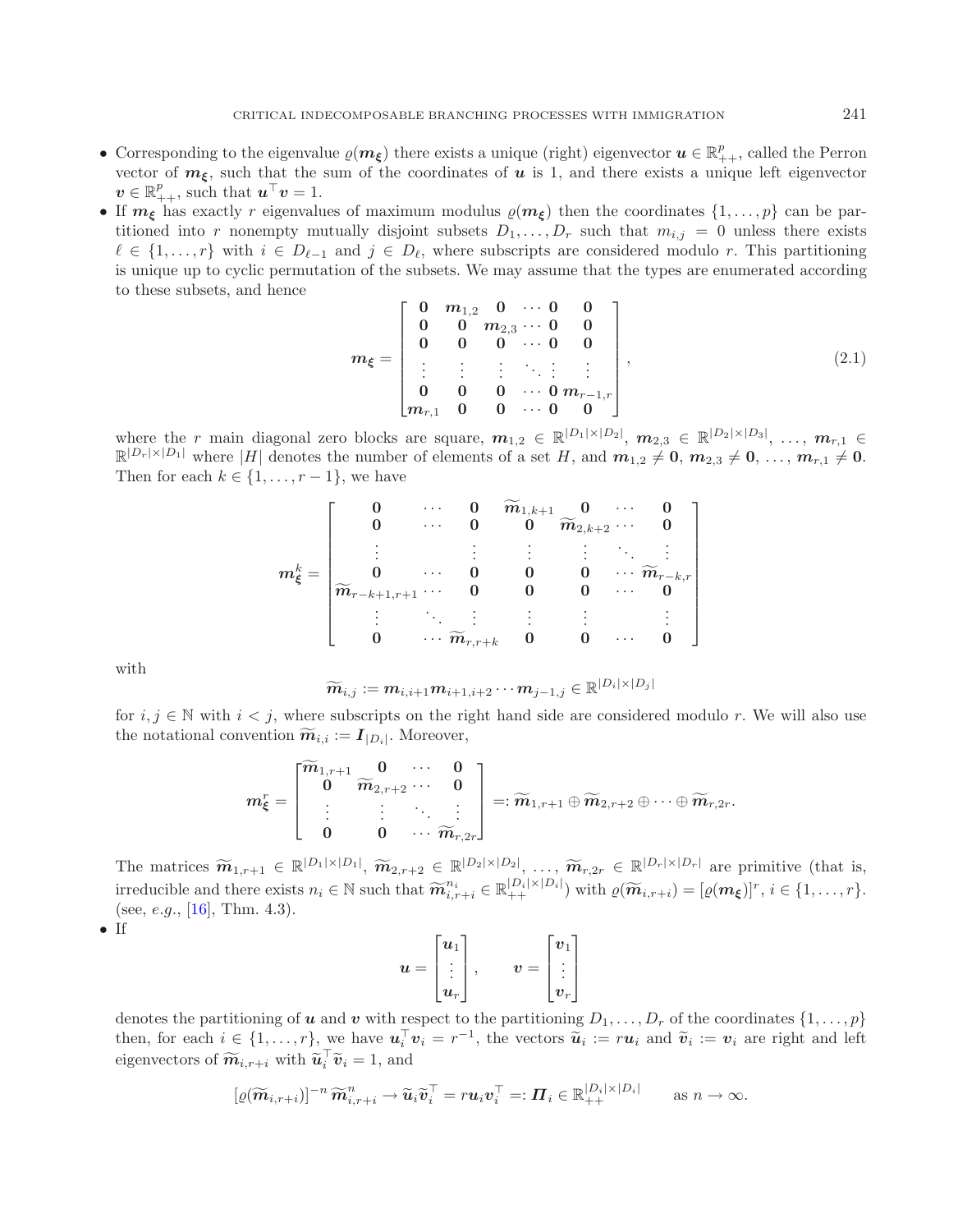- <span id="page-3-0"></span>• Corresponding to the eigenvalue  $\varrho(m_\xi)$  there exists a unique (right) eigenvector  $u \in \mathbb{R}_{++}^p$ , called the Perron vector of  $m_{\xi}$ , such that the sum of the coordinates of  $u$  is 1, and there exists a unique left eigenvector  $v \in \mathbb{R}_{++}^p$ , such that  $u^\top v = 1$ .
- If  $m_{\xi}$  has exactly r eigenvalues of maximum modulus  $\rho(m_{\xi})$  then the coordinates  $\{1,\ldots,p\}$  can be partitioned into r nonempty mutually disjoint subsets  $D_1, \ldots, D_r$  such that  $m_{i,j} = 0$  unless there exists  $\ell \in \{1,\ldots,r\}$  with  $i \in D_{\ell-1}$  and  $j \in D_{\ell}$ , where subscripts are considered modulo r. This partitioning is unique up to cyclic permutation of the subsets. We may assume that the types are enumerated according to these subsets, and hence

$$
m_{\xi} = \begin{bmatrix} 0 & m_{1,2} & 0 & \cdots & 0 & 0 \\ 0 & 0 & m_{2,3} & \cdots & 0 & 0 \\ 0 & 0 & 0 & \cdots & 0 & 0 \\ \vdots & \vdots & \vdots & \ddots & \vdots & \vdots \\ 0 & 0 & 0 & \cdots & 0 & m_{r-1,r} \\ m_{r,1} & 0 & 0 & \cdots & 0 & 0 \end{bmatrix},
$$
(2.1)

where the r main diagonal zero blocks are square,  $m_{1,2} \in \mathbb{R}^{|D_1| \times |D_2|}$ ,  $m_{2,3} \in \mathbb{R}^{|D_2| \times |D_3|}$ , ...,  $m_{r,1} \in$  $\mathbb{R}^{|D_r| \times |D_1|}$  where |H| denotes the number of elements of a set H, and  $m_{1,2} \neq 0$ ,  $m_{2,3} \neq 0$ , ...,  $m_{r,1} \neq 0$ . Then for each  $k \in \{1, \ldots, r-1\}$ , we have

$$
m_{\xi}^k = \begin{bmatrix} 0 & \cdots & 0 & \widetilde{m}_{1,k+1} & 0 & \cdots & 0 \\ 0 & \cdots & 0 & 0 & \widetilde{m}_{2,k+2} & \cdots & 0 \\ \vdots & & \vdots & \vdots & \vdots & \ddots & \vdots \\ 0 & \cdots & 0 & 0 & 0 & \cdots & \widetilde{m}_{r-k,r} \\ \widetilde{m}_{r-k+1,r+1} & \cdots & 0 & 0 & 0 & \cdots & 0 \\ \vdots & \ddots & \vdots & \vdots & \vdots & \vdots & \vdots \\ 0 & \cdots & \widetilde{m}_{r,r+k} & 0 & 0 & \cdots & 0 \end{bmatrix}
$$

with

$$
\widetilde{\boldsymbol{m}}_{i,j}:=\boldsymbol{m}_{i,i+1}\boldsymbol{m}_{i+1,i+2}\cdots\boldsymbol{m}_{j-1,j}\in\mathbb{R}^{|D_i|\times |D_j|}
$$

for  $i, j \in \mathbb{N}$  with  $i < j$ , where subscripts on the right hand side are considered modulo r. We will also use the notational convention  $\widetilde{m}_{i,i} := I_{|D_i|}$ . Moreover,

$$
\boldsymbol{m}^r_{\boldsymbol{\xi}}=\begin{bmatrix} \widetilde{\boldsymbol{m}}_{1,r+1} & \boldsymbol{0} & \cdots & \boldsymbol{0} \\ \boldsymbol{0} & \widetilde{\boldsymbol{m}}_{2,r+2} & \cdots & \boldsymbol{0} \\ \vdots & \vdots & \ddots & \vdots \\ \boldsymbol{0} & \boldsymbol{0} & \cdots & \widetilde{\boldsymbol{m}}_{r,2r} \end{bmatrix} =: \widetilde{\boldsymbol{m}}_{1,r+1} \oplus \widetilde{\boldsymbol{m}}_{2,r+2} \oplus \cdots \oplus \widetilde{\boldsymbol{m}}_{r,2r}.
$$

The matrices  $\widetilde{m}_{1,r+1} \in \mathbb{R}^{|D_1| \times |D_1|}$ ,  $\widetilde{m}_{2,r+2} \in \mathbb{R}^{|D_2| \times |D_2|}$ , ...,  $\widetilde{m}_{r,2r} \in \mathbb{R}^{|D_r| \times |D_r|}$  are primitive (that is, irreducible and there exists  $n_i \in \mathbb{N}$  such that  $\widetilde{\mathbf{m}}_{i,r+i}^{n_i} \in \mathbb{R}_{++}^{|D_i| \times |D_i|}$  with  $\varrho(\widetilde{\mathbf{m}}_{i,r+i}) = [\varrho(\mathbf{m}_{\boldsymbol{\xi}})]^r$ ,  $i \in \{1, \ldots, r\}$ . (see, e.g., [\[16\]](#page-22-5), Thm. 4.3).

• If

$$
u = \begin{bmatrix} u_1 \\ \vdots \\ u_r \end{bmatrix}, \qquad v = \begin{bmatrix} v_1 \\ \vdots \\ v_r \end{bmatrix}
$$

denotes the partitioning of *u* and *v* with respect to the partitioning  $D_1, \ldots, D_r$  of the coordinates  $\{1, \ldots, p\}$ then, for each  $i \in \{1, \ldots, r\}$ , we have  $u_i^{\top} v_i = r^{-1}$ , the vectors  $\tilde{u}_i := r u_i$  and  $\tilde{v}_i := v_i$  are right and left eigenments of  $\tilde{v}_i = \min_{i} \tilde{v}_i^{\top} \tilde{v}_i = 1$  and  $\tilde{v}_i = r^{-1}$ , the vectors  $\tilde{u}_i := r u_i$  and eigenvectors of  $\widetilde{\boldsymbol{m}}_{i,r+i}$  with  $\widetilde{\boldsymbol{u}}_i^{\top} \widetilde{\boldsymbol{v}}_i = 1$ , and

$$
[\varrho(\widetilde{\boldsymbol{m}}_{i,r+i})]^{-n} \widetilde{\boldsymbol{m}}_{i,r+i}^n \to \widetilde{\boldsymbol{u}}_i \widetilde{\boldsymbol{v}}_i^\top = r \boldsymbol{u}_i \boldsymbol{v}_i^\top =: \boldsymbol{\Pi}_i \in \mathbb{R}_{++}^{|D_i| \times |D_i|} \quad \text{as } n \to \infty.
$$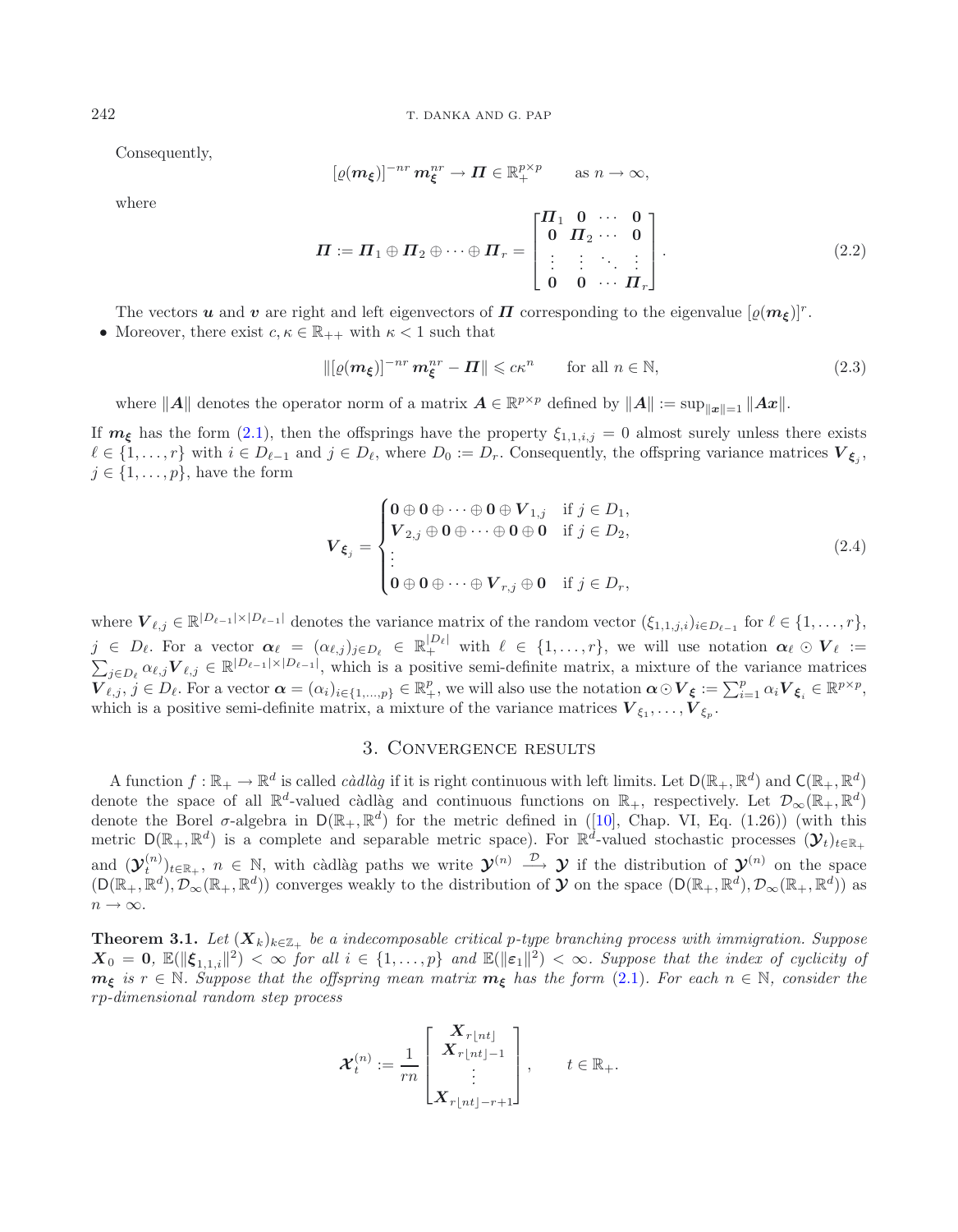Consequently,

<span id="page-4-4"></span>
$$
[\varrho(\boldsymbol{m}_{\boldsymbol{\xi}})]^{-nr} \boldsymbol{m}_{\boldsymbol{\xi}}^{nr} \to \boldsymbol{\Pi} \in \mathbb{R}_{+}^{p \times p} \quad \text{as } n \to \infty,
$$

<span id="page-4-2"></span>where

$$
\boldsymbol{\Pi} := \boldsymbol{\Pi}_1 \oplus \boldsymbol{\Pi}_2 \oplus \cdots \oplus \boldsymbol{\Pi}_r = \begin{bmatrix} \boldsymbol{\Pi}_1 & \boldsymbol{0} & \cdots & \boldsymbol{0} \\ \boldsymbol{0} & \boldsymbol{\Pi}_2 & \cdots & \boldsymbol{0} \\ \vdots & \vdots & \ddots & \vdots \\ \boldsymbol{0} & \boldsymbol{0} & \cdots & \boldsymbol{\Pi}_r \end{bmatrix} . \tag{2.2}
$$

The vectors *u* and *v* are right and left eigenvectors of *Π* corresponding to the eigenvalue  $[\varrho(\mathbf{m}_{\xi})]^{r}$ .

• Moreover, there exist  $c, \kappa \in \mathbb{R}_{++}$  with  $\kappa < 1$  such that

$$
\|[\varrho(\mathbf{m}_{\xi})]^{-nr} \mathbf{m}_{\xi}^{nr} - \mathbf{\Pi}\| \leq c\kappa^n \quad \text{for all } n \in \mathbb{N},\tag{2.3}
$$

where  $||A||$  denotes the operator norm of a matrix  $A \in \mathbb{R}^{p \times p}$  defined by  $||A|| := \sup_{||x||=1} ||Ax||$ .

If  $m_{\xi}$  has the form [\(2.1\)](#page-3-0), then the offsprings have the property  $\xi_{1,1,i,j} = 0$  almost surely unless there exists  $\ell \in \{1,\ldots,r\}$  with  $i \in D_{\ell-1}$  and  $j \in D_{\ell}$ , where  $D_0 := D_r$ . Consequently, the offspring variance matrices  $V_{\xi_i}$ ,  $j \in \{1, \ldots, p\}$ , have the form

$$
\boldsymbol{V}_{\xi_j} = \begin{cases} \n\mathbf{0} \oplus \mathbf{0} \oplus \cdots \oplus \mathbf{0} \oplus \boldsymbol{V}_{1,j} & \text{if } j \in D_1, \\ \n\boldsymbol{V}_{2,j} \oplus \mathbf{0} \oplus \cdots \oplus \mathbf{0} \oplus \mathbf{0} & \text{if } j \in D_2, \\ \n\vdots & \n\end{cases} \tag{2.4}
$$
\n
$$
\mathbf{V}_{\xi_j} = \begin{cases} \n\mathbf{0} \oplus \mathbf{0} \oplus \cdots \oplus \mathbf{V}_{r,j} & \text{if } j \in D_r, \\ \n\vdots & \n\end{cases}
$$

where  $\mathbf{V}_{\ell,j} \in \mathbb{R}^{|D_{\ell-1}| \times |D_{\ell-1}|}$  denotes the variance matrix of the random vector  $(\xi_{1,1,j,i})_{i \in D_{\ell-1}}$  for  $\ell \in \{1,\ldots,r\}$ ,  $j \in D_{\ell}$ . For a vector  $\alpha_{\ell} = (\alpha_{\ell,j})_{j \in D_{\ell}} \in \mathbb{R}_{+}^{|D_{\ell}|}$  with  $\ell \in \{1,\ldots,r\}$ , we will use notation  $\alpha_{\ell} \odot V_{\ell} :=$  $\sum_{j\in D_{\ell}} \alpha_{\ell,j} \mathbf{V}_{\ell,j} \in \mathbb{R}^{|D_{\ell-1}| \times |D_{\ell-1}|}$ , which is a positive semi-definite matrix, a mixture of the variance matrices  $\overline{\mathbf{V}}_{\ell,j}, j \in D_{\ell}$ . For a vector  $\boldsymbol{\alpha} = (\alpha_i)_{i \in \{1,...,p\}} \in \mathbb{R}_+^p$ , we will also use the notation  $\boldsymbol{\alpha} \odot \mathbf{V}_{\boldsymbol{\xi}} := \sum_{i=1}^p \alpha_i \mathbf{V}_{\boldsymbol{\xi}_i} \in \mathbb{R}^{p \times p}$ , which is a positive semi-definite matrix, a mixture of the variance matrices  $V_{\xi_1}, \ldots, V_{\xi_n}$ .

### 3. Convergence results

<span id="page-4-3"></span>A function  $f : \mathbb{R}_+ \to \mathbb{R}^d$  is called *càdlàg* if it is right continuous with left limits. Let  $D(\mathbb{R}_+, \mathbb{R}^d)$  and  $C(\mathbb{R}_+, \mathbb{R}^d)$ denote the space of all  $\mathbb{R}^d$ -valued càdlàg and continuous functions on  $\mathbb{R}_+$ , respectively. Let  $\mathcal{D}_{\infty}(\mathbb{R}_+,\mathbb{R}^d)$ denote the Borel  $\sigma$ -algebra in  $D(\mathbb{R}_+, \mathbb{R}^d)$  for the metric defined in ([\[10](#page-22-6)], Chap. VI, Eq. (1.26)) (with this metric  $D(\mathbb{R}_+,\mathbb{R}^d)$  is a complete and separable metric space). For  $\mathbb{R}^d$ -valued stochastic processes  $(\mathcal{Y}_t)_{t\in\mathbb{R}_+}$ and  $(\mathcal{Y}_t^{(n)})_{t\in\mathbb{R}_+}$ ,  $n \in \mathbb{N}$ , with càdlàg paths we write  $\mathcal{Y}^{(n)} \stackrel{\mathcal{D}}{\longrightarrow} \mathcal{Y}$  if the distribution of  $\mathcal{Y}^{(n)}$  on the space  $(D(\mathbb{R}_+,\mathbb{R}^d),\mathcal{D}_{\infty}(\mathbb{R}_+,\mathbb{R}^d))$  converges weakly to the distribution of  $\mathcal Y$  on the space  $(D(\mathbb{R}_+,\mathbb{R}^d),\mathcal{D}_{\infty}(\mathbb{R}_+,\mathbb{R}^d))$  as  $n \to \infty$ .

<span id="page-4-0"></span>**Theorem 3.1.** *Let*  $(X_k)_{k \in \mathbb{Z}_+}$  *be a indecomposable critical p-type branching process with immigration. Suppose*  $X_0 = 0$ ,  $\mathbb{E}(\|\xi_{1,1,i}\|^2) < \infty$  *for all*  $i \in \{1,\ldots,p\}$  *and*  $\mathbb{E}(\|\varepsilon_1\|^2) < \infty$ *. Suppose that the index of cyclicity of*  $m_{\xi}$  *is*  $r \in \mathbb{N}$ *. Suppose that the offspring mean matrix*  $m_{\xi}$  *has the form* [\(2.1\)](#page-3-0)*. For each*  $n \in \mathbb{N}$ *, consider the* rp*-dimensional random step process*

$$
\boldsymbol{\mathcal{X}}_t^{(n)} := \frac{1}{rn}\begin{bmatrix} \boldsymbol{X}_{r\lfloor nt \rfloor} \\ \boldsymbol{X}_{r\lfloor nt \rfloor - 1} \\ \vdots \\ \boldsymbol{X}_{r\lfloor nt \rfloor - r + 1} \end{bmatrix}, \qquad t \in \mathbb{R}_+.
$$

<span id="page-4-1"></span>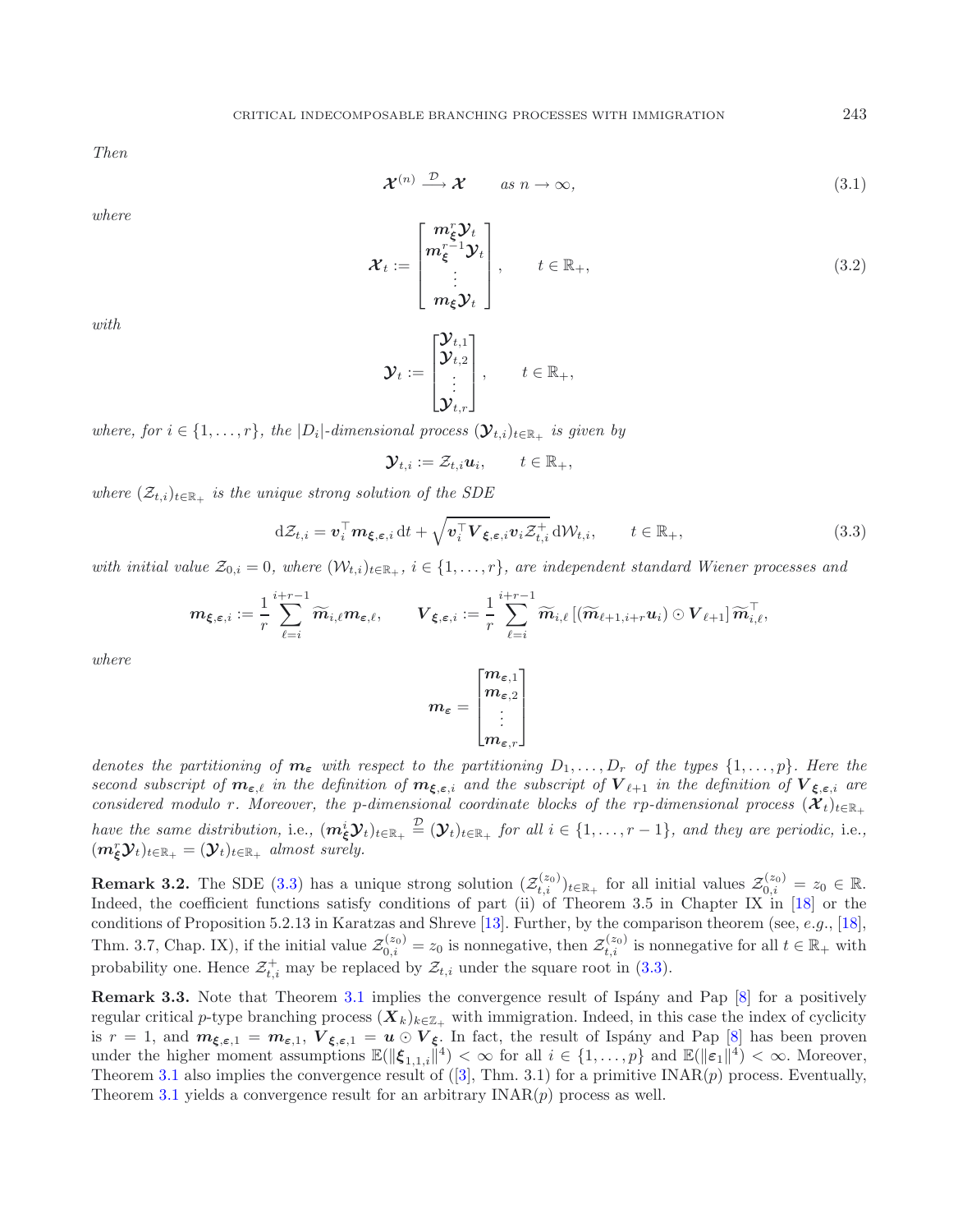<span id="page-5-2"></span>*Then*

$$
\mathcal{X}^{(n)} \xrightarrow{\mathcal{D}} \mathcal{X} \qquad \text{as } n \to \infty,
$$
 (3.1)

*where*

<span id="page-5-0"></span>
$$
\boldsymbol{\mathcal{X}}_t := \begin{bmatrix} m_{\xi}^r \boldsymbol{\mathcal{Y}}_t \\ m_{\xi}^{r-1} \boldsymbol{\mathcal{Y}}_t \\ \vdots \\ m_{\xi} \boldsymbol{\mathcal{Y}}_t \end{bmatrix}, \qquad t \in \mathbb{R}_+, \tag{3.2}
$$

*with*

$$
\mathcal{Y}_t := \begin{bmatrix} \mathcal{Y}_{t,1} \\ \mathcal{Y}_{t,2} \\ \vdots \\ \mathcal{Y}_{t,r} \end{bmatrix}, \qquad t \in \mathbb{R}_+,
$$

*where, for*  $i \in \{1, \ldots, r\}$ *, the*  $|D_i|$ *-dimensional process*  $(\mathbf{\mathcal{Y}}_{t,i})_{t \in \mathbb{R}_+}$  *is given by* 

$$
\mathbf{\mathcal{Y}}_{t,i}:=\mathcal{Z}_{t,i}\boldsymbol{u}_i,\qquad t\in\mathbb{R}_+,
$$

*where*  $(\mathcal{Z}_{t,i})_{t \in \mathbb{R}_+}$  *is the unique strong solution of the SDE* 

$$
d\mathcal{Z}_{t,i} = \boldsymbol{v}_i^\top \boldsymbol{m}_{\boldsymbol{\xi},\boldsymbol{\varepsilon},i} dt + \sqrt{\boldsymbol{v}_i^\top \boldsymbol{V}_{\boldsymbol{\xi},\boldsymbol{\varepsilon},i} \boldsymbol{v}_i \mathcal{Z}_{t,i}^+} d\mathcal{W}_{t,i}, \qquad t \in \mathbb{R}_+, \qquad (3.3)
$$

*with initial value*  $\mathcal{Z}_{0,i} = 0$ *, where*  $(\mathcal{W}_{t,i})_{t \in \mathbb{R}_+}$ *, i*  $\in \{1, \ldots, r\}$ *, are independent standard Wiener processes and* 

$$
\boldsymbol{m}_{\boldsymbol{\xi},\boldsymbol{\varepsilon},i}:=\frac{1}{r}\sum_{\ell=i}^{i+r-1}\widetilde{\boldsymbol{m}}_{i,\ell}\boldsymbol{m}_{\boldsymbol{\varepsilon},\ell},\qquad \boldsymbol{V}_{\boldsymbol{\xi},\boldsymbol{\varepsilon},i}:=\frac{1}{r}\sum_{\ell=i}^{i+r-1}\widetilde{\boldsymbol{m}}_{i,\ell}\left[(\widetilde{\boldsymbol{m}}_{\ell+1,i+r}\boldsymbol{u}_i)\odot\boldsymbol{V}_{\ell+1}\right]\widetilde{\boldsymbol{m}}_{i,\ell}^\top,
$$

*where*

$$
m_\varepsilon = \begin{bmatrix} m_{\varepsilon,1} \\ m_{\varepsilon,2} \\ \vdots \\ m_{\varepsilon,r} \end{bmatrix}
$$

*denotes the partitioning of*  $m_{\varepsilon}$  *with respect to the partitioning*  $D_1, \ldots, D_r$  *of the types*  $\{1, \ldots, p\}$ *. Here the second subscript of*  $m_{\varepsilon,\ell}$  *in the definition of*  $m_{\xi,\varepsilon,i}$  *and the subscript of*  $V_{\ell+1}$  *in the definition of*  $V_{\xi,\varepsilon,i}$  *are considered modulo r. Moreover, the p-dimensional coordinate blocks of the rp-dimensional process*  $(X_t)_{t\in\mathbb{R}_+}$ *have the same distribution,* i.e.,  $(m_{\xi}^{i}y_{t})_{t\in\mathbb{R}_{+}} \stackrel{\mathcal{D}}{=} (y_{t})_{t\in\mathbb{R}_{+}}$  *for all*  $i \in \{1, ..., r-1\}$ *, and they are periodic,* i.e.,  $(m_{\xi}^{r} \mathcal{Y}_{t})_{t \in \mathbb{R}_{+}} = (\mathcal{Y}_{t})_{t \in \mathbb{R}_{+}}$  *almost surely.* 

<span id="page-5-3"></span>**Remark 3.2.** The SDE [\(3.3\)](#page-5-0) has a unique strong solution  $(\mathcal{Z}_{t,i}^{(z_0)})_{t\in\mathbb{R}_+}$  for all initial values  $\mathcal{Z}_{0,i}^{(z_0)} = z_0 \in \mathbb{R}$ . Indeed, the coefficient functions satisfy conditions of part (ii) of Theorem 3.5 in Chapter IX in [\[18](#page-22-7)] or the conditions of Proposition 5.2.13 in Karatzas and Shreve [\[13](#page-22-8)]. Further, by the comparison theorem (see, e.g., [\[18](#page-22-7)], Thm. 3.7, Chap. IX), if the initial value  $\mathcal{Z}_{0,i}^{(z_0)} = z_0$  is nonnegative, then  $\mathcal{Z}_{t,i}^{(z_0)}$  is nonnegative for all  $t \in \mathbb{R}_+$  with probability one. Hence  $\mathcal{Z}_{t,i}^+$  may be replaced by  $\mathcal{Z}_{t,i}$  under the square root in [\(3.3\)](#page-5-0).

**Remark 3.3.** Note that Theorem [3.1](#page-4-0) implies the convergence result of Ispány and Pap [\[8](#page-21-1)] for a positively regular critical p-type branching process  $(X_k)_{k\in\mathbb{Z}_+}$  with immigration. Indeed, in this case the index of cyclicity is  $r = 1$ , and  $m_{\xi,\varepsilon,1} = m_{\varepsilon,1}$ ,  $V_{\xi,\varepsilon,1} = u \odot V_{\xi}$ . In fact, the result of Ispány and Pap [\[8](#page-21-1)] has been proven under the higher moment assumptions  $\mathbb{E}(\|\boldsymbol{\xi}_{1,1,i}\|^4) < \infty$  for all  $i \in \{1,\ldots,p\}$  and  $\mathbb{E}(\|\boldsymbol{\varepsilon}_1\|^4) < \infty$ . Moreover, Theorem [3.1](#page-4-0) also implies the convergence result of  $([3], Thm. 3.1)$  $([3], Thm. 3.1)$  $([3], Thm. 3.1)$  for a primitive INAR $(p)$  process. Eventually, Theorem [3.1](#page-4-0) yields a convergence result for an arbitrary  $\text{INAR}(p)$  process as well.

<span id="page-5-1"></span>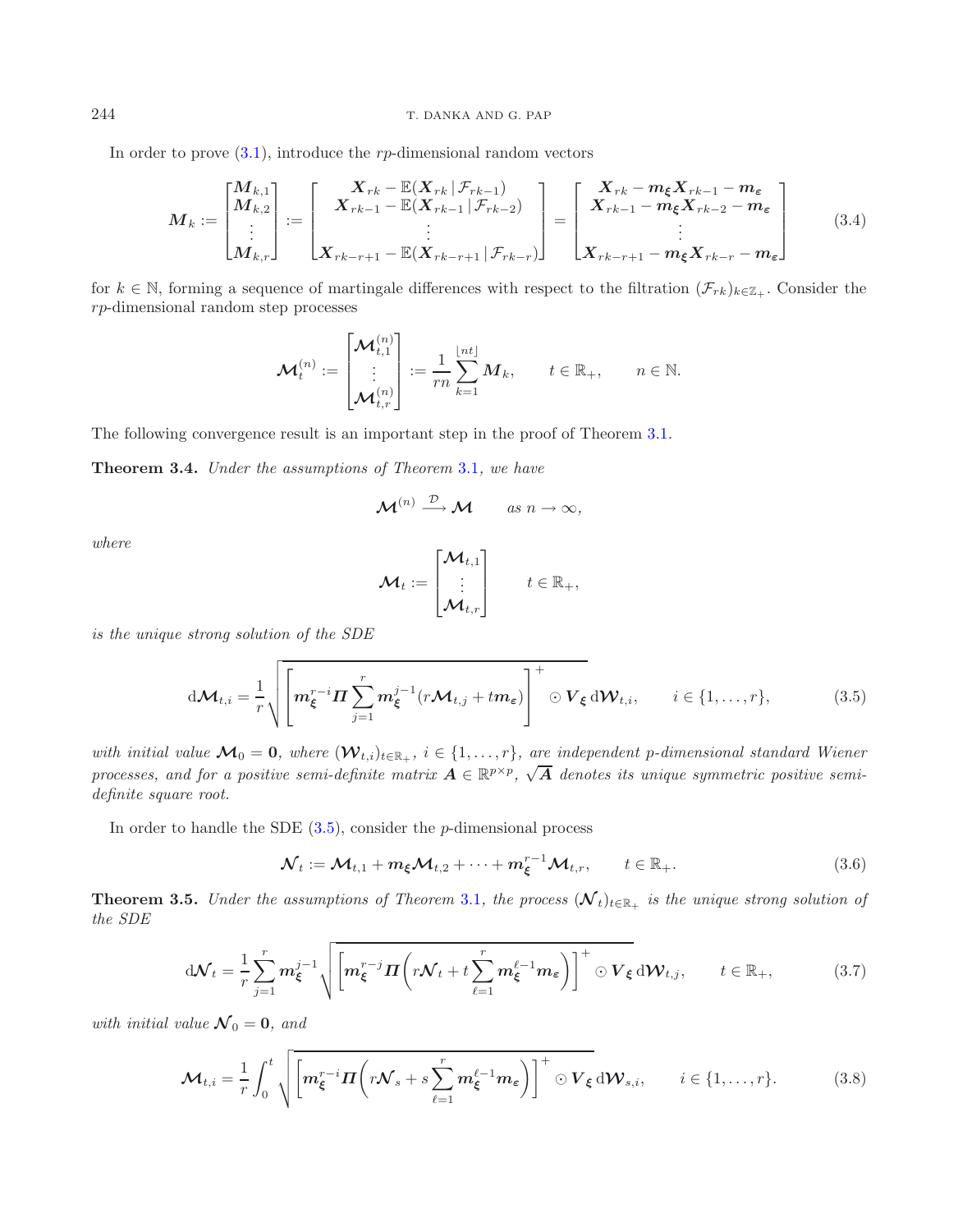### 244 T. DANKA AND G. PAP

In order to prove  $(3.1)$ , introduce the rp-dimensional random vectors

<span id="page-6-2"></span>
$$
M_k := \begin{bmatrix} M_{k,1} \\ M_{k,2} \\ \vdots \\ M_{k,r} \end{bmatrix} := \begin{bmatrix} X_{rk} - \mathbb{E}(X_{rk} | \mathcal{F}_{rk-1}) \\ X_{rk-1} - \mathbb{E}(X_{rk-1} | \mathcal{F}_{rk-2}) \\ \vdots \\ X_{rk-r+1} - \mathbb{E}(X_{rk-r+1} | \mathcal{F}_{rk-r}) \end{bmatrix} = \begin{bmatrix} X_{rk} - m_{\xi} X_{rk-1} - m_{\varepsilon} \\ X_{rk-1} - m_{\xi} X_{rk-2} - m_{\varepsilon} \\ \vdots \\ X_{rk-r+1} - m_{\xi} X_{rk-r} - m_{\varepsilon} \end{bmatrix}
$$
(3.4)

for  $k \in \mathbb{N}$ , forming a sequence of martingale differences with respect to the filtration  $(\mathcal{F}_{rk})_{k \in \mathbb{Z}_+}$ . Consider the rp-dimensional random step processes

<span id="page-6-1"></span>
$$
\mathcal{M}_t^{(n)} := \begin{bmatrix} \mathcal{M}_{t,1}^{(n)} \\ \vdots \\ \mathcal{M}_{t,r}^{(n)} \end{bmatrix} := \frac{1}{rn} \sum_{k=1}^{\lfloor nt \rfloor} M_k, \qquad t \in \mathbb{R}_+, \qquad n \in \mathbb{N}.
$$

<span id="page-6-0"></span>The following convergence result is an important step in the proof of Theorem [3.1.](#page-4-0)

**Theorem 3.4.** *Under the assumptions of Theorem* [3.1](#page-4-0)*, we have*

$$
\mathcal{M}^{(n)} \stackrel{\mathcal{D}}{\longrightarrow} \mathcal{M} \qquad \text{as } n \to \infty,
$$

*where*

<span id="page-6-3"></span>
$$
\mathcal{M}_t := \begin{bmatrix} \mathcal{M}_{t,1} \\ \vdots \\ \mathcal{M}_{t,r} \end{bmatrix} \qquad t \in \mathbb{R}_+,
$$

<span id="page-6-5"></span>*is the unique strong solution of the SDE*

$$
d\mathcal{M}_{t,i} = \frac{1}{r} \sqrt{\left[ m_{\xi}^{r-i} \Pi \sum_{j=1}^{r} m_{\xi}^{j-1} (r \mathcal{M}_{t,j} + t m_{\varepsilon}) \right]^+} \odot V_{\xi} d\mathcal{W}_{t,i}, \qquad i \in \{1, \ldots, r\},
$$
 (3.5)

*with initial value*  $\mathcal{M}_0 = 0$ *, where*  $(\mathcal{W}_{t,i})_{t \in \mathbb{R}_+}$ ,  $i \in \{1, \ldots, r\}$ *, are independent p-dimensional standard Wiener processes, and for a positive semi-definite matrix*  $A \in \mathbb{R}^{p \times p}$ ,  $\sqrt{A}$  *denotes its unique symmetric positive semidefinite square root.*

<span id="page-6-6"></span>In order to handle the SDE  $(3.5)$ , consider the *p*-dimensional process

$$
\mathcal{N}_t := \mathcal{M}_{t,1} + m_{\xi} \mathcal{M}_{t,2} + \dots + m_{\xi}^{r-1} \mathcal{M}_{t,r}, \qquad t \in \mathbb{R}_+.
$$
\n(3.6)

<span id="page-6-4"></span>**Theorem 3.5.** *Under the assumptions of Theorem* [3.1](#page-4-0)*, the process*  $(\mathcal{N}_t)_{t \in \mathbb{R}_+}$  *is the unique strong solution of the SDE*

$$
d\mathcal{N}_t = \frac{1}{r} \sum_{j=1}^r m_{\xi}^{j-1} \sqrt{\left[m_{\xi}^{r-j} \Pi \left(r\mathcal{N}_t + t \sum_{\ell=1}^r m_{\xi}^{\ell-1} m_{\epsilon}\right)\right]^+} \odot V_{\xi} d\mathcal{W}_{t,j}, \qquad t \in \mathbb{R}_+, \tag{3.7}
$$

*with initial value*  $\mathcal{N}_0 = \mathbf{0}$ *, and* 

$$
\mathcal{M}_{t,i} = \frac{1}{r} \int_0^t \sqrt{\left[m_{\xi}^{r-i} \Pi \left(r \mathcal{N}_s + s \sum_{\ell=1}^r m_{\xi}^{\ell-1} m_{\epsilon}\right)\right]^+} \odot V_{\xi} d\mathcal{W}_{s,i}, \qquad i \in \{1, \ldots, r\}.
$$
 (3.8)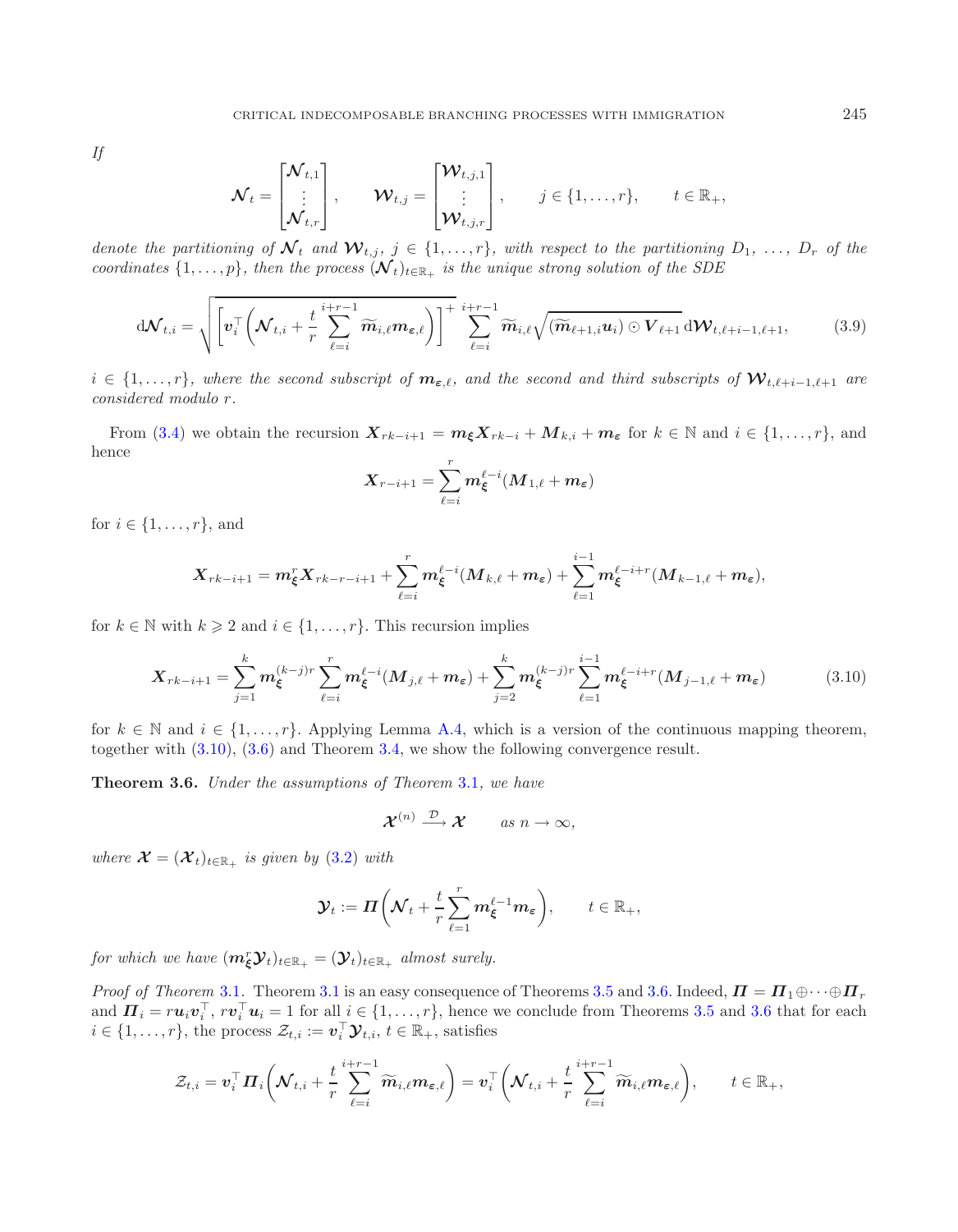*If*

<span id="page-7-2"></span>
$$
\mathcal{N}_t = \begin{bmatrix} \mathcal{N}_{t,1} \\ \vdots \\ \mathcal{N}_{t,r} \end{bmatrix}, \qquad \mathcal{W}_{t,j} = \begin{bmatrix} \mathcal{W}_{t,j,1} \\ \vdots \\ \mathcal{W}_{t,j,r} \end{bmatrix}, \qquad j \in \{1,\ldots,r\}, \qquad t \in \mathbb{R}_+,
$$

*denote the partitioning of*  $\mathcal{N}_t$  *and*  $\mathcal{W}_{t,j}$ *,*  $j \in \{1, \ldots, r\}$ *, with respect to the partitioning*  $D_1, \ldots, D_r$  *of the coordinates*  $\{1,\ldots,p\}$ *, then the process*  $(\mathcal{N}_t)_{t\in\mathbb{R}_+}$  *is the unique strong solution of the SDE* 

$$
d\mathcal{N}_{t,i} = \sqrt{\left[v_i^{\top} \left(\mathcal{N}_{t,i} + \frac{t}{r} \sum_{\ell=i}^{i+r-1} \widetilde{m}_{i,\ell} m_{\epsilon,\ell}\right)\right]^+} \sum_{\ell=i}^{i+r-1} \widetilde{m}_{i,\ell} \sqrt{(\widetilde{m}_{\ell+1,i} u_i) \odot V_{\ell+1}} d\mathcal{W}_{t,\ell+i-1,\ell+1},
$$
(3.9)

 $i \in \{1,\ldots,r\}$ , where the second subscript of  $m_{\varepsilon,\ell}$ , and the second and third subscripts of  $\mathcal{W}_{t,\ell+i-1,\ell+1}$  are *considered modulo* r*.*

From [\(3.4\)](#page-6-2) we obtain the recursion  $\mathbf{X}_{rk-i+1} = m_{\xi} \mathbf{X}_{rk-i} + \mathbf{M}_{k,i} + m_{\epsilon}$  for  $k \in \mathbb{N}$  and  $i \in \{1, ..., r\}$ , and hence r

<span id="page-7-0"></span>
$$
\boldsymbol{X}_{r-i+1} = \sum_{\ell=i}^r \boldsymbol{m}_\boldsymbol{\xi}^{\ell-i} (\boldsymbol{M}_{1,\ell} + \boldsymbol{m}_\boldsymbol{\varepsilon})
$$

for  $i \in \{1, \ldots, r\}$ , and

$$
\boldsymbol{X}_{rk-i+1} = \boldsymbol{m}_{\boldsymbol{\xi}}^r \boldsymbol{X}_{rk-r-i+1} + \sum_{\ell=i}^r \boldsymbol{m}_{\boldsymbol{\xi}}^{\ell-i} (\boldsymbol{M}_{k,\ell} + \boldsymbol{m}_{\boldsymbol{\epsilon}}) + \sum_{\ell=1}^{i-1} \boldsymbol{m}_{\boldsymbol{\xi}}^{\ell-i+r} (\boldsymbol{M}_{k-1,\ell} + \boldsymbol{m}_{\boldsymbol{\epsilon}}),
$$

for  $k \in \mathbb{N}$  with  $k \geq 2$  and  $i \in \{1, \ldots, r\}$ . This recursion implies

$$
\boldsymbol{X}_{rk-i+1} = \sum_{j=1}^{k} \boldsymbol{m}_{\xi}^{(k-j)r} \sum_{\ell=i}^{r} \boldsymbol{m}_{\xi}^{\ell-i} (\boldsymbol{M}_{j,\ell} + \boldsymbol{m}_{\varepsilon}) + \sum_{j=2}^{k} \boldsymbol{m}_{\xi}^{(k-j)r} \sum_{\ell=1}^{i-1} \boldsymbol{m}_{\xi}^{\ell-i+r} (\boldsymbol{M}_{j-1,\ell} + \boldsymbol{m}_{\varepsilon}) \tag{3.10}
$$

<span id="page-7-1"></span>for  $k \in \mathbb{N}$  and  $i \in \{1, \ldots, r\}$ . Applying Lemma [A.4,](#page-20-0) which is a version of the continuous mapping theorem, together with [\(3.10\)](#page-7-0), [\(3.6\)](#page-6-3) and Theorem [3.4,](#page-6-0) we show the following convergence result.

**Theorem 3.6.** *Under the assumptions of Theorem* [3.1](#page-4-0)*, we have*

$$
\mathcal{X}^{(n)} \xrightarrow{\mathcal{D}} \mathcal{X} \qquad \text{as } n \to \infty,
$$

*where*  $\mathcal{X} = (\mathcal{X}_t)_{t \in \mathbb{R}_+}$  *is given by* [\(3.2\)](#page-5-2) *with* 

$$
\mathcal{Y}_t := \mathbf{\Pi}\bigg(\mathcal{N}_t + \frac{t}{r}\sum_{\ell=1}^r \mathbf{m}_{\xi}^{\ell-1}\mathbf{m}_{\varepsilon}\bigg), \qquad t \in \mathbb{R}_+,
$$

*for which we have*  $(m_{\xi}^{r} \mathcal{Y}_{t})_{t \in \mathbb{R}_{+}} = (\mathcal{Y}_{t})_{t \in \mathbb{R}_{+}}$  *almost surely.* 

*Proof of Theorem* [3.1](#page-4-0). Theorem 3.1 is an easy consequence of Theorems [3.5](#page-6-4) and [3.6.](#page-7-1) Indeed,  $\Pi = \Pi_1 \oplus \cdots \oplus \Pi_r$ and  $\boldsymbol{\Pi}_i = r\boldsymbol{u}_i\boldsymbol{v}_i^\top, r\boldsymbol{v}_i^\top\boldsymbol{u}_i = 1$  for all  $i \in \{1, \ldots, r\}$ , hence we conclude from Theorems [3.5](#page-6-4) and [3.6](#page-7-1) that for each  $i \in \{1, \ldots, r\}$ , the process  $\mathcal{Z}_{t,i} := \boldsymbol{v}_i^{\top} \boldsymbol{\mathcal{Y}}_{t,i}, t \in \mathbb{R}_+$ , satisfies

$$
\mathcal{Z}_{t,i} = \boldsymbol{v}_i^\top \boldsymbol{\varPi}_i \bigg( \boldsymbol{\mathcal{N}}_{t,i} + \frac{t}{r} \sum_{\ell=i}^{i+r-1} \widetilde{\boldsymbol{m}}_{i,\ell} \boldsymbol{m}_{\boldsymbol{\varepsilon},\ell} \bigg) = \boldsymbol{v}_i^\top \bigg( \boldsymbol{\mathcal{N}}_{t,i} + \frac{t}{r} \sum_{\ell=i}^{i+r-1} \widetilde{\boldsymbol{m}}_{i,\ell} \boldsymbol{m}_{\boldsymbol{\varepsilon},\ell} \bigg), \qquad t \in \mathbb{R}_+,
$$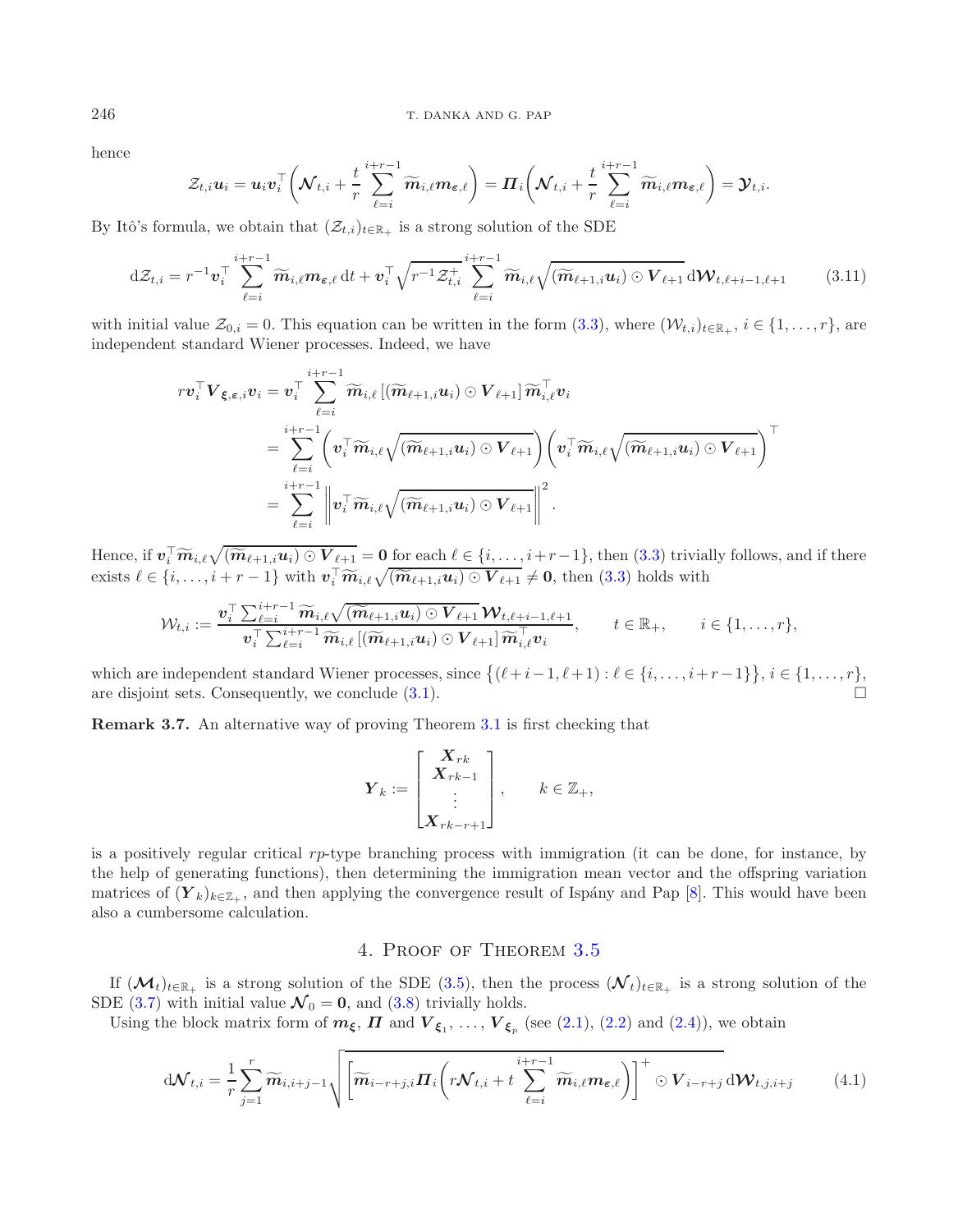hence

<span id="page-8-1"></span>
$$
\mathcal{Z}_{t,i} \boldsymbol{u}_i = \boldsymbol{u}_i \boldsymbol{v}_i^\top \bigg( \mathcal{N}_{t,i} + \frac{t}{r} \sum_{\ell=i}^{i+r-1} \widetilde{\boldsymbol{m}}_{i,\ell} \boldsymbol{m}_{\boldsymbol{\varepsilon},\ell} \bigg) = \boldsymbol{\varPi}_i \bigg( \mathcal{N}_{t,i} + \frac{t}{r} \sum_{\ell=i}^{i+r-1} \widetilde{\boldsymbol{m}}_{i,\ell} \boldsymbol{m}_{\boldsymbol{\varepsilon},\ell} \bigg) = \boldsymbol{\mathcal{Y}}_{t,i}.
$$

By Itô's formula, we obtain that  $(\mathcal{Z}_{t,i})_{t\in\mathbb{R}_+}$  is a strong solution of the SDE

$$
\mathrm{d}\mathcal{Z}_{t,i} = r^{-1} \boldsymbol{v}_i^\top \sum_{\ell=i}^{i+r-1} \widetilde{\boldsymbol{m}}_{i,\ell} \boldsymbol{m}_{\boldsymbol{\varepsilon},\ell} \,\mathrm{d}t + \boldsymbol{v}_i^\top \sqrt{r^{-1} \mathcal{Z}_{t,i}^\top} \sum_{\ell=i}^{i+r-1} \widetilde{\boldsymbol{m}}_{i,\ell} \sqrt{(\widetilde{\boldsymbol{m}}_{\ell+1,i} \boldsymbol{u}_i) \odot \boldsymbol{V}_{\ell+1}} \,\mathrm{d}\boldsymbol{W}_{t,\ell+i-1,\ell+1} \tag{3.11}
$$

with initial value  $\mathcal{Z}_{0,i} = 0$ . This equation can be written in the form  $(3.3)$ , where  $(\mathcal{W}_{t,i})_{t \in \mathbb{R}_+}, i \in \{1, \ldots, r\}$ , are independent standard Wiener processes. Indeed, we have

$$
\begin{aligned}rv_i^\top\boldsymbol{V}_{\boldsymbol{\xi},\boldsymbol{\varepsilon},i}v_i&=v_i^\top\sum_{\ell=i}^{i+r-1}\widetilde{m}_{i,\ell}\left[(\widetilde{m}_{\ell+1,i}u_i)\odot\boldsymbol{V}_{\ell+1}\right]\widetilde{m}_{i,\ell}^\top v_i\\&=\sum_{\ell=i}^{i+r-1}\biggl(v_i^\top\widetilde{m}_{i,\ell}\sqrt{(\widetilde{m}_{\ell+1,i}u_i)\odot\boldsymbol{V}_{\ell+1}}\biggr)\biggl(v_i^\top\widetilde{m}_{i,\ell}\sqrt{(\widetilde{m}_{\ell+1,i}u_i)\odot\boldsymbol{V}_{\ell+1}}\biggr)^{\top}\\&=\sum_{\ell=i}^{i+r-1}\biggl\|v_i^\top\widetilde{m}_{i,\ell}\sqrt{(\widetilde{m}_{\ell+1,i}u_i)\odot\boldsymbol{V}_{\ell+1}}\biggr\|^2~.\end{aligned}
$$

Hence, if  $\mathbf{v}_i^{\top} \widetilde{\mathbf{m}}_{i,\ell} \sqrt{(\widetilde{\mathbf{m}}_{\ell+1,i} \mathbf{u}_i) \odot \mathbf{V}_{\ell+1}} = \mathbf{0}$  for each  $\ell \in \{i, \ldots, i+r-1\}$ , then [\(3.3\)](#page-5-0) trivially follows, and if there exists  $\ell \in \{i, \ldots, i+r-1\}$  with  $\mathbf{v}_i^{\top} \widetilde{\mathbf{m}}_{i,\ell$ 

$$
\mathcal{W}_{t,i} := \frac{\boldsymbol{v}_i^{\top} \sum_{\ell=i}^{i+r-1} \widetilde{\boldsymbol{m}}_{i,\ell} \sqrt{(\widetilde{\boldsymbol{m}}_{\ell+1,i} \boldsymbol{u}_i) \odot \boldsymbol{V}_{\ell+1}} \boldsymbol{W}_{t,\ell+i-1,\ell+1}}{\boldsymbol{v}_i^{\top} \sum_{\ell=i}^{i+r-1} \widetilde{\boldsymbol{m}}_{i,\ell} \left[ (\widetilde{\boldsymbol{m}}_{\ell+1,i} \boldsymbol{u}_i) \odot \boldsymbol{V}_{\ell+1} \right] \widetilde{\boldsymbol{m}}_{i,\ell}^{\top} \boldsymbol{v}_i}, \qquad t \in \mathbb{R}_+, \qquad i \in \{1, \ldots, r\},
$$

which are independent standard Wiener processes, since  $\{(\ell+i-1,\ell+1): \ell \in \{i,\ldots,i+r-1\}\}, i \in \{1,\ldots,r\},\$ are disjoint sets. Consequently, we conclude [\(3.1\)](#page-5-1).

**Remark 3.7.** An alternative way of proving Theorem [3.1](#page-4-0) is first checking that

<span id="page-8-0"></span>
$$
\boldsymbol{Y}_k := \begin{bmatrix} \boldsymbol{X}_{rk} \\ \boldsymbol{X}_{rk-1} \\ \vdots \\ \boldsymbol{X}_{rk-r+1} \end{bmatrix}, \qquad k \in \mathbb{Z}_+,
$$

is a positively regular critical rp-type branching process with immigration (it can be done, for instance, by the help of generating functions), then determining the immigration mean vector and the offspring variation matrices of  $(Y_k)_{k \in \mathbb{Z}_+}$ , and then applying the convergence result of Ispány and Pap [\[8\]](#page-21-1). This would have been also a cumbersome calculation.

## 4. Proof of Theorem [3.5](#page-6-4)

If  $(\mathcal{M}_t)_{t\in\mathbb{R}_+}$  is a strong solution of the SDE [\(3.5\)](#page-6-1), then the process  $(\mathcal{N}_t)_{t\in\mathbb{R}_+}$  is a strong solution of the SDE [\(3.7\)](#page-6-5) with initial value  $\mathcal{N}_0 = 0$ , and [\(3.8\)](#page-6-6) trivially holds.

Using the block matrix form of  $m_{\xi}$ ,  $\Pi$  and  $V_{\xi_1}, \ldots, V_{\xi_p}$  (see [\(2.1\)](#page-3-0), [\(2.2\)](#page-4-1) and [\(2.4\)](#page-4-2)), we obtain

$$
d\mathcal{N}_{t,i} = \frac{1}{r} \sum_{j=1}^{r} \widetilde{m}_{i,i+j-1} \sqrt{\left[\widetilde{m}_{i-r+j,i} \boldsymbol{\Pi}_{i} \left(r \mathcal{N}_{t,i} + t \sum_{\ell=i}^{i+r-1} \widetilde{m}_{i,\ell} m_{\varepsilon,\ell}\right)\right]^{+} \odot \boldsymbol{V}_{i-r+j} d\mathcal{W}_{t,j,i+j}}
$$
(4.1)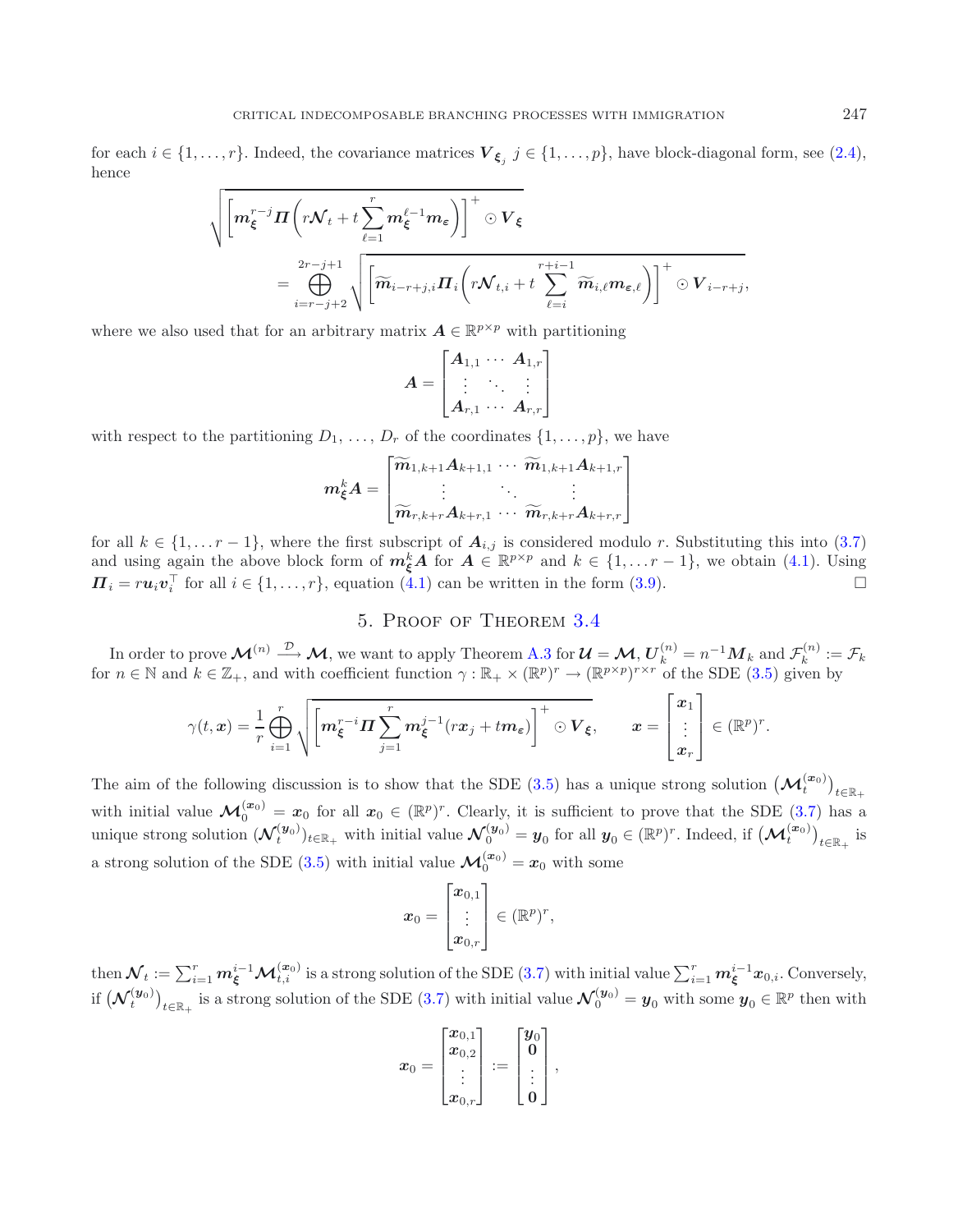for each  $i \in \{1, \ldots, r\}$ . Indeed, the covariance matrices  $V_{\xi_i}$   $j \in \{1, \ldots, p\}$ , have block-diagonal form, see [\(2.4\)](#page-4-2), hence

$$
\sqrt{\Bigg[m_{\xi}^{r-j} \boldsymbol{\Pi} \bigg(r \mathcal{N}_t + t \sum_{\ell=1}^r m_{\xi}^{\ell-1} m_{\varepsilon} \bigg) \Bigg]^+} \odot \boldsymbol{V}_{\xi} = \bigoplus_{i=r-j+2}^{2r-j+1} \sqrt{\Bigg[\widetilde{\boldsymbol{m}}_{i-r+j,i} \boldsymbol{\Pi}_i \bigg(r \mathcal{N}_{t,i} + t \sum_{\ell=i}^{r+i-1} \widetilde{\boldsymbol{m}}_{i,\ell} m_{\varepsilon,\ell}\bigg)\Bigg]^+} \odot \boldsymbol{V}_{i-r+j},
$$

where we also used that for an arbitrary matrix  $A \in \mathbb{R}^{p \times p}$  with partitioning

$$
A = \begin{bmatrix} A_{1,1} & \cdots & A_{1,r} \\ \vdots & \ddots & \vdots \\ A_{r,1} & \cdots & A_{r,r} \end{bmatrix}
$$

with respect to the partitioning  $D_1, \ldots, D_r$  of the coordinates  $\{1, \ldots, p\}$ , we have

$$
m_{\xi}^{k} A = \begin{bmatrix} \widetilde{m}_{1,k+1} A_{k+1,1} & \cdots & \widetilde{m}_{1,k+1} A_{k+1,r} \\ \vdots & \ddots & \vdots \\ \widetilde{m}_{r,k+r} A_{k+r,1} & \cdots & \widetilde{m}_{r,k+r} A_{k+r,r} \end{bmatrix}
$$

for all  $k \in \{1, \ldots r-1\}$ , where the first subscript of  $A_{i,j}$  is considered modulo r. Substituting this into [\(3.7\)](#page-6-5) and using again the above block form of  $m_{\xi}^{k}A$  for  $A \in \mathbb{R}^{p \times p}$  and  $k \in \{1, ..., r-1\}$ , we obtain [\(4.1\)](#page-8-0). Using  $\Pi_i = r u_i v_i^{\top}$  for all  $i \in \{1, ..., r\}$ , equation [\(4.1\)](#page-8-0) can be written in the form [\(3.9\)](#page-7-2).

# 5. Proof of Theorem [3.4](#page-6-0)

In order to prove  $\mathcal{M}^{(n)} \stackrel{\mathcal{D}}{\longrightarrow} \mathcal{M}$ , we want to apply Theorem [A.3](#page-20-1) for  $\mathcal{U} = \mathcal{M}, U_k^{(n)} = n^{-1} M_k$  and  $\mathcal{F}_k^{(n)} := \mathcal{F}_k$ for  $n \in \mathbb{N}$  and  $k \in \mathbb{Z}_+$ , and with coefficient function  $\gamma : \mathbb{R}_+ \times (\mathbb{R}^p)^r \to (\mathbb{R}^{p \times p})^{r \times r}$  of the SDE [\(3.5\)](#page-6-1) given by

$$
\gamma(t,x)=\frac{1}{r}\bigoplus_{i=1}^r\sqrt{\left[m_{\xi}^{r-i}\Pi\sum_{j=1}^r m_{\xi}^{j-1}(rx_j+tm_{\varepsilon})\right]^+}\odot V_{\xi},\qquad x=\begin{bmatrix}x_1\\ \vdots\\ x_r\end{bmatrix}\in(\mathbb{R}^p)^r.
$$

The aim of the following discussion is to show that the SDE [\(3.5\)](#page-6-1) has a unique strong solution  $(\mathcal{M}_t^{(x_0)})_{t \in \mathbb{R}_+}$ with initial value  $\mathcal{M}_0^{(x_0)} = x_0$  for all  $x_0 \in (\mathbb{R}^p)^r$ . Clearly, it is sufficient to prove that the SDE [\(3.7\)](#page-6-5) has a unique strong solution  $(\mathcal{N}_t^{(\mathbf{y}_0)})_{t \in \mathbb{R}_+}$  with initial value  $\mathcal{N}_0^{(\mathbf{y}_0)} = \mathbf{y}_0$  for all  $\mathbf{y}_0 \in (\mathbb{R}^p)^r$ . Indeed, if  $(\mathcal{M}_t^{(\mathbf{x}_0)})_{t \in \mathbb{R}_+}$  is a strong solution of the SDE [\(3.5\)](#page-6-1) with initial value  $\mathcal{M}_0^{(x_0)} = x_0$  with some

$$
\boldsymbol{x}_0 = \begin{bmatrix} \boldsymbol{x}_{0,1} \\ \vdots \\ \boldsymbol{x}_{0,r} \end{bmatrix} \in (\mathbb{R}^p)^r,
$$

then  $\mathcal{N}_t := \sum_{i=1}^r m_{\xi}^{i-1} \mathcal{M}_{t,i}^{(\bm{x}_0)}$  is a strong solution of the SDE [\(3.7\)](#page-6-5) with initial value  $\sum_{i=1}^r m_{\xi}^{i-1} x_{0,i}$ . Conversely, if  $(\mathcal{N}_t^{(\mathbf{y}_0)})_{t \in \mathbb{R}_+}$  is a strong solution of the SDE [\(3.7\)](#page-6-5) with initial value  $\mathcal{N}_0^{(\mathbf{y}_0)} = \mathbf{y}_0$  with some  $\mathbf{y}_0 \in \mathbb{R}^p$  then with

$$
x_0 = \begin{bmatrix} x_{0,1} \\ x_{0,2} \\ \vdots \\ x_{0,r} \end{bmatrix} := \begin{bmatrix} y_0 \\ 0 \\ \vdots \\ 0 \end{bmatrix},
$$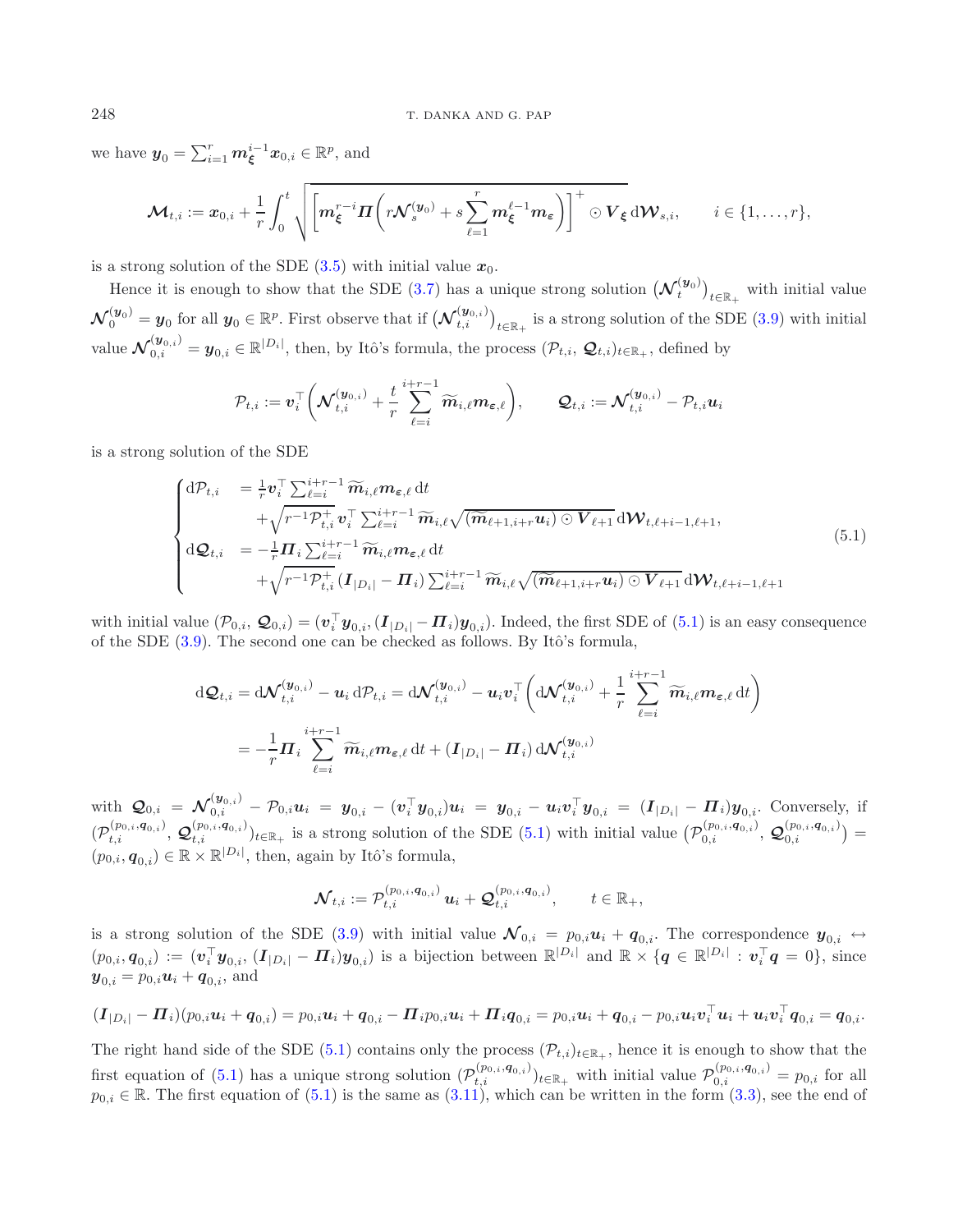we have  $y_0 = \sum_{i=1}^r m_{\xi}^{i-1} x_{0,i} \in \mathbb{R}^p$ , and

<span id="page-10-0"></span>
$$
\mathcal{M}_{t,i} := x_{0,i} + \frac{1}{r} \int_0^t \sqrt{\left[m_{\xi}^{r-i} \Pi \left(r \mathcal{N}_s^{(y_0)} + s \sum_{\ell=1}^r m_{\xi}^{\ell-1} m_{\epsilon}\right)\right]^+} \odot V_{\xi} d\mathcal{W}_{s,i}, \qquad i \in \{1, \ldots, r\},\
$$

is a strong solution of the SDE  $(3.5)$  with initial value  $x_0$ .

Hence it is enough to show that the SDE  $(3.7)$  has a unique strong solution  $(\mathcal{N}_t^{(\mathbf{y}_0)})_{t \in \mathbb{R}_+}$  with initial value  $\mathcal{N}_0^{(\boldsymbol{y}_0)} = \boldsymbol{y}_0$  for all  $\boldsymbol{y}_0 \in \mathbb{R}^p$ . First observe that if  $(\mathcal{N}_{t,i}^{(\boldsymbol{y}_{0,i})})_{t \in \mathbb{R}_+}$  is a strong solution of the SDE [\(3.9\)](#page-7-2) with initial value  $\mathcal{N}_{0,i}^{(\boldsymbol{y}_{0,i})} = \boldsymbol{y}_{0,i} \in \mathbb{R}^{|D_i|}$ , then, by Itô's formula, the process  $(\mathcal{P}_{t,i}, \mathcal{Q}_{t,i})_{t \in \mathbb{R}_+}$ , defined by

$$
\mathcal{P}_{t,i} := \boldsymbol{v}_i^\top \bigg( \boldsymbol{\mathcal{N}}^{(\boldsymbol{y}_{0,i})}_{t,i} + \frac{t}{r} \sum_{\ell=i}^{i+r-1} \widetilde{\boldsymbol{m}}_{i,\ell} \boldsymbol{m}_{\boldsymbol{\varepsilon},\ell} \bigg), \qquad \boldsymbol{\mathcal{Q}}_{t,i} := \boldsymbol{\mathcal{N}}^{(\boldsymbol{y}_{0,i})}_{t,i} - \mathcal{P}_{t,i} \boldsymbol{u}_i
$$

is a strong solution of the SDE

$$
\begin{cases}\ndP_{t,i} &= \frac{1}{r} \mathbf{v}_{i}^{\top} \sum_{\ell=i}^{i+r-1} \widetilde{m}_{i,\ell} m_{\varepsilon,\ell} dt \\
&+ \sqrt{r^{-1} \mathcal{P}_{t,i}^+} \mathbf{v}_{i}^{\top} \sum_{\ell=i}^{i+r-1} \widetilde{m}_{i,\ell} \sqrt{(\widetilde{m}_{\ell+1,i+r} u_{i}) \odot V_{\ell+1}} d \mathcal{W}_{t,\ell+i-1,\ell+1}, \\
d\mathbf{Q}_{t,i} &= -\frac{1}{r} \mathbf{\Pi}_{i} \sum_{\ell=i}^{i+r-1} \widetilde{m}_{i,\ell} m_{\varepsilon,\ell} dt \\
&+ \sqrt{r^{-1} \mathcal{P}_{t,i}^+} (\mathbf{I}_{|D_{i}|} - \mathbf{\Pi}_{i}) \sum_{\ell=i}^{i+r-1} \widetilde{m}_{i,\ell} \sqrt{(\widetilde{m}_{\ell+1,i+r} u_{i}) \odot V_{\ell+1}} d \mathcal{W}_{t,\ell+i-1,\ell+1}\n\end{cases} (5.1)
$$

with initial value  $(\mathcal{P}_{0,i}, \mathcal{Q}_{0,i}) = (\mathbf{v}_i^{\top} \mathbf{y}_{0,i},(\mathbf{I}_{|D_i|} - \mathbf{\Pi}_i)\mathbf{y}_{0,i})$ . Indeed, the first SDE of  $(5.1)$  is an easy consequence of the SDE  $(3.9)$ . The second one can be checked as follows. By Itô's formula,

$$
d\mathcal{Q}_{t,i} = d\mathcal{N}_{t,i}^{(\mathbf{y}_{0,i})} - \mathbf{u}_i d\mathcal{P}_{t,i} = d\mathcal{N}_{t,i}^{(\mathbf{y}_{0,i})} - \mathbf{u}_i \mathbf{v}_i^{\top} \left( d\mathcal{N}_{t,i}^{(\mathbf{y}_{0,i})} + \frac{1}{r} \sum_{\ell=i}^{i+r-1} \widetilde{m}_{i,\ell} m_{\varepsilon,\ell} dt \right)
$$
  
= 
$$
-\frac{1}{r} \mathbf{\Pi}_i \sum_{\ell=i}^{i+r-1} \widetilde{m}_{i,\ell} m_{\varepsilon,\ell} dt + (\mathbf{I}_{|D_i|} - \mathbf{\Pi}_i) d\mathcal{N}_{t,i}^{(\mathbf{y}_{0,i})}
$$

 $\mathcal{Q}_{0,i} = \mathcal{N}_{0,i}^{(\mathbf{y}_{0,i})} - \mathcal{P}_{0,i} \mathbf{u}_i = \mathbf{y}_{0,i} - (\mathbf{v}_i^{\top} \mathbf{y}_{0,i}) \mathbf{u}_i = \mathbf{y}_{0,i} - \mathbf{u}_i \mathbf{v}_i^{\top} \mathbf{y}_{0,i} = (I_{|D_i|} - \mathbf{\Pi}_i) \mathbf{y}_{0,i}.$  Conversely, if  $(\mathcal{P}^{(p_{0,i}, q_{0,i})}_{t,i}, \mathcal{Q}^{(p_{0,i}, q_{0,i})}_{t,i})_{t \in \mathbb{R}_+}$  is a strong solution of the SDE [\(5.1\)](#page-10-0) with initial value  $(\mathcal{P}^{(p_{0,i}, q_{0,i})}_{0,i}, \mathcal{Q}^{(p_{0,i}, q_{0,i})}_{0,i}) =$  $(p_{0,i}, \boldsymbol{q}_{0,i}) \in \mathbb{R} \times \mathbb{R}^{|D_i|}$ , then, again by Itô's formula,

$$
\mathcal{N}_{t,i}:=\mathcal{P}_{t,i}^{(p_{0,i},\boldsymbol{q}_{0,i})}\, \boldsymbol{u}_i+\mathcal{Q}_{t,i}^{(p_{0,i},\boldsymbol{q}_{0,i})}, \qquad t\in\mathbb{R}_+,
$$

is a strong solution of the SDE [\(3.9\)](#page-7-2) with initial value  $\mathcal{N}_{0,i} = p_{0,i}u_i + q_{0,i}$ . The correspondence  $y_{0,i} \leftrightarrow$  $(p_{0,i}, \boldsymbol{q}_{0,i}) := (\boldsymbol{v}_i^{\top} \boldsymbol{y}_{0,i}, (\boldsymbol{I}_{|D_i|} - \boldsymbol{\Pi}_i) \boldsymbol{y}_{0,i})$  is a bijection between  $\mathbb{R}^{|D_i|}$  and  $\mathbb{R} \times {\boldsymbol{q}} \in \mathbb{R}^{|D_i|} : \boldsymbol{v}_i^{\top} \boldsymbol{q} = 0$ , since  $y_{0,i} = p_{0,i}u_i + q_{0,i}$ , and

$$
(\boldsymbol{I}_{|D_i|} - \boldsymbol{\Pi}_i)(p_{0,i}\boldsymbol{u}_i + \boldsymbol{q}_{0,i}) = p_{0,i}\boldsymbol{u}_i + \boldsymbol{q}_{0,i} - \boldsymbol{\Pi}_i p_{0,i}\boldsymbol{u}_i + \boldsymbol{\Pi}_i \boldsymbol{q}_{0,i} = p_{0,i}\boldsymbol{u}_i + \boldsymbol{q}_{0,i} - p_{0,i}\boldsymbol{u}_i \boldsymbol{v}_i^\top \boldsymbol{u}_i + \boldsymbol{u}_i \boldsymbol{v}_i^\top \boldsymbol{q}_{0,i} = \boldsymbol{q}_{0,i}.
$$

The right hand side of the SDE [\(5.1\)](#page-10-0) contains only the process  $(\mathcal{P}_{t,i})_{t\in\mathbb{R}_+}$ , hence it is enough to show that the first equation of [\(5.1\)](#page-10-0) has a unique strong solution  $(\mathcal{P}^{(p_0,i,q_{0,i})}_{t,i})_{t \in \mathbb{R}_+}$  with initial value  $\mathcal{P}^{(p_0,i,q_{0,i})}_{0,i} = p_{0,i}$  for all  $p_{0,i} \in \mathbb{R}$ . The first equation of  $(5.1)$  is the same as  $(3.11)$ , which can be written in the form  $(3.3)$ , see the end of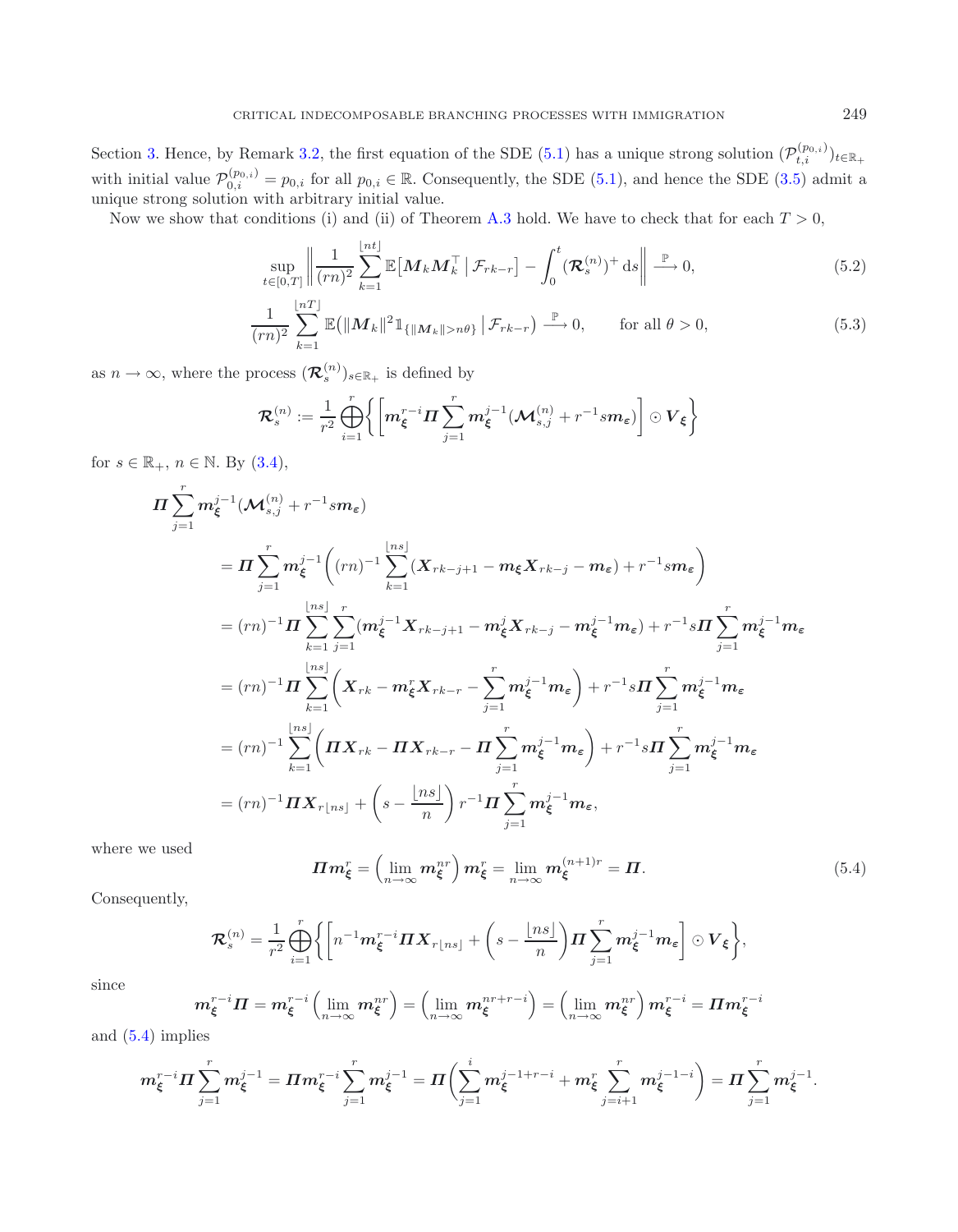Section [3.](#page-4-3) Hence, by Remark [3.2,](#page-5-3) the first equation of the SDE [\(5.1\)](#page-10-0) has a unique strong solution  $(\mathcal{P}_{t,i}^{(p_{0,i})})_{t\in\mathbb{R}_+}$ with initial value  $\mathcal{P}_{0,i}^{(p_{0,i})} = p_{0,i}$  for all  $p_{0,i} \in \mathbb{R}$ . Consequently, the SDE [\(5.1\)](#page-10-0), and hence the SDE [\(3.5\)](#page-6-1) admit a unique strong solution with arbitrary initial value.

Now we show that conditions (i) and (ii) of Theorem [A.3](#page-20-1) hold. We have to check that for each  $T > 0$ ,

<span id="page-11-2"></span><span id="page-11-1"></span>
$$
\sup_{t\in[0,T]}\left\|\frac{1}{(rn)^2}\sum_{k=1}^{\lfloor nt\rfloor}\mathbb{E}\left[\boldsymbol{M}_k\boldsymbol{M}_k^\top\,\big|\,\mathcal{F}_{rk-r}\right]-\int_0^t(\boldsymbol{\mathcal{R}}_s^{(n)})^+\,\mathrm{d}s\right\|\xrightarrow{\mathbb{P}}0,\tag{5.2}
$$

$$
\frac{1}{(rn)^2} \sum_{k=1}^{\lfloor nT \rfloor} \mathbb{E} \big( \| \boldsymbol{M}_k \|^2 \mathbb{1}_{\{ \| \boldsymbol{M}_k \| > n\theta \}} \, \big| \, \mathcal{F}_{rk-r} \big) \stackrel{\mathbb{P}}{\longrightarrow} 0, \qquad \text{for all } \theta > 0,\tag{5.3}
$$

as  $n\to\infty,$  where the process  $(\boldsymbol{\mathcal{R}}_s^{(n)})_{s\in\mathbb{R}_+}$  is defined by

$$
\boldsymbol{\mathcal{R}}_s^{(n)}:=\frac{1}{r^2}\bigoplus_{i=1}^r\biggl\{\biggl[m_{\boldsymbol{\xi}}^{r-i}\boldsymbol{\varPi}\sum_{j=1}^r m_{\boldsymbol{\xi}}^{j-1}(\boldsymbol{\mathcal{M}}_{s,j}^{(n)}+r^{-1} s m_{\boldsymbol{\varepsilon}})\biggr]\odot\boldsymbol{V}_{\boldsymbol{\xi}}\biggr\}
$$

for  $s \in \mathbb{R}_+$ ,  $n \in \mathbb{N}$ . By  $(3.4)$ ,

<span id="page-11-0"></span>
$$
\Pi \sum_{j=1}^{r} m_{\xi}^{j-1} (\mathcal{M}_{s,j}^{(n)} + r^{-1} s m_{\varepsilon})
$$
\n
$$
= \Pi \sum_{j=1}^{r} m_{\xi}^{j-1} ((rn)^{-1} \sum_{k=1}^{\lfloor ns \rfloor} (X_{rk-j+1} - m_{\xi} X_{rk-j} - m_{\varepsilon}) + r^{-1} s m_{\varepsilon})
$$
\n
$$
= (rn)^{-1} \Pi \sum_{k=1}^{\lfloor ns \rfloor} \sum_{j=1}^{r} (m_{\xi}^{j-1} X_{rk-j+1} - m_{\xi}^{j} X_{rk-j} - m_{\xi}^{j-1} m_{\varepsilon}) + r^{-1} s \Pi \sum_{j=1}^{r} m_{\xi}^{j-1} m_{\varepsilon}
$$
\n
$$
= (rn)^{-1} \Pi \sum_{k=1}^{\lfloor ns \rfloor} \left( X_{rk} - m_{\xi}^{r} X_{rk-r} - \sum_{j=1}^{r} m_{\xi}^{j-1} m_{\varepsilon} \right) + r^{-1} s \Pi \sum_{j=1}^{r} m_{\xi}^{j-1} m_{\varepsilon}
$$
\n
$$
= (rn)^{-1} \sum_{k=1}^{\lfloor ns \rfloor} \left( \Pi X_{rk} - \Pi X_{rk-r} - \Pi \sum_{j=1}^{r} m_{\xi}^{j-1} m_{\varepsilon} \right) + r^{-1} s \Pi \sum_{j=1}^{r} m_{\xi}^{j-1} m_{\varepsilon}
$$
\n
$$
= (rn)^{-1} \Pi X_{r \lfloor ns \rfloor} + \left( s - \frac{\lfloor ns \rfloor}{n} \right) r^{-1} \Pi \sum_{j=1}^{r} m_{\xi}^{j-1} m_{\varepsilon},
$$

where we used

$$
\boldsymbol{\Pi}\boldsymbol{m}_{\boldsymbol{\xi}}^r = \left(\lim_{n \to \infty} \boldsymbol{m}_{\boldsymbol{\xi}}^{nr}\right) \boldsymbol{m}_{\boldsymbol{\xi}}^r = \lim_{n \to \infty} \boldsymbol{m}_{\boldsymbol{\xi}}^{(n+1)r} = \boldsymbol{\Pi}.
$$
 (5.4)

Consequently,

$$
\mathcal{R}_s^{(n)} = \frac{1}{r^2} \bigoplus_{i=1}^r \bigg\{ \bigg[ n^{-1} m_{\xi}^{r-i} \Pi X_{r \lfloor ns \rfloor} + \bigg( s - \frac{\lfloor ns \rfloor}{n} \bigg) \Pi \sum_{j=1}^r m_{\xi}^{j-1} m_{\varepsilon} \bigg] \odot V_{\xi} \bigg\},
$$

since

$$
\boldsymbol{m}^{r-i}_{\boldsymbol{\xi}}\boldsymbol{\Pi}=\boldsymbol{m}^{r-i}_{\boldsymbol{\xi}}\left(\lim_{n\to\infty}\boldsymbol{m}^{nr}_{\boldsymbol{\xi}}\right)=\left(\lim_{n\to\infty}\boldsymbol{m}^{nr+r-i}_{\boldsymbol{\xi}}\right)=\left(\lim_{n\to\infty}\boldsymbol{m}^{nr}_{\boldsymbol{\xi}}\right)\boldsymbol{m}^{r-i}_{\boldsymbol{\xi}}=\boldsymbol{\Pi}\boldsymbol{m}^{r-i}_{\boldsymbol{\xi}}
$$

and [\(5.4\)](#page-11-0) implies

$$
m_{\xi}^{r-i}\Pi\sum_{j=1}^r m_{\xi}^{j-1} = \Pi m_{\xi}^{r-i}\sum_{j=1}^r m_{\xi}^{j-1} = \Pi\bigg(\sum_{j=1}^i m_{\xi}^{j-1+r-i} + m_{\xi}^r \sum_{j=i+1}^r m_{\xi}^{j-1-i}\bigg) = \Pi \sum_{j=1}^r m_{\xi}^{j-1}.
$$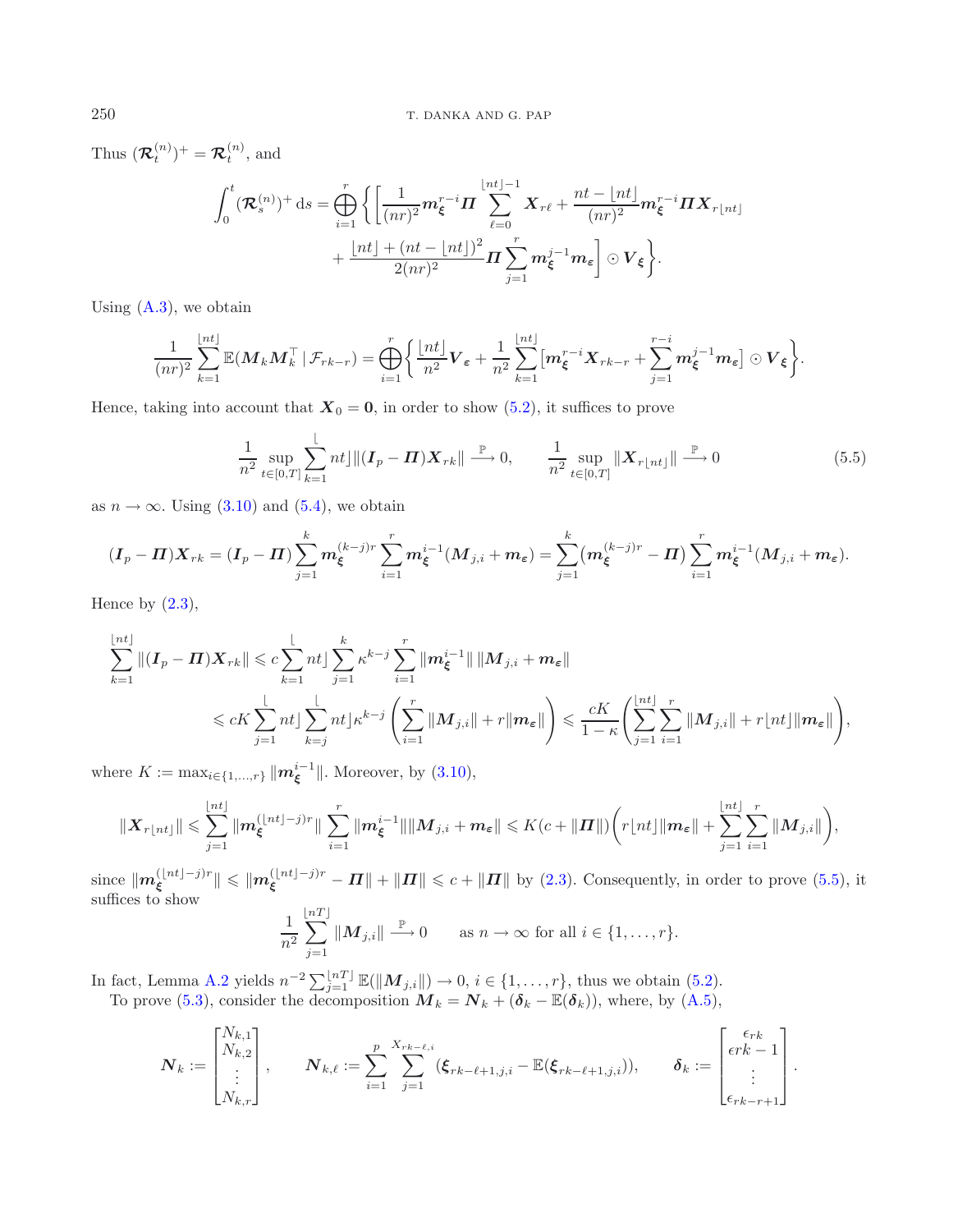Thus  $(\mathcal{R}_t^{(n)})^+ = \mathcal{R}_t^{(n)}$ , and

<span id="page-12-0"></span>
$$
\int_0^t (\mathcal{R}_s^{(n)})^+ ds = \bigoplus_{i=1}^r \left\{ \left[ \frac{1}{(nr)^2} m_{\xi}^{r-i} \mathbf{\Pi} \sum_{\ell=0}^{\lfloor nt \rfloor -1} \mathbf{X}_{r\ell} + \frac{nt - \lfloor nt \rfloor}{(nr)^2} m_{\xi}^{r-i} \mathbf{\Pi} \mathbf{X}_{r\lfloor nt \rfloor} \right. \\ \left. + \frac{\lfloor nt \rfloor + (nt - \lfloor nt \rfloor)^2}{2(nr)^2} \mathbf{\Pi} \sum_{j=1}^r m_{\xi}^{j-1} m_{\epsilon} \right] \odot V_{\xi} \right\}.
$$

Using  $(A.3)$ , we obtain

$$
\frac{1}{(nr)^2}\sum_{k=1}^{\lfloor nt \rfloor}\mathbb{E}(M_kM_k^{\top}|\mathcal{F}_{rk-r})=\bigoplus_{i=1}^r\bigg\{\frac{\lfloor nt \rfloor}{n^2}V_{\varepsilon}+\frac{1}{n^2}\sum_{k=1}^{\lfloor nt \rfloor}[m_{\xi}^{r-i}X_{rk-r}+\sum_{j=1}^{r-i}m_{\xi}^{j-1}m_{\varepsilon}]\odot V_{\xi}\bigg\}.
$$

Hence, taking into account that  $X_0 = 0$ , in order to show [\(5.2\)](#page-11-1), it suffices to prove

$$
\frac{1}{n^2} \sup_{t \in [0,T]} \sum_{k=1}^{\lfloor} nt \rfloor \| (I_p - \Pi) X_{rk} \| \stackrel{\mathbb{P}}{\longrightarrow} 0, \qquad \frac{1}{n^2} \sup_{t \in [0,T]} \| X_{r \lfloor nt \rfloor} \| \stackrel{\mathbb{P}}{\longrightarrow} 0 \tag{5.5}
$$

as  $n \to \infty$ . Using [\(3.10\)](#page-7-0) and [\(5.4\)](#page-11-0), we obtain

$$
(\boldsymbol{I}_p - \boldsymbol{\Pi})\boldsymbol{X}_{rk} = (\boldsymbol{I}_p - \boldsymbol{\Pi})\sum_{j=1}^k m_{\boldsymbol{\xi}}^{(k-j)r} \sum_{i=1}^r m_{\boldsymbol{\xi}}^{i-1}(\boldsymbol{M}_{j,i} + \boldsymbol{m}_{\boldsymbol{\varepsilon}}) = \sum_{j=1}^k (m_{\boldsymbol{\xi}}^{(k-j)r} - \boldsymbol{\Pi})\sum_{i=1}^r m_{\boldsymbol{\xi}}^{i-1}(\boldsymbol{M}_{j,i} + \boldsymbol{m}_{\boldsymbol{\varepsilon}}).
$$

Hence by  $(2.3)$ ,

$$
\sum_{k=1}^{\lfloor nt \rfloor} \left\| (\boldsymbol{I}_p - \boldsymbol{\Pi}) \boldsymbol{X}_{rk} \right\| \leqslant c \sum_{k=1}^{\lfloor nt \rfloor} \sum_{j=1}^{k} \kappa^{k-j} \sum_{i=1}^{r} \left\| \boldsymbol{m}_{\boldsymbol{\xi}}^{i-1} \right\| \left\| \boldsymbol{M}_{j,i} + \boldsymbol{m}_{\boldsymbol{\varepsilon}} \right\|
$$
  

$$
\leqslant c K \sum_{j=1}^{\lfloor nt \rfloor} \sum_{k=j}^{\lfloor nt \rfloor} \sum_{k=j}^{k} n t \right| \kappa^{k-j} \left( \sum_{i=1}^{r} \left\| \boldsymbol{M}_{j,i} \right\| + r \left\| \boldsymbol{m}_{\boldsymbol{\varepsilon}} \right\| \right) \leqslant \frac{c K}{1 - \kappa} \left( \sum_{j=1}^{\lfloor nt \rfloor} \sum_{i=1}^{r} \left\| \boldsymbol{M}_{j,i} \right\| + r \left\| nt \right\| \left\| \boldsymbol{m}_{\boldsymbol{\varepsilon}} \right\| \right),
$$

where  $K := \max_{i \in \{1, ..., r\}} ||m_{\xi}^{i-1}||$ . Moreover, by [\(3.10\)](#page-7-0),

$$
\|X_{r{\lfloor nt\rfloor}}\| \leqslant \sum_{j=1}^{\lfloor nt\rfloor} \|m_{\xi}^{(\lfloor nt\rfloor-j)r}\| \sum_{i=1}^r \|m_{\xi}^{i-1}\| \|M_{j,i}+m_{\varepsilon}\| \leqslant K(c+\|H\|) \bigg(r{\lfloor nt\rfloor} \|m_{\varepsilon}\| + \sum_{j=1}^{\lfloor nt\rfloor} \sum_{i=1}^r \|M_{j,i}\|\bigg),
$$

 $\text{since } \|m_{\xi}^{(\lfloor nt \rfloor - j)r} \| \leqslant \|m_{\xi}^{(\lfloor nt \rfloor - j)r} - \Pi\| + \|\Pi\| \leqslant c + \|\Pi\|$  by [\(2.3\)](#page-4-4). Consequently, in order to prove [\(5.5\)](#page-12-0), it suffices to show  $\lfloor nT \rfloor$ 

$$
\frac{1}{n^2}\sum_{j=1}^{\lfloor n\rfloor} \|M_{j,i}\| \stackrel{\mathbb{P}}{\longrightarrow} 0 \quad \text{as } n \to \infty \text{ for all } i \in \{1,\ldots,r\}.
$$

In fact, Lemma [A.2](#page-19-0) yields  $n^{-2} \sum_{j=1}^{\lfloor nT \rfloor} \mathbb{E}(\|M_{j,i}\|) \to 0, i \in \{1, \ldots, r\}$ , thus we obtain [\(5.2\)](#page-11-1). To prove [\(5.3\)](#page-11-2), consider the decomposition  $M_k = N_k + (\delta_k - \mathbb{E}(\delta_k))$ , where, by  $(A.5)$ ,

$$
\boldsymbol{N}_k := \begin{bmatrix} N_{k,1} \\ N_{k,2} \\ \vdots \\ N_{k,r} \end{bmatrix}, \qquad \boldsymbol{N}_{k,\ell} := \sum_{i=1}^p \sum_{j=1}^{X_{rk-\ell,i}} (\boldsymbol{\xi}_{rk-\ell+1,j,i} - \mathbb{E}(\boldsymbol{\xi}_{rk-\ell+1,j,i})), \qquad \boldsymbol{\delta}_k := \begin{bmatrix} \epsilon_{rk} \\ \epsilon_{rk} - 1 \\ \vdots \\ \epsilon_{rk-r+1} \end{bmatrix}.
$$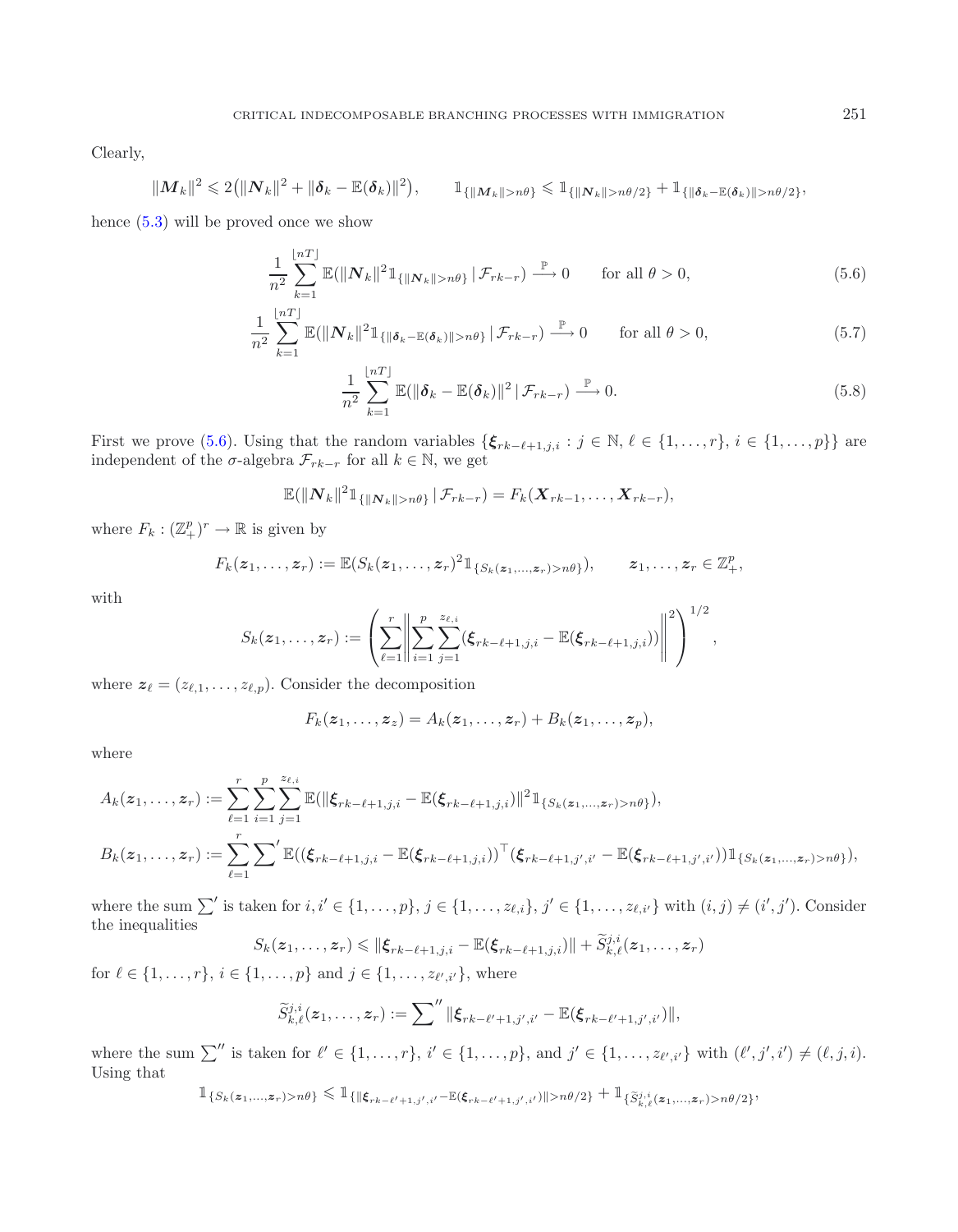Clearly,

$$
||M_k||^2 \leq 2(||N_k||^2 + ||\delta_k - \mathbb{E}(\delta_k)||^2), \qquad 1_{\{||M_k|| > n\theta\}} \leq 1_{\{||N_k|| > n\theta/2\}} + 1_{\{||\delta_k - \mathbb{E}(\delta_k)|| > n\theta/2\}},
$$

hence [\(5.3\)](#page-11-2) will be proved once we show

<span id="page-13-0"></span>
$$
\frac{1}{n^2} \sum_{k=1}^{\lfloor nT \rfloor} \mathbb{E}(\|N_k\|^2 \mathbb{1}_{\{\|N_k\|>n\theta\}} \,|\, \mathcal{F}_{rk-r}) \stackrel{\mathbb{P}}{\longrightarrow} 0 \qquad \text{for all } \theta > 0,\tag{5.6}
$$

$$
\frac{1}{n^2} \sum_{k=1}^{\lfloor nT \rfloor} \mathbb{E}(\|N_k\|^2 \mathbb{1}_{\{\|\boldsymbol{\delta}_k - \mathbb{E}(\boldsymbol{\delta}_k)\| > n\theta\}} |\mathcal{F}_{rk-r}) \stackrel{\mathbb{P}}{\longrightarrow} 0 \quad \text{for all } \theta > 0,
$$
\n(5.7)

<span id="page-13-2"></span><span id="page-13-1"></span>
$$
\frac{1}{n^2} \sum_{k=1}^{\lfloor nT \rfloor} \mathbb{E}(\|\boldsymbol{\delta}_k - \mathbb{E}(\boldsymbol{\delta}_k)\|^2 \, \|\mathcal{F}_{rk-r}) \stackrel{\mathbb{P}}{\longrightarrow} 0. \tag{5.8}
$$

First we prove [\(5.6\)](#page-13-0). Using that the random variables  $\{\xi_{rk-\ell+1,j,i} : j \in \mathbb{N}, \ell \in \{1,\ldots,r\}, i \in \{1,\ldots,p\}\}\$ are independent of the  $\sigma$ -algebra  $\mathcal{F}_{rk-r}$  for all  $k \in \mathbb{N}$ , we get

$$
\mathbb{E}(\|N_k\|^2 \mathbb{1}_{\{\|N_k\|>n\theta\}}\,|\,\mathcal{F}_{rk-r})=F_k(\mathbf{X}_{rk-1},\ldots,\mathbf{X}_{rk-r}),
$$

where  $F_k: (\mathbb{Z}_{+}^p)^r \to \mathbb{R}$  is given by

$$
F_k(z_1,\ldots,z_r):=\mathbb{E}(S_k(z_1,\ldots,z_r)^2\mathbb{1}_{\{S_k(z_1,\ldots,z_r)>n\theta\}}),\qquad z_1,\ldots,z_r\in\mathbb{Z}_+^p,
$$

with

$$
S_k(z_1,\ldots,z_r) := \left(\sum_{\ell=1}^r \left\| \sum_{i=1}^p \sum_{j=1}^{z_{\ell,i}} (\xi_{rk-\ell+1,j,i} - \mathbb{E}(\xi_{rk-\ell+1,j,i})) \right\|^2 \right)^{1/2},
$$

where  $z_{\ell} = (z_{\ell,1}, \ldots, z_{\ell,p})$ . Consider the decomposition

$$
F_k(\boldsymbol{z}_1,\ldots,\boldsymbol{z}_z)=A_k(\boldsymbol{z}_1,\ldots,\boldsymbol{z}_r)+B_k(\boldsymbol{z}_1,\ldots,\boldsymbol{z}_p),
$$

where

$$
A_k(z_1,\ldots,z_r) := \sum_{\ell=1}^r \sum_{i=1}^p \sum_{j=1}^{z_{\ell,i}} \mathbb{E}(\|\xi_{rk-\ell+1,j,i}-\mathbb{E}(\xi_{rk-\ell+1,j,i})\|^2 1_{\{S_k(z_1,\ldots,z_r)>n\theta\}}),
$$
  

$$
B_k(z_1,\ldots,z_r) := \sum_{\ell=1}^r \sum' \mathbb{E}((\xi_{rk-\ell+1,j,i}-\mathbb{E}(\xi_{rk-\ell+1,j,i}))^\top (\xi_{rk-\ell+1,j',i'}-\mathbb{E}(\xi_{rk-\ell+1,j',i'})) 1_{\{S_k(z_1,\ldots,z_r)>n\theta\}}),
$$

where the sum  $\sum'$  is taken for  $i, i' \in \{1, \ldots, p\}, j \in \{1, \ldots, z_{\ell,i}\}, j' \in \{1, \ldots, z_{\ell,i'}\}$  with  $(i, j) \neq (i', j')$ . Consider the inequalities

$$
S_k(\boldsymbol{z}_1,\ldots,\boldsymbol{z}_r)\leqslant\|\boldsymbol{\xi}_{rk-\ell+1,j,i}-\mathbb{E}(\boldsymbol{\xi}_{rk-\ell+1,j,i})\|+\widetilde{S}_{k,\ell}^{j,i}(\boldsymbol{z}_1,\ldots,\boldsymbol{z}_r)
$$

for  $\ell \in \{1, ..., r\}, i \in \{1, ..., p\}$  and  $j \in \{1, ..., z_{\ell', i'}\},$  where

$$
\widetilde{S}_{k,\ell}^{j,i}(z_1,\ldots,z_r):=\sum''\|\boldsymbol{\xi}_{rk-\ell'+1,j',i'}-\mathbb{E}(\boldsymbol{\xi}_{rk-\ell'+1,j',i'})\|,
$$

where the sum  $\sum''$  is taken for  $\ell' \in \{1,\ldots,r\}$ ,  $i' \in \{1,\ldots,p\}$ , and  $j' \in \{1,\ldots,z_{\ell',i'}\}$  with  $(\ell',j',i') \neq (\ell,j,i)$ . Using that

$$
\mathbb{1}_{\{S_k(\mathbf{z}_1,...,\mathbf{z}_r)>n\theta\}}\leq \mathbb{1}_{\{\|\xi_{rk-\ell'+1,j',i'}-\mathbb{E}(\xi_{rk-\ell'+1,j',i'})\|>n\theta/2\}}+\mathbb{1}_{\{\widetilde{S}^{j,i}_{k,\ell}(\mathbf{z}_1,...,\mathbf{z}_r)>n\theta/2\}},
$$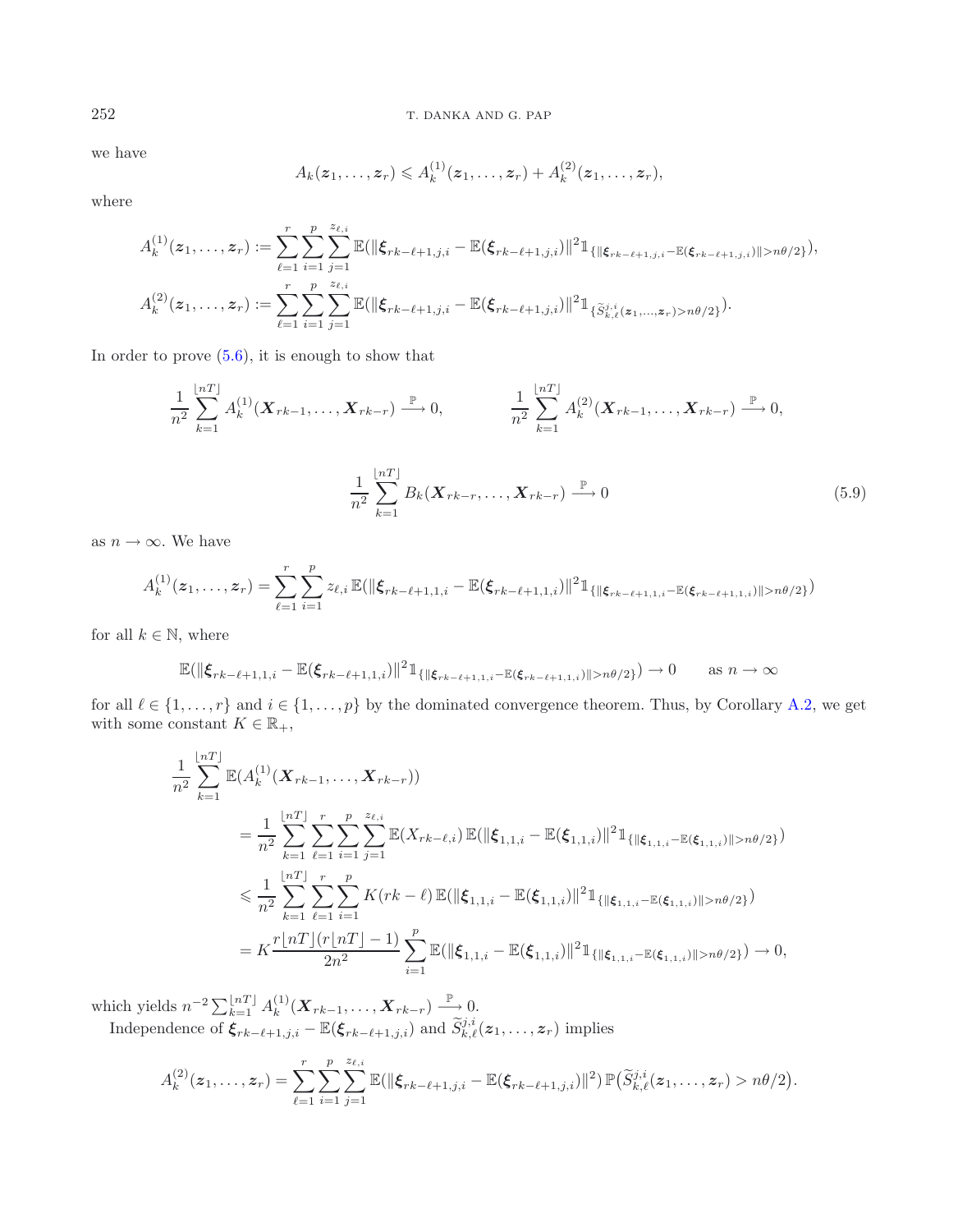we have

<span id="page-14-0"></span>
$$
A_k(z_1,...,z_r) \leq A_k^{(1)}(z_1,...,z_r) + A_k^{(2)}(z_1,...,z_r),
$$

where

$$
A_k^{(1)}(z_1,\ldots,z_r) := \sum_{\ell=1}^r \sum_{i=1}^p \sum_{j=1}^{z_{\ell,i}} \mathbb{E}(\|\xi_{rk-\ell+1,j,i}-\mathbb{E}(\xi_{rk-\ell+1,j,i})\|^2 1_{\{\|\xi_{rk-\ell+1,j,i}-\mathbb{E}(\xi_{rk-\ell+1,j,i})\|>n\theta/2\}},
$$
  

$$
A_k^{(2)}(z_1,\ldots,z_r) := \sum_{\ell=1}^r \sum_{i=1}^p \sum_{j=1}^{z_{\ell,i}} \mathbb{E}(\|\xi_{rk-\ell+1,j,i}-\mathbb{E}(\xi_{rk-\ell+1,j,i})\|^2 1_{\{\tilde{S}_{k,\ell}^{j,i}(z_1,\ldots,z_r)>n\theta/2\}}).
$$

In order to prove  $(5.6)$ , it is enough to show that

$$
\frac{1}{n^2} \sum_{k=1}^{\lfloor nT \rfloor} A_k^{(1)}(\boldsymbol{X}_{rk-1}, \dots, \boldsymbol{X}_{rk-r}) \xrightarrow{\mathbb{P}} 0, \qquad \frac{1}{n^2} \sum_{k=1}^{\lfloor nT \rfloor} A_k^{(2)}(\boldsymbol{X}_{rk-1}, \dots, \boldsymbol{X}_{rk-r}) \xrightarrow{\mathbb{P}} 0, \n\frac{1}{n^2} \sum_{k=1}^{\lfloor nT \rfloor} B_k(\boldsymbol{X}_{rk-r}, \dots, \boldsymbol{X}_{rk-r}) \xrightarrow{\mathbb{P}} 0
$$
\n(5.9)

as  $n \to \infty$ . We have

$$
A_k^{(1)}(z_1,\ldots,z_r) = \sum_{\ell=1}^r \sum_{i=1}^p z_{\ell,i} \mathbb{E}(\|\boldsymbol{\xi}_{rk-\ell+1,1,i}-\mathbb{E}(\boldsymbol{\xi}_{rk-\ell+1,1,i})\|^2 \mathbb{1}_{\{\|\boldsymbol{\xi}_{rk-\ell+1,1,i}-\mathbb{E}(\boldsymbol{\xi}_{rk-\ell+1,1,i})\|>n\theta/2\}})
$$

for all  $k \in \mathbb{N}$ , where

$$
\mathbb{E}(\|\boldsymbol{\xi}_{rk-\ell+1,1,i}-\mathbb{E}(\boldsymbol{\xi}_{rk-\ell+1,1,i})\|^2 \mathbb{1}_{\{\|\boldsymbol{\xi}_{rk-\ell+1,1,i}-\mathbb{E}(\boldsymbol{\xi}_{rk-\ell+1,1,i})\|>n\theta/2\}}) \to 0 \quad \text{as } n \to \infty
$$

for all  $\ell \in \{1,\ldots,r\}$  and  $i \in \{1,\ldots,p\}$  by the dominated convergence theorem. Thus, by Corollary [A.2,](#page-19-0) we get with some constant  $K \in \mathbb{R}_+,$ 

$$
\frac{1}{n^2} \sum_{k=1}^{\lfloor nT \rfloor} \mathbb{E}(A_k^{(1)}(\mathbf{X}_{rk-1},\ldots,\mathbf{X}_{rk-r}))
$$
\n
$$
= \frac{1}{n^2} \sum_{k=1}^{\lfloor nT \rfloor} \sum_{\ell=1}^r \sum_{i=1}^p \sum_{j=1}^{z_{\ell,i}} \mathbb{E}(X_{rk-\ell,i}) \mathbb{E}(\|\boldsymbol{\xi}_{1,1,i} - \mathbb{E}(\boldsymbol{\xi}_{1,1,i})\|^2 \mathbb{1}_{\{\|\boldsymbol{\xi}_{1,1,i} - \mathbb{E}(\boldsymbol{\xi}_{1,1,i})\| > n\theta/2\}})
$$
\n
$$
\leq \frac{1}{n^2} \sum_{k=1}^{\lfloor nT \rfloor} \sum_{\ell=1}^r \sum_{i=1}^p K(rk-\ell) \mathbb{E}(\|\boldsymbol{\xi}_{1,1,i} - \mathbb{E}(\boldsymbol{\xi}_{1,1,i})\|^2 \mathbb{1}_{\{\|\boldsymbol{\xi}_{1,1,i} - \mathbb{E}(\boldsymbol{\xi}_{1,1,i})\| > n\theta/2\}})
$$
\n
$$
= K \frac{r \lfloor nT \rfloor (r \lfloor nT \rfloor - 1)}{2n^2} \sum_{i=1}^p \mathbb{E}(\|\boldsymbol{\xi}_{1,1,i} - \mathbb{E}(\boldsymbol{\xi}_{1,1,i})\|^2 \mathbb{1}_{\{\|\boldsymbol{\xi}_{1,1,i} - \mathbb{E}(\boldsymbol{\xi}_{1,1,i})\| > n\theta/2\}}) \to 0,
$$

which yields  $n^{-2} \sum_{k=1}^{\lfloor nT \rfloor} A_k^{(1)}(\mathbf{X}_{rk-1}, \ldots, \mathbf{X}_{rk-r}) \stackrel{\mathbb{P}}{\longrightarrow} 0.$ Independence of  $\xi_{rk-\ell+1,j,i}$  –  $\mathbb{E}(\xi_{rk-\ell+1,j,i})$  and  $\widetilde{S}_{k,\ell}^{j,i}(z_1,\ldots,z_r)$  implies

$$
A_k^{(2)}(z_1,\ldots,z_r) = \sum_{\ell=1}^r \sum_{i=1}^p \sum_{j=1}^{z_{\ell,i}} \mathbb{E}(\|\xi_{rk-\ell+1,j,i}-\mathbb{E}(\xi_{rk-\ell+1,j,i})\|^2) \mathbb{P}(\widetilde{S}_{k,\ell}^{j,i}(z_1,\ldots,z_r) > n\theta/2).
$$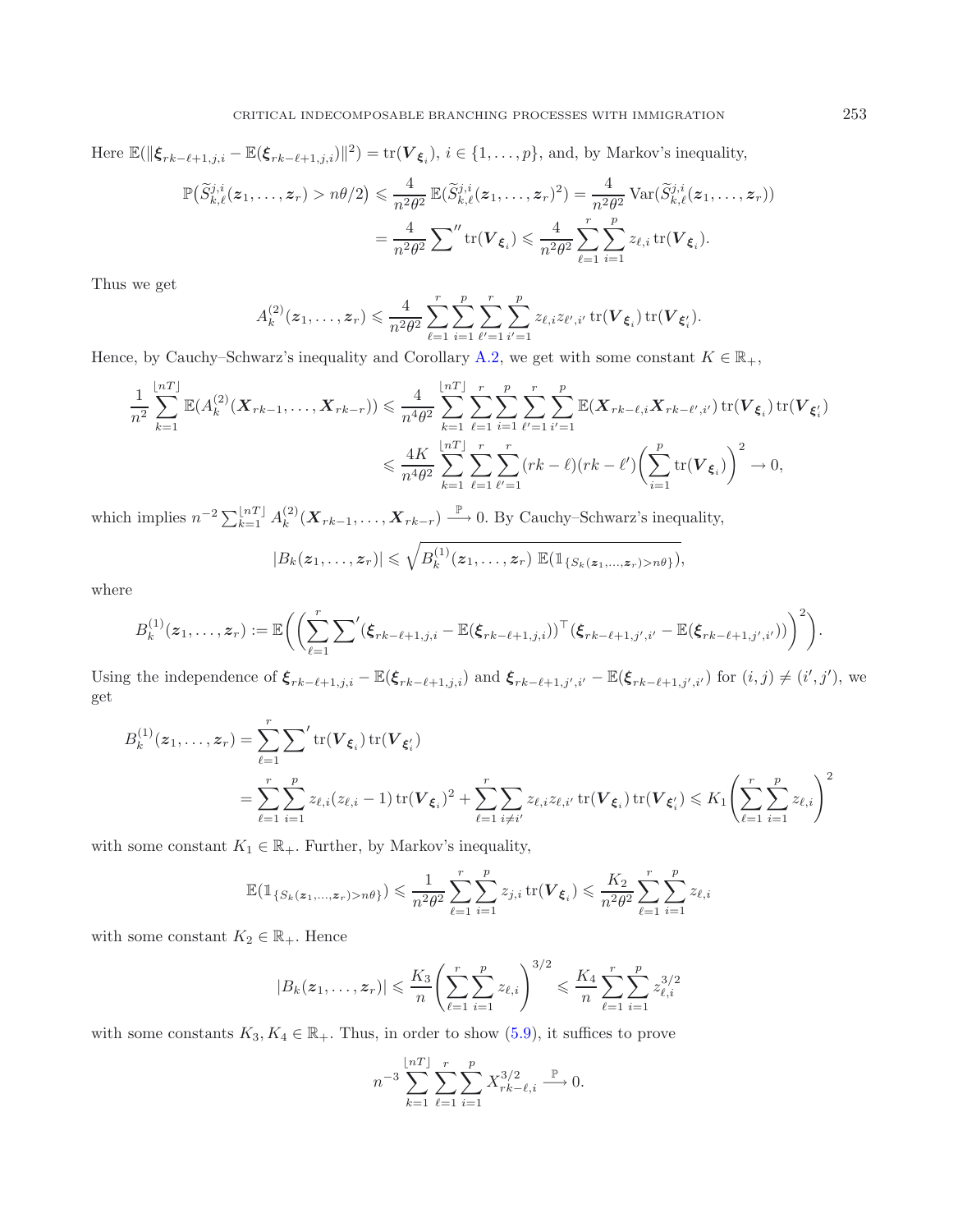Here  $\mathbb{E}(\|\boldsymbol{\xi}_{rk-\ell+1,j,i}-\mathbb{E}(\boldsymbol{\xi}_{rk-\ell+1,j,i})\|^2)=\text{tr}(\boldsymbol{V}_{\boldsymbol{\xi}_i}), i\in\{1,\ldots,p\},\$ and, by Markov's inequality,

$$
\mathbb{P}(\widetilde{S}_{k,\ell}^{j,i}(z_1,\ldots,z_r) > n\theta/2) \leq \frac{4}{n^2\theta^2} \mathbb{E}(\widetilde{S}_{k,\ell}^{j,i}(z_1,\ldots,z_r)^2) = \frac{4}{n^2\theta^2} \operatorname{Var}(\widetilde{S}_{k,\ell}^{j,i}(z_1,\ldots,z_r))
$$

$$
= \frac{4}{n^2\theta^2} \sum_{i=1}^n \operatorname{tr}(\mathbf{V}_{\xi_i}) \leq \frac{4}{n^2\theta^2} \sum_{\ell=1}^r \sum_{i=1}^p z_{\ell,i} \operatorname{tr}(\mathbf{V}_{\xi_i}).
$$

Thus we get

$$
A_k^{(2)}(z_1,\ldots,z_r) \leq \frac{4}{n^2\theta^2} \sum_{\ell=1}^r \sum_{i=1}^p \sum_{\ell'=1}^r \sum_{i'=1}^p z_{\ell,i} z_{\ell',i'} \operatorname{tr}(\mathbf{V}_{\xi_i}) \operatorname{tr}(\mathbf{V}_{\xi'_i}).
$$

Hence, by Cauchy–Schwarz's inequality and Corollary [A.2,](#page-19-0) we get with some constant  $K \in \mathbb{R}_+$ ,

$$
\frac{1}{n^2} \sum_{k=1}^{\lfloor nT \rfloor} \mathbb{E}(A_k^{(2)}(\boldsymbol{X}_{rk-1},\ldots,\boldsymbol{X}_{rk-r})) \leq \frac{4}{n^4 \theta^2} \sum_{k=1}^{\lfloor nT \rfloor} \sum_{\ell=1}^r \sum_{i=1}^p \sum_{i'=1}^p \sum_{i'=1}^p \mathbb{E}(\boldsymbol{X}_{rk-\ell,i} \boldsymbol{X}_{rk-\ell',i'}) \operatorname{tr}(\boldsymbol{V}_{\xi_i}) \operatorname{tr}(\boldsymbol{V}_{\xi_i})
$$

$$
\leq \frac{4K}{n^4 \theta^2} \sum_{k=1}^{\lfloor nT \rfloor} \sum_{\ell=1}^r \sum_{\ell'=1}^r (rk-\ell)(rk-\ell') \bigg( \sum_{i=1}^p \operatorname{tr}(\boldsymbol{V}_{\xi_i}) \bigg)^2 \to 0,
$$

which implies  $n^{-2} \sum_{k=1}^{\lfloor nT \rfloor} A_k^{(2)}(\boldsymbol{X}_{rk-1}, \ldots, \boldsymbol{X}_{rk-r}) \stackrel{\mathbb{P}}{\longrightarrow} 0$ . By Cauchy–Schwarz's inequality,

$$
|B_k(z_1,\ldots,z_r)|\leqslant \sqrt{B_k^{(1)}(z_1,\ldots,z_r)\mathbb{E}(\mathbb{1}_{\{S_k(z_1,\ldots,z_r)>n\theta\}})},
$$

where

$$
B_k^{(1)}(z_1,\ldots,z_r):=\mathbb{E}\bigg(\bigg(\sum_{\ell=1}^r\sum' (\pmb\xi_{rk-\ell+1,j,i}-\mathbb{E}(\pmb\xi_{rk-\ell+1,j,i}))^\top (\pmb\xi_{rk-\ell+1,j',i'}-\mathbb{E}(\pmb\xi_{rk-\ell+1,j',i'}))\bigg)^2\bigg).
$$

Using the independence of  $\xi_{rk-\ell+1,j,i} - \mathbb{E}(\xi_{rk-\ell+1,j,i})$  and  $\xi_{rk-\ell+1,j',i'} - \mathbb{E}(\xi_{rk-\ell+1,j',i'})$  for  $(i,j) \neq (i',j')$ , we get

$$
B_k^{(1)}(z_1, ..., z_r) = \sum_{\ell=1}^r \sum_{i=1}^r \text{tr}(\mathbf{V}_{\xi_i}) \text{tr}(\mathbf{V}_{\xi_i'})
$$
  
= 
$$
\sum_{\ell=1}^r \sum_{i=1}^p z_{\ell,i} (z_{\ell,i} - 1) \text{tr}(\mathbf{V}_{\xi_i})^2 + \sum_{\ell=1}^r \sum_{i \neq i'} z_{\ell,i} z_{\ell,i'} \text{tr}(\mathbf{V}_{\xi_i}) \text{tr}(\mathbf{V}_{\xi_i'}) \leq K_1 \left( \sum_{\ell=1}^r \sum_{i=1}^p z_{\ell,i} \right)^2
$$

with some constant  $K_1 \in \mathbb{R}_+$ . Further, by Markov's inequality,

$$
\mathbb{E}(\mathbb{1}_{\{S_k(\boldsymbol{z}_1,\ldots,\boldsymbol{z}_r) > n\theta\}}) \leqslant \frac{1}{n^2\theta^2} \sum_{\ell=1}^r \sum_{i=1}^p z_{j,i} \operatorname{tr}(\boldsymbol{V}_{\boldsymbol{\xi}_i}) \leqslant \frac{K_2}{n^2\theta^2} \sum_{\ell=1}^r \sum_{i=1}^p z_{\ell,i}
$$

with some constant  $K_2 \in \mathbb{R}_+$ . Hence

$$
|B_k(z_1,\ldots,z_r)| \leqslant \frac{K_3}{n} \left(\sum_{\ell=1}^r \sum_{i=1}^p z_{\ell,i}\right)^{3/2} \leqslant \frac{K_4}{n} \sum_{\ell=1}^r \sum_{i=1}^p z_{\ell,i}^{3/2}
$$

with some constants  $K_3, K_4 \in \mathbb{R}_+$ . Thus, in order to show [\(5.9\)](#page-14-0), it suffices to prove

$$
n^{-3} \sum_{k=1}^{\lfloor nT \rfloor} \sum_{\ell=1}^{r} \sum_{i=1}^{p} X_{rk-\ell,i}^{3/2} \xrightarrow{\mathbb{P}} 0.
$$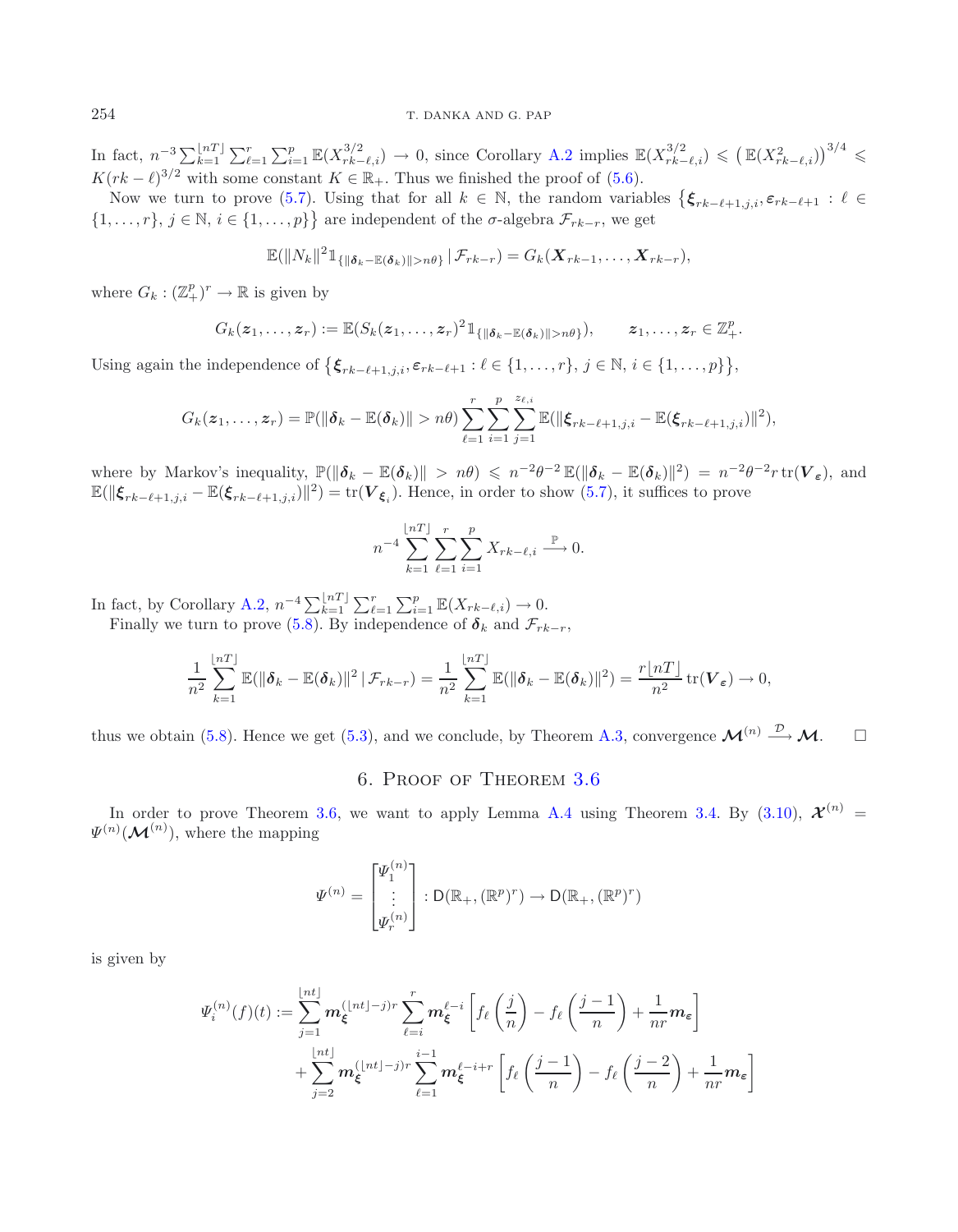In fact,  $n^{-3} \sum_{k=1}^{\lfloor nT \rfloor} \sum_{\ell=1}^r \sum_{i=1}^p \mathbb{E}(X_{rk-\ell,i}^{3/2}) \to 0$ , since Corollary [A.2](#page-19-0) implies  $\mathbb{E}(X_{rk-\ell,i}^{3/2}) \leq (\mathbb{E}(X_{rk-\ell,i}^2))^{3/4} \leq$  $K(rk - \ell)^{3/2}$  with some constant  $K \in \mathbb{R}_+$ . Thus we finished the proof of [\(5.6\)](#page-13-0).

Now we turn to prove [\(5.7\)](#page-13-1). Using that for all  $k \in \mathbb{N}$ , the random variables  $\{\xi_{rk-\ell+1,j,i}, \varepsilon_{rk-\ell+1} : \ell \in \mathbb{N}\}$  $\{1,\ldots,r\},\,j\in\mathbb{N},\,i\in\{1,\ldots,p\}\}$  are independent of the  $\sigma$ -algebra  $\mathcal{F}_{rk-r}$ , we get

$$
\mathbb{E}(\|N_k\|^2 \mathbb{1}_{\{\|\boldsymbol{\delta}_k - \mathbb{E}(\boldsymbol{\delta}_k)\| > n\theta\}} | \mathcal{F}_{rk-r}) = G_k(\boldsymbol{X}_{rk-1}, \ldots, \boldsymbol{X}_{rk-r}),
$$

where  $G_k : (\mathbb{Z}_+^p)^r \to \mathbb{R}$  is given by

$$
G_k(z_1,\ldots,z_r):=\mathbb{E}(S_k(z_1,\ldots,z_r)^2\mathbb{1}_{\{\|\boldsymbol{\delta}_k-\mathbb{E}(\boldsymbol{\delta}_k)\|>n\theta\}}),\qquad z_1,\ldots,z_r\in\mathbb{Z}_+^p.
$$

Using again the independence of  $\{\boldsymbol{\xi}_{rk-\ell+1,j,i}, \varepsilon_{rk-\ell+1} : \ell \in \{1,\ldots,r\}, j \in \mathbb{N}, i \in \{1,\ldots,p\}\},\$ 

$$
G_k(z_1,...,z_r) = \mathbb{P}(\|\boldsymbol{\delta}_k - \mathbb{E}(\boldsymbol{\delta}_k)\| > n\theta) \sum_{\ell=1}^r \sum_{i=1}^p \sum_{j=1}^{z_{\ell,i}} \mathbb{E}(\|\boldsymbol{\xi}_{rk-\ell+1,j,i} - \mathbb{E}(\boldsymbol{\xi}_{rk-\ell+1,j,i})\|^2),
$$

where by Markov's inequality,  $\mathbb{P}(\|\boldsymbol{\delta}_k - \mathbb{E}(\boldsymbol{\delta}_k)\| > n\theta) \leqslant n^{-2}\theta^{-2} \mathbb{E}(\|\boldsymbol{\delta}_k - \mathbb{E}(\boldsymbol{\delta}_k)\|^2) = n^{-2}\theta^{-2}r \operatorname{tr}(\boldsymbol{V}_{\boldsymbol{\varepsilon}})$ , and  $\mathbb{E}(\|\boldsymbol{\xi}_{rk-\ell+1,j,i}-\mathbb{E}(\boldsymbol{\xi}_{rk-\ell+1,j,i})\|^2)=\text{tr}(\boldsymbol{V}_{\boldsymbol{\xi}_i}).$  Hence, in order to show [\(5.7\)](#page-13-1), it suffices to prove

$$
n^{-4} \sum_{k=1}^{\lfloor nT \rfloor} \sum_{\ell=1}^r \sum_{i=1}^p X_{rk-\ell,i} \stackrel{\mathbb{P}}{\longrightarrow} 0.
$$

In fact, by Corollary [A.2,](#page-19-0)  $n^{-4} \sum_{k=1}^{\lfloor nT \rfloor} \sum_{\ell=1}^r \sum_{i=1}^p \mathbb{E}(X_{rk-\ell,i}) \to 0.$ 

Finally we turn to prove  $(5.8)$ . By independence of  $\delta_k$  and  $\mathcal{F}_{rk-r}$ ,

$$
\frac{1}{n^2}\sum_{k=1}^{\lfloor nT \rfloor} \mathbb{E}(\|\boldsymbol{\delta}_k - \mathbb{E}(\boldsymbol{\delta}_k)\|^2 \,|\, \mathcal{F}_{rk-r}) = \frac{1}{n^2}\sum_{k=1}^{\lfloor nT \rfloor} \mathbb{E}(\|\boldsymbol{\delta}_k - \mathbb{E}(\boldsymbol{\delta}_k)\|^2) = \frac{r\lfloor nT \rfloor}{n^2} \operatorname{tr}(\boldsymbol{V}_{\varepsilon}) \to 0,
$$

<span id="page-16-0"></span>thus we obtain [\(5.8\)](#page-13-2). Hence we get [\(5.3\)](#page-11-2), and we conclude, by Theorem [A.3,](#page-20-1) convergence  $\mathcal{M}^{(n)} \longrightarrow \mathcal{M}$ .  $\square$ 

## 6. Proof of Theorem [3.6](#page-7-1)

In order to prove Theorem [3.6,](#page-7-1) we want to apply Lemma [A.4](#page-20-0) using Theorem [3.4.](#page-6-0) By [\(3.10\)](#page-7-0),  $\mathcal{X}^{(n)}$  =  $\Psi^{(n)}(\mathcal{M}^{(n)})$ , where the mapping

$$
\Psi^{(n)} = \begin{bmatrix} \Psi_1^{(n)} \\ \vdots \\ \Psi_r^{(n)} \end{bmatrix} : \mathsf{D}(\mathbb{R}_+, (\mathbb{R}^p)^r) \to \mathsf{D}(\mathbb{R}_+, (\mathbb{R}^p)^r)
$$

is given by

$$
\Psi_i^{(n)}(f)(t) := \sum_{j=1}^{\lfloor nt \rfloor} \mathbf{m}_{\xi}^{(\lfloor nt \rfloor - j)r} \sum_{\ell=i}^r \mathbf{m}_{\xi}^{\ell-i} \left[ f_{\ell} \left( \frac{j}{n} \right) - f_{\ell} \left( \frac{j-1}{n} \right) + \frac{1}{nr} \mathbf{m}_{\varepsilon} \right] + \sum_{j=2}^{\lfloor nt \rfloor} \mathbf{m}_{\xi}^{(\lfloor nt \rfloor - j)r} \sum_{\ell=1}^{i-1} \mathbf{m}_{\xi}^{\ell-i+r} \left[ f_{\ell} \left( \frac{j-1}{n} \right) - f_{\ell} \left( \frac{j-2}{n} \right) + \frac{1}{nr} \mathbf{m}_{\varepsilon} \right]
$$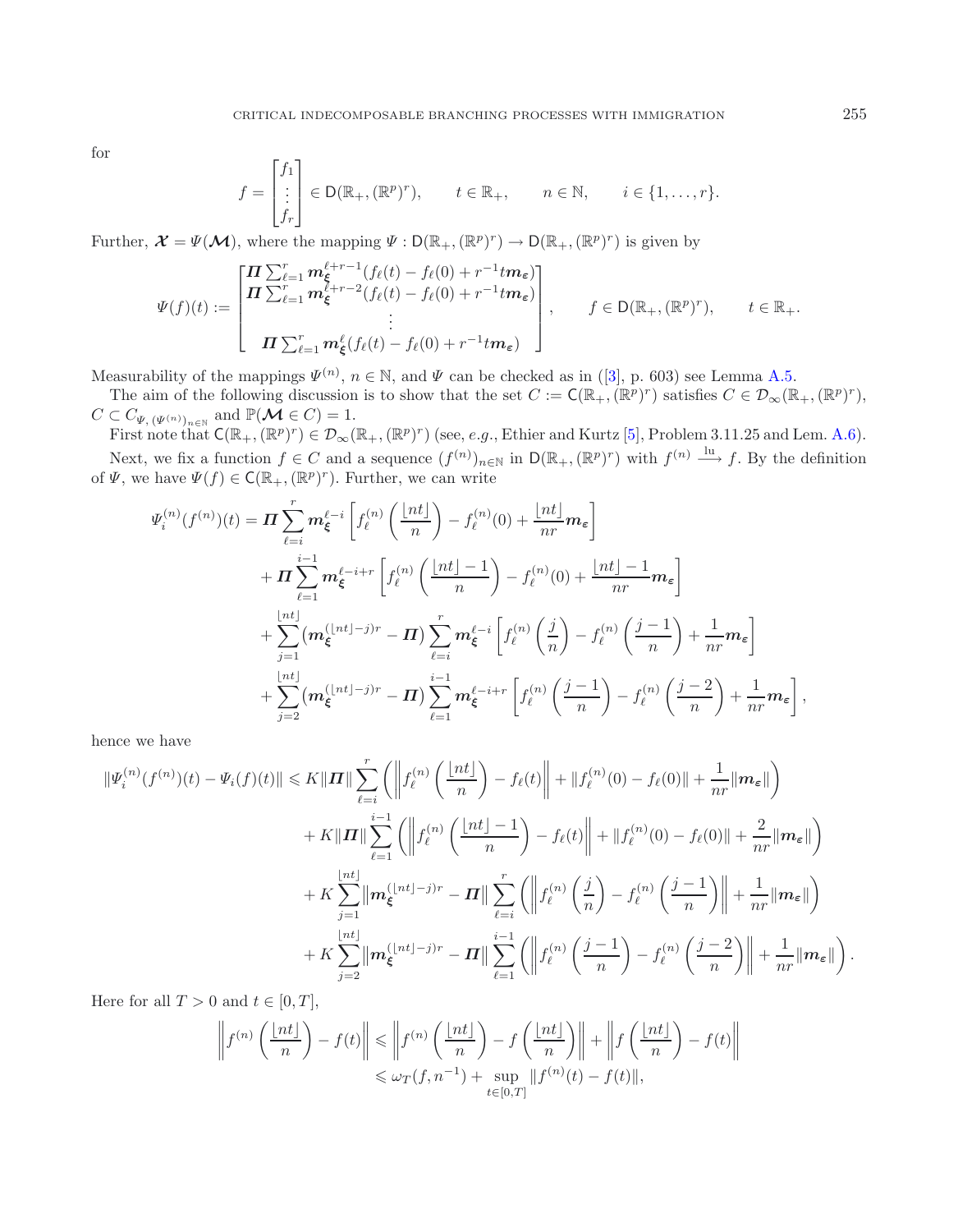for

$$
f = \begin{bmatrix} f_1 \\ \vdots \\ f_r \end{bmatrix} \in D(\mathbb{R}_+, (\mathbb{R}^p)^r), \qquad t \in \mathbb{R}_+, \qquad n \in \mathbb{N}, \qquad i \in \{1, \dots, r\}.
$$

Further,  $\mathcal{X} = \Psi(\mathcal{M})$ , where the mapping  $\Psi : D(\mathbb{R}_+,( \mathbb{R}^p)^r) \to D(\mathbb{R}_+,( \mathbb{R}^p)^r)$  is given by

$$
\Psi(f)(t) := \begin{bmatrix} \boldsymbol{\Pi} \sum_{\ell=1}^r \boldsymbol{m}_{\xi}^{\ell+r-1} (f_{\ell}(t) - f_{\ell}(0) + r^{-1} t \boldsymbol{m}_{\varepsilon}) \\ \boldsymbol{\Pi} \sum_{\ell=1}^r \boldsymbol{m}_{\xi}^{\ell+r-2} (f_{\ell}(t) - f_{\ell}(0) + r^{-1} t \boldsymbol{m}_{\varepsilon}) \\ \vdots \\ \boldsymbol{\Pi} \sum_{\ell=1}^r \boldsymbol{m}_{\xi}^{\ell} (f_{\ell}(t) - f_{\ell}(0) + r^{-1} t \boldsymbol{m}_{\varepsilon}) \end{bmatrix}, \qquad f \in \mathsf{D}(\mathbb{R}_{+}, (\mathbb{R}^{p})^{r}), \qquad t \in \mathbb{R}_{+}.
$$

Measurability of the mappings  $\Psi^{(n)}$ ,  $n \in \mathbb{N}$ , and  $\Psi$  can be checked as in ([\[3](#page-21-6)], p. 603) see Lemma [A.5.](#page-20-2)

The aim of the following discussion is to show that the set  $C := \mathsf{C}(\mathbb{R}_+,( \mathbb{R}^p)^r)$  satisfies  $C \in \mathcal{D}_{\infty}(\mathbb{R}_+,( \mathbb{R}^p)^r)$ ,  $C \subset C_{\Psi, (\Psi^{(n)})_{n \in \mathbb{N}}}$  and  $\mathbb{P}(\mathcal{M} \in C) = 1$ .

First note that  $C(\mathbb{R}_+,( \mathbb{R}^p)^r) \in \mathcal{D}_{\infty}(\mathbb{R}_+,( \mathbb{R}^p)^r)$  (see, e.g., Ethier and Kurtz [\[5](#page-21-7)], Problem 3.11.25 and Lem. [A.6\)](#page-21-8).

Next, we fix a function  $f \in C$  and a sequence  $(f^{(n)})_{n\in\mathbb{N}}$  in  $\mathsf{D}(\mathbb{R}_+, (\mathbb{R}^p)^r)$  with  $f^{(n)} \stackrel{\text{lu}}{\longrightarrow} f$ . By the definition of  $\Psi$ , we have  $\Psi(f) \in \mathsf{C}(\mathbb{R}_+, (\mathbb{R}^p)^r)$ . Further, we can write

$$
\Psi_i^{(n)}(f^{(n)})(t) = \mathbf{\Pi} \sum_{\ell=i}^r \mathbf{m}_{\xi}^{\ell-i} \left[ f_{\ell}^{(n)}\left(\frac{\lfloor nt \rfloor}{n}\right) - f_{\ell}^{(n)}(0) + \frac{\lfloor nt \rfloor}{nr} \mathbf{m}_{\varepsilon} \right] \n+ \mathbf{\Pi} \sum_{\ell=1}^r \mathbf{m}_{\xi}^{\ell-i+r} \left[ f_{\ell}^{(n)}\left(\frac{\lfloor nt \rfloor - 1}{n}\right) - f_{\ell}^{(n)}(0) + \frac{\lfloor nt \rfloor - 1}{nr} \mathbf{m}_{\varepsilon} \right] \n+ \sum_{j=1}^{\lfloor nt \rfloor} (\mathbf{m}_{\xi}^{(\lfloor nt \rfloor - j)r} - \mathbf{\Pi}) \sum_{\ell=i}^r \mathbf{m}_{\xi}^{\ell-i} \left[ f_{\ell}^{(n)}\left(\frac{j}{n}\right) - f_{\ell}^{(n)}\left(\frac{j-1}{n}\right) + \frac{1}{nr} \mathbf{m}_{\varepsilon} \right] \n+ \sum_{j=2}^{\lfloor nt \rfloor} (\mathbf{m}_{\xi}^{(\lfloor nt \rfloor - j)r} - \mathbf{\Pi}) \sum_{\ell=1}^r \mathbf{m}_{\xi}^{\ell-i+r} \left[ f_{\ell}^{(n)}\left(\frac{j-1}{n}\right) - f_{\ell}^{(n)}\left(\frac{j-2}{n}\right) + \frac{1}{nr} \mathbf{m}_{\varepsilon} \right],
$$

hence we have

$$
\begin{split}\n\|\Psi_i^{(n)}(f^{(n)})(t) - \Psi_i(f)(t)\| &\leq K \|\mathbf{\Pi}\| \sum_{\ell=i}^r \left( \left\| f_\ell^{(n)}\left(\frac{\lfloor nt \rfloor}{n}\right) - f_\ell(t) \right\| + \| f_\ell^{(n)}(0) - f_\ell(0) \| + \frac{1}{nr} \|\mathbf{m}_{\varepsilon}\| \right) \\
&\quad + K \|\mathbf{\Pi}\| \sum_{\ell=1}^{i-1} \left( \left\| f_\ell^{(n)}\left(\frac{\lfloor nt \rfloor - 1}{n}\right) - f_\ell(t) \right\| + \| f_\ell^{(n)}(0) - f_\ell(0) \| + \frac{2}{nr} \|\mathbf{m}_{\varepsilon}\| \right) \\
&\quad + K \sum_{j=1}^{\lfloor nt \rfloor} \|\mathbf{m}_{\xi}^{(\lfloor nt \rfloor - j)r} - \mathbf{\Pi}\| \sum_{\ell=i}^r \left( \left\| f_\ell^{(n)}\left(\frac{j}{n}\right) - f_\ell^{(n)}\left(\frac{j-1}{n}\right) \right\| + \frac{1}{nr} \|\mathbf{m}_{\varepsilon}\| \right) \\
&\quad + K \sum_{j=2}^{\lfloor nt \rfloor} \|\mathbf{m}_{\xi}^{(\lfloor nt \rfloor - j)r} - \mathbf{\Pi}\| \sum_{\ell=1}^{i-1} \left( \left\| f_\ell^{(n)}\left(\frac{j-1}{n}\right) - f_\ell^{(n)}\left(\frac{j-2}{n}\right) \right\| + \frac{1}{nr} \|\mathbf{m}_{\varepsilon}\| \right). \n\end{split}
$$

Here for all  $T > 0$  and  $t \in [0, T]$ ,

$$
\left\| f^{(n)}\left(\frac{\lfloor nt \rfloor}{n}\right) - f(t) \right\| \leq \left\| f^{(n)}\left(\frac{\lfloor nt \rfloor}{n}\right) - f\left(\frac{\lfloor nt \rfloor}{n}\right) \right\| + \left\| f\left(\frac{\lfloor nt \rfloor}{n}\right) - f(t) \right\|
$$
  

$$
\leq \omega_T(f, n^{-1}) + \sup_{t \in [0,T]} \| f^{(n)}(t) - f(t) \|,
$$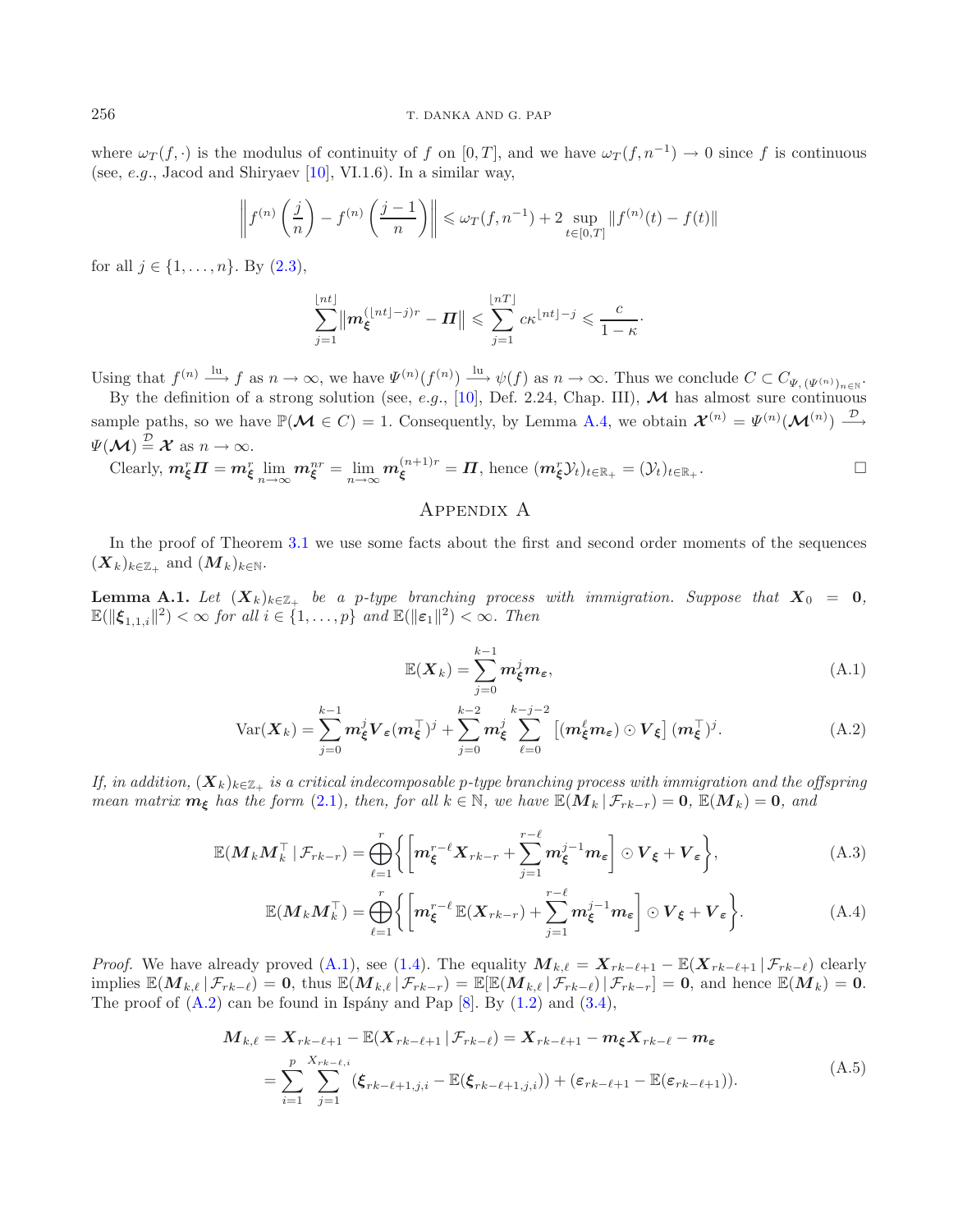where  $\omega_T(f, \cdot)$  is the modulus of continuity of f on [0, T], and we have  $\omega_T(f, n^{-1}) \to 0$  since f is continuous (see, e.g., Jacod and Shiryaev  $[10]$  $[10]$ , VI.1.6). In a similar way,

$$
\left\| f^{(n)}\left(\frac{j}{n}\right) - f^{(n)}\left(\frac{j-1}{n}\right) \right\| \leq \omega_T(f, n^{-1}) + 2 \sup_{t \in [0,T]} \| f^{(n)}(t) - f(t) \|
$$

for all  $j \in \{1, ..., n\}$ . By  $(2.3)$ ,

$$
\sum_{j=1}^{\lfloor nt \rfloor} \left\| \mathbf{m}_{\xi}^{(\lfloor nt \rfloor - j)r} - \mathbf{\Pi} \right\| \leqslant \sum_{j=1}^{\lfloor nT \rfloor} c\kappa^{\lfloor nt \rfloor - j} \leqslant \frac{c}{1-\kappa}.
$$

Using that  $f^{(n)} \xrightarrow{\text{lu}} f$  as  $n \to \infty$ , we have  $\Psi^{(n)}(f^{(n)}) \xrightarrow{\text{lu}} \psi(f)$  as  $n \to \infty$ . Thus we conclude  $C \subset C_{\Psi, (\Psi^{(n)})_{n \in \mathbb{N}}}$ .

By the definition of a strong solution (see, e.g., [\[10\]](#page-22-6), Def. 2.24, Chap. III),  $\mathcal M$  has almost sure continuous sample paths, so we have  $\mathbb{P}(\mathcal{M} \in C) = 1$ . Consequently, by Lemma [A.4,](#page-20-0) we obtain  $\mathcal{X}^{(n)} = \Psi^{(n)}(\mathcal{M}^{(n)}) \stackrel{\mathcal{D}}{\longrightarrow}$  $\Psi(\mathcal{M}) \stackrel{\mathcal{D}}{=} \mathcal{X}$  as  $n \to \infty$ .

Clearly, 
$$
m_{\xi}^{r} \Pi = m_{\xi}^{r} \lim_{n \to \infty} m_{\xi}^{nr} = \lim_{n \to \infty} m_{\xi}^{(n+1)r} = \Pi
$$
, hence  $(m_{\xi}^{r} \mathcal{Y}_{t})_{t \in \mathbb{R}_{+}} = (\mathcal{Y}_{t})_{t \in \mathbb{R}_{+}}$ .

## <span id="page-18-3"></span><span id="page-18-2"></span><span id="page-18-0"></span>Appendix A

In the proof of Theorem [3.1](#page-4-0) we use some facts about the first and second order moments of the sequences  $(X_k)_{k\in\mathbb{Z}_+}$  and  $(M_k)_{k\in\mathbb{N}}$ .

**Lemma A.1.** *Let*  $(X_k)_{k \in \mathbb{Z}_+}$  *be a p-type branching process with immigration. Suppose that*  $X_0 = 0$ *,*  $\mathbb{E}(\|\boldsymbol{\xi}_{1,1,i}\|^2) < \infty$  for all  $i \in \{1,\ldots,p\}$  and  $\mathbb{E}(\|\boldsymbol{\varepsilon}_1\|^2) < \infty$ . Then

<span id="page-18-4"></span><span id="page-18-1"></span>
$$
\mathbb{E}(\boldsymbol{X}_k) = \sum_{j=0}^{k-1} \boldsymbol{m}_{\xi}^j \boldsymbol{m}_{\varepsilon},
$$
\n(A.1)

$$
Var(\boldsymbol{X}_k) = \sum_{j=0}^{k-1} \boldsymbol{m}_{\xi}^j \boldsymbol{V}_{\varepsilon}(\boldsymbol{m}_{\xi}^{\top})^j + \sum_{j=0}^{k-2} \boldsymbol{m}_{\xi}^j \sum_{\ell=0}^{k-j-2} \left[ (\boldsymbol{m}_{\xi}^{\ell} \boldsymbol{m}_{\varepsilon}) \odot \boldsymbol{V}_{\xi} \right] (\boldsymbol{m}_{\xi}^{\top})^j.
$$
 (A.2)

*If, in addition,*  $(X_k)_{k\in\mathbb{Z}_+}$  *is a critical indecomposable p-type branching process with immigration and the offspring mean matrix*  $m_{\xi}$  *has the form* [\(2.1\)](#page-3-0)*, then, for all*  $k \in \mathbb{N}$ *, we have*  $\mathbb{E}(M_k | \mathcal{F}_{rk-r}) = 0$ *,*  $\mathbb{E}(M_k) = 0$ *, and* 

$$
\mathbb{E}(M_k M_k^\top \mid \mathcal{F}_{rk-r}) = \bigoplus_{\ell=1}^r \bigg\{ \bigg[ m_{\xi}^{r-\ell} X_{rk-r} + \sum_{j=1}^{r-\ell} m_{\xi}^{j-1} m_{\varepsilon} \bigg] \odot V_{\xi} + V_{\varepsilon} \bigg\},\tag{A.3}
$$

$$
\mathbb{E}(M_k M_k^{\top}) = \bigoplus_{\ell=1}^r \left\{ \left[ m_{\xi}^{r-\ell} \mathbb{E}(X_{rk-r}) + \sum_{j=1}^{r-\ell} m_{\xi}^{j-1} m_{\varepsilon} \right] \odot V_{\xi} + V_{\varepsilon} \right\}.
$$
 (A.4)

*Proof.* We have already proved [\(A.1\)](#page-18-2), see [\(1.4\)](#page-1-1). The equality  $M_{k,\ell} = X_{rk-\ell+1} - \mathbb{E}(X_{rk-\ell+1} | \mathcal{F}_{rk-\ell})$  clearly implies  $\mathbb{E}(M_{k,\ell} | \mathcal{F}_{rk-\ell}) = 0$ , thus  $\mathbb{E}(M_{k,\ell} | \mathcal{F}_{rk-r}) = \mathbb{E}[\mathbb{E}(M_{k,\ell} | \mathcal{F}_{rk-\ell}) | \mathcal{F}_{rk-r}] = 0$ , and hence  $\mathbb{E}(M_k) = 0$ . The proof of  $(A.2)$  can be found in Ispány and Pap  $[8]$  $[8]$ . By  $(1.2)$  and  $(3.4)$ ,

$$
\mathbf{M}_{k,\ell} = \mathbf{X}_{rk-\ell+1} - \mathbb{E}(\mathbf{X}_{rk-\ell+1} | \mathcal{F}_{rk-\ell}) = \mathbf{X}_{rk-\ell+1} - \mathbf{m}_{\xi} \mathbf{X}_{rk-\ell} - \mathbf{m}_{\varepsilon}
$$
\n
$$
= \sum_{i=1}^{p} \sum_{j=1}^{X_{rk-\ell,i}} (\xi_{rk-\ell+1,j,i} - \mathbb{E}(\xi_{rk-\ell+1,j,i})) + (\varepsilon_{rk-\ell+1} - \mathbb{E}(\varepsilon_{rk-\ell+1})). \tag{A.5}
$$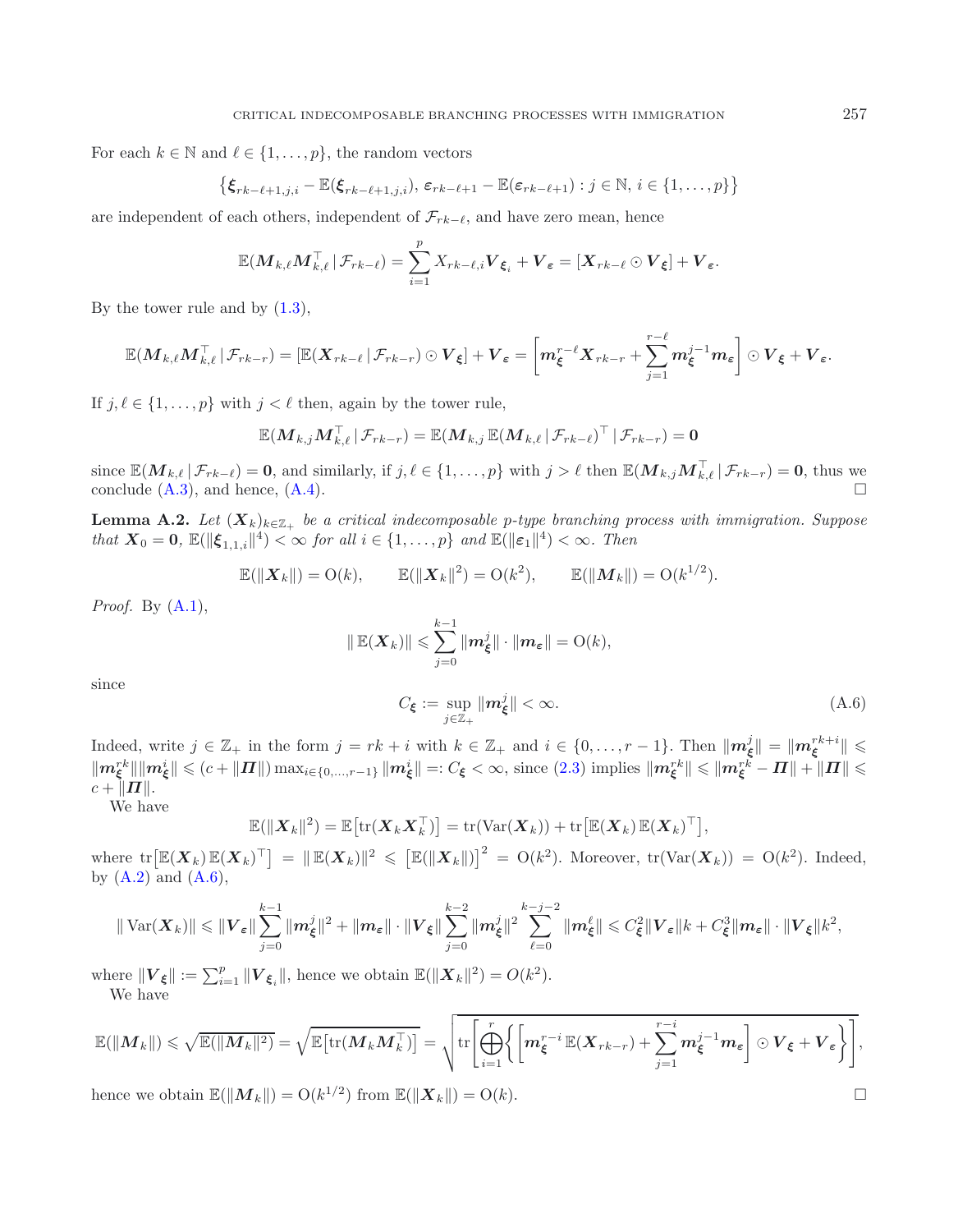For each  $k \in \mathbb{N}$  and  $\ell \in \{1, \ldots, p\}$ , the random vectors

$$
\{\boldsymbol{\xi}_{rk-\ell+1,j,i}-\mathbb{E}(\boldsymbol{\xi}_{rk-\ell+1,j,i}),\,\varepsilon_{rk-\ell+1}-\mathbb{E}(\varepsilon_{rk-\ell+1}):j\in\mathbb{N},\,i\in\{1,\ldots,p\}\}
$$

are independent of each others, independent of  $\mathcal{F}_{rk-\ell}$ , and have zero mean, hence

$$
\mathbb{E}(M_{k,\ell}M_{k,\ell}^{\top} | \mathcal{F}_{rk-\ell}) = \sum_{i=1}^p X_{rk-\ell,i} \boldsymbol{V}_{\boldsymbol{\xi}_i} + \boldsymbol{V}_{\boldsymbol{\varepsilon}} = [\boldsymbol{X}_{rk-\ell} \odot \boldsymbol{V}_{\boldsymbol{\xi}}] + \boldsymbol{V}_{\boldsymbol{\varepsilon}}.
$$

By the tower rule and by [\(1.3\)](#page-1-2),

$$
\mathbb{E}(M_{k,\ell}M_{k,\ell}^\top\,|\,\mathcal{F}_{rk-r})=[\mathbb{E}(X_{rk-\ell}\,|\,\mathcal{F}_{rk-r})\odot \boldsymbol{V}_{\boldsymbol{\xi}}]+ \boldsymbol{V}_{\boldsymbol{\varepsilon}}=\bigg[m_{\boldsymbol{\xi}}^{r-\ell}X_{rk-r}+\sum_{j=1}^{r-\ell}m_{\boldsymbol{\xi}}^{j-1}m_{\boldsymbol{\varepsilon}}\bigg]\odot \boldsymbol{V}_{\boldsymbol{\xi}}+\boldsymbol{V}_{\boldsymbol{\varepsilon}}.
$$

If  $j, \ell \in \{1, \ldots, p\}$  with  $j < \ell$  then, again by the tower rule,

$$
\mathbb{E}(\boldsymbol{M}_{k,j}\boldsymbol{M}_{k,\ell}^\top\,|\,\mathcal{F}_{rk-r})=\mathbb{E}(\boldsymbol{M}_{k,j}\,\mathbb{E}(\boldsymbol{M}_{k,\ell}\,|\,\mathcal{F}_{rk-\ell})^\top\,|\,\mathcal{F}_{rk-r})=\mathbf{0}
$$

<span id="page-19-1"></span>since  $\mathbb{E}(\mathbf{M}_{k,\ell} | \mathcal{F}_{rk-\ell}) = \mathbf{0}$ , and similarly, if  $j, \ell \in \{1, \ldots, p\}$  with  $j > \ell$  then  $\mathbb{E}(\mathbf{M}_{k,j} \mathbf{M}_{k,\ell}^{\top} | \mathcal{F}_{rk-r}) = \mathbf{0}$ , thus we conclude  $(A.3)$ , and hence,  $(A.4)$ .

<span id="page-19-0"></span>**Lemma A.2.** *Let*  $(X_k)_{k \in \mathbb{Z}_+}$  *be a critical indecomposable p-type branching process with immigration. Suppose that*  $\mathbf{X}_0 = \mathbf{0}$ ,  $\mathbb{E}(\|\boldsymbol{\xi}_{1,1,i}\|^4) < \infty$  *for all*  $i \in \{1,\ldots,p\}$  *and*  $\mathbb{E}(\|\boldsymbol{\varepsilon}_1\|^4) < \infty$ *. Then* 

$$
\mathbb{E}(\|X_k\|) = O(k), \qquad \mathbb{E}(\|X_k\|^2) = O(k^2), \qquad \mathbb{E}(\|M_k\|) = O(k^{1/2}).
$$

*Proof.* By [\(A.1\)](#page-18-2),

$$
\|\mathbb{E}(\boldsymbol{X}_k)\| \leqslant \sum_{j=0}^{k-1} \|\boldsymbol{m}_{\boldsymbol{\xi}}^j\| \cdot \|\boldsymbol{m}_{\boldsymbol{\varepsilon}}\| = \mathrm{O}(k),
$$

since

$$
C_{\xi} := \sup_{j \in \mathbb{Z}_+} \|m_{\xi}^j\| < \infty. \tag{A.6}
$$

Indeed, write  $j \in \mathbb{Z}_+$  in the form  $j = rk + i$  with  $k \in \mathbb{Z}_+$  and  $i \in \{0, ..., r-1\}$ . Then  $\|\mathbf{m}_{\xi}^{j}\| = \|\mathbf{m}_{\xi}^{rk+i}\| \leq$  $\|\mathbf{m}^{rk}_{\boldsymbol{\xi}}\|\|\mathbf{m}^i_{\boldsymbol{\xi}}\| \leqslant (c + \| \boldsymbol{\varPi} \|)\max_{i \in \{0,...,r-1\}}\|\mathbf{m}^i_{\boldsymbol{\xi}}\| =: C_{\boldsymbol{\xi}} < \infty, \text{ since (2.3) implies } \|\mathbf{m}^{rk}_{\boldsymbol{\xi}}\| \leqslant \|\mathbf{m}^{rk}_{\boldsymbol{\xi}} - \boldsymbol{\varPi}\| + \|\boldsymbol{\varPi}\| \leqslant \varepsilon$  $\|\mathbf{m}^{rk}_{\boldsymbol{\xi}}\|\|\mathbf{m}^i_{\boldsymbol{\xi}}\| \leqslant (c + \| \boldsymbol{\varPi} \|)\max_{i \in \{0,...,r-1\}}\|\mathbf{m}^i_{\boldsymbol{\xi}}\| =: C_{\boldsymbol{\xi}} < \infty, \text{ since (2.3) implies } \|\mathbf{m}^{rk}_{\boldsymbol{\xi}}\| \leqslant \|\mathbf{m}^{rk}_{\boldsymbol{\xi}} - \boldsymbol{\varPi}\| + \|\boldsymbol{\varPi}\| \leqslant \varepsilon$  $\|\mathbf{m}^{rk}_{\boldsymbol{\xi}}\|\|\mathbf{m}^i_{\boldsymbol{\xi}}\| \leqslant (c + \| \boldsymbol{\varPi} \|)\max_{i \in \{0,...,r-1\}}\|\mathbf{m}^i_{\boldsymbol{\xi}}\| =: C_{\boldsymbol{\xi}} < \infty, \text{ since (2.3) implies } \|\mathbf{m}^{rk}_{\boldsymbol{\xi}}\| \leqslant \|\mathbf{m}^{rk}_{\boldsymbol{\xi}} - \boldsymbol{\varPi}\| + \|\boldsymbol{\varPi}\| \leqslant \varepsilon$  $c + ||\overline{H}||.$ 

We have

$$
\mathbb{E}(\|\boldsymbol{X}_k\|^2) = \mathbb{E}\big[\mathrm{tr}(\boldsymbol{X}_k\boldsymbol{X}_k^{\top})\big] = \mathrm{tr}(\mathrm{Var}(\boldsymbol{X}_k)) + \mathrm{tr}\big[\mathbb{E}(\boldsymbol{X}_k)\,\mathbb{E}(\boldsymbol{X}_k)^{\top}\big],
$$

where  $\text{tr}\big[\mathbb{E}(\boldsymbol{X}_k)\,\mathbb{E}(\boldsymbol{X}_k)^\top\big] = \|\mathbb{E}(\boldsymbol{X}_k)\|^2 \leqslant \big[\mathbb{E}(\|\boldsymbol{X}_k\|)\big]^2 = \text{O}(k^2)$ . Moreover,  $\text{tr}(\text{Var}(\boldsymbol{X}_k)) = \text{O}(k^2)$ . Indeed, by  $(A.2)$  and  $(A.6)$ ,

$$
\|\operatorname{Var}(X_k)\| \leqslant \|V_{\varepsilon}\| \sum_{j=0}^{k-1} \|m_{\xi}^j\|^2 + \|m_{\varepsilon}\| \cdot \|V_{\xi}\| \sum_{j=0}^{k-2} \|m_{\xi}^j\|^2 \sum_{\ell=0}^{k-j-2} \|m_{\xi}^{\ell}\| \leqslant C_{\xi}^2 \|V_{\varepsilon}\| k + C_{\xi}^3 \|m_{\varepsilon}\| \cdot \|V_{\xi}\| k^2,
$$

where  $||V_{\xi}|| := \sum_{i=1}^{p} ||V_{\xi_i}||$ , hence we obtain  $\mathbb{E}(\|\mathbf{X}_k\|^2) = O(k^2)$ . We have

$$
\mathbb{E}(\|M_k\|) \leqslant \sqrt{\mathbb{E}(\|M_k\|^2)} = \sqrt{\mathbb{E}\big[\text{tr}(M_kM_k^{\top})\big]} = \sqrt{\text{tr}\bigg[\bigoplus_{i=1}^r \bigg\{\bigg[m_{\xi}^{r-i}\mathbb{E}(X_{rk-r}) + \sum_{j=1}^{r-i} m_{\xi}^{j-1}m_{\varepsilon}\bigg]\odot V_{\xi} + V_{\varepsilon}\bigg\}\bigg]},
$$

hence we obtain  $\mathbb{E}(\|\boldsymbol{M}_k\|) = O(k^{1/2})$  from  $\mathbb{E}(\|\boldsymbol{X}_k\|) = O(k)$ .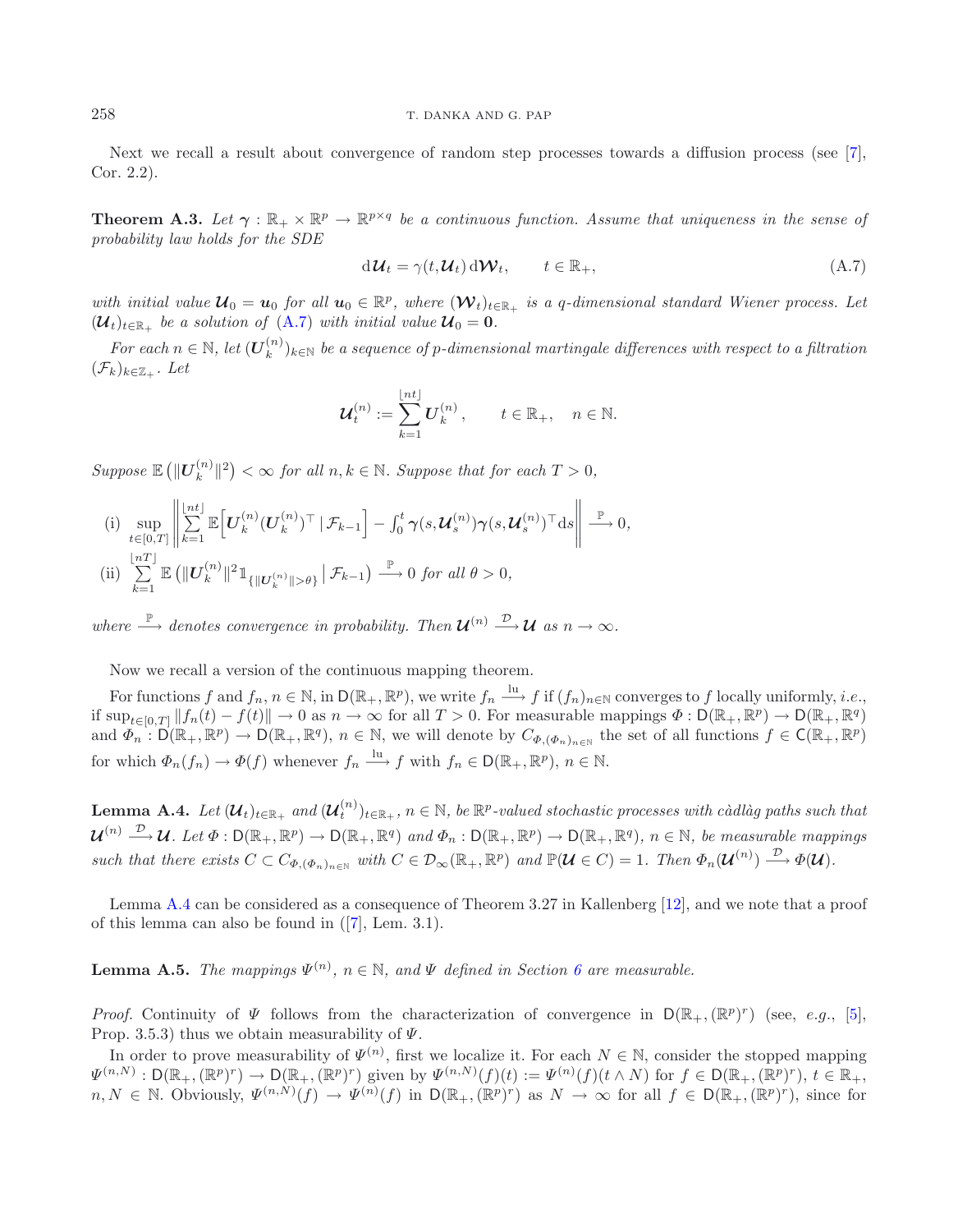#### 258 T. DANKA AND G. PAP

<span id="page-20-1"></span>Next we recall a result about convergence of random step processes towards a diffusion process (see [\[7](#page-21-9)], Cor. 2.2).

**Theorem A.3.** Let  $\gamma : \mathbb{R}_+ \times \mathbb{R}^p \to \mathbb{R}^{p \times q}$  be a continuous function. Assume that uniqueness in the sense of *probability law holds for the SDE*

$$
d\mathcal{U}_t = \gamma(t, \mathcal{U}_t) d\mathcal{W}_t, \qquad t \in \mathbb{R}_+, \tag{A.7}
$$

*with initial value*  $\mathcal{U}_0 = u_0$  *for all*  $u_0 \in \mathbb{R}^p$ , where  $(\mathcal{W}_t)_{t \in \mathbb{R}_+}$  *is a q-dimensional standard Wiener process. Let*  $(\mathcal{U}_t)_{t \in \mathbb{R}}$  *be a solution of*  $(A.7)$  *with initial value*  $\mathcal{U}_0 = 0$ *.* 

*For each*  $n \in \mathbb{N}$ , let  $(\mathbf{U}_k^{(n)})_{k \in \mathbb{N}}$  be a sequence of p-dimensional martingale differences with respect to a filtration  $(\mathcal{F}_k)_{k\in\mathbb{Z}_+}$  *. Let* 

$$
\mathcal{U}_t^{(n)} := \sum_{k=1}^{\lfloor nt \rfloor} U_k^{(n)}, \qquad t \in \mathbb{R}_+, \quad n \in \mathbb{N}.
$$

 $Suppose \mathbb{E} (||\mathbf{U}_k^{(n)}||^2) < \infty$  *for all*  $n, k \in \mathbb{N}$ *. Suppose that for each*  $T > 0$ *,* 

(i) 
$$
\sup_{t \in [0,T]} \left\| \sum_{k=1}^{\lfloor nt \rfloor} \mathbb{E} \left[ \boldsymbol{U}_k^{(n)} (\boldsymbol{U}_k^{(n)})^\top \, | \, \mathcal{F}_{k-1} \right] - \int_0^t \gamma(s, \boldsymbol{\mathcal{U}}_s^{(n)}) \gamma(s, \boldsymbol{\mathcal{U}}_s^{(n)})^\top \, ds \right\| \xrightarrow{\mathbb{P}} 0,
$$
\n(ii) 
$$
\sum_{k=1}^{\lfloor nT \rfloor} \mathbb{E} \left( \| \boldsymbol{U}_k^{(n)} \|^2 \mathbb{1}_{\{ \| \boldsymbol{U}_k^{(n)} \| > \theta \}} \, | \, \mathcal{F}_{k-1} \right) \xrightarrow{\mathbb{P}} 0 \text{ for all } \theta > 0,
$$

*where*  $\stackrel{\mathbb{P}}{\longrightarrow}$  *denotes convergence in probability. Then*  $\mathcal{U}^{(n)} \stackrel{\mathcal{D}}{\longrightarrow} \mathcal{U}$  *as*  $n \to \infty$ *.* 

Now we recall a version of the continuous mapping theorem.

For functions f and  $f_n, n \in \mathbb{N}$ , in  $D(\mathbb{R}_+, \mathbb{R}^p)$ , we write  $f_n \xrightarrow{\text{lu}} f$  if  $(f_n)_{n \in \mathbb{N}}$  converges to f locally uniformly, *i.e.*, if  $\sup_{t\in[0,T]}\|f_n(t)-f(t)\| \to 0$  as  $n\to\infty$  for all  $T>0$ . For measurable mappings  $\Phi: \mathsf{D}(\mathbb{R}_+,\mathbb{R}^p)\to \mathsf{D}(\mathbb{R}_+,\mathbb{R}^q)$ and  $\Phi_n : D(\mathbb{R}_+, \mathbb{R}^p) \to D(\mathbb{R}_+, \mathbb{R}^q)$ ,  $n \in \mathbb{N}$ , we will denote by  $C_{\Phi, (\Phi_n)_{n \in \mathbb{N}}}$  the set of all functions  $f \in C(\mathbb{R}_+, \mathbb{R}^p)$ for which  $\Phi_n(f_n) \to \Phi(f)$  whenever  $f_n \xrightarrow{\text{lu}} f$  with  $f_n \in \mathsf{D}(\mathbb{R}_+, \mathbb{R}^p)$ ,  $n \in \mathbb{N}$ .

<span id="page-20-0"></span> $\textbf{Lemma A.4.} \ \textit{Let $(\mathcal{U}_t)_{t\in\mathbb{R}_+}$ and $(\mathcal{U}_t^{(n)})_{t\in\mathbb{R}_+}$, $n\in\mathbb{N}$, be $\mathbb{R}^p$-valued stochastic processes with c\`{a}dl\`{a}g paths such that}$  $\mathcal{U}^{(n)} \longrightarrow \mathcal{U}$ *. Let*  $\Phi : \mathsf{D}(\mathbb{R}_+,\mathbb{R}^p) \to \mathsf{D}(\mathbb{R}_+,\mathbb{R}^q)$  and  $\Phi_n : \mathsf{D}(\mathbb{R}_+,\mathbb{R}^p) \to \mathsf{D}(\mathbb{R}_+,\mathbb{R}^q)$ ,  $n \in \mathbb{N}$ , be measurable mappings *such that there exists*  $C \subset C_{\Phi, (\Phi_n)_{n \in \mathbb{N}}}$  *with*  $C \in \mathcal{D}_{\infty}(\mathbb{R}_+, \mathbb{R}^p)$  *and*  $\mathbb{P}(\mathcal{U} \in C) = 1$ *. Then*  $\Phi_n(\mathcal{U}^{(n)}) \xrightarrow{\mathcal{D}} \Phi(\mathcal{U})$ *.* 

<span id="page-20-2"></span>Lemma [A.4](#page-20-0) can be considered as a consequence of Theorem 3.27 in Kallenberg [\[12\]](#page-22-9), and we note that a proof of this lemma can also be found in ([\[7\]](#page-21-9), Lem. 3.1).

**Lemma A.5.** *The mappings*  $\Psi^{(n)}$ ,  $n \in \mathbb{N}$ , and  $\Psi$  defined in Section [6](#page-16-0) are measurable.

*Proof.* Continuity of  $\Psi$  follows from the characterization of convergence in  $D(\mathbb{R}_+,( \mathbb{R}^p)^r)$  (see, e.g., [\[5](#page-21-7)], Prop. 3.5.3) thus we obtain measurability of  $\Psi$ .

In order to prove measurability of  $\Psi^{(n)}$ , first we localize it. For each  $N \in \mathbb{N}$ , consider the stopped mapping  $\Psi^{(n,N)} : D(\mathbb{R}_+,( \mathbb{R}^p)^r) \to D(\mathbb{R}_+,( \mathbb{R}^p)^r)$  given by  $\Psi^{(n,N)}(f)(t) := \Psi^{(n)}(f)(t \wedge N)$  for  $f \in D(\mathbb{R}_+,( \mathbb{R}^p)^r)$ ,  $t \in \mathbb{R}_+$ ,  $n, N \in \mathbb{N}$ . Obviously,  $\Psi^{(n,\hat{N})}(f) \to \Psi^{(n)}(f)$  in  $D(\mathbb{R}_+, (\mathbb{R}^p)^r)$  as  $N \to \infty$  for all  $f \in D(\mathbb{R}_+, (\mathbb{R}^p)^r)$ , since for

<span id="page-20-3"></span>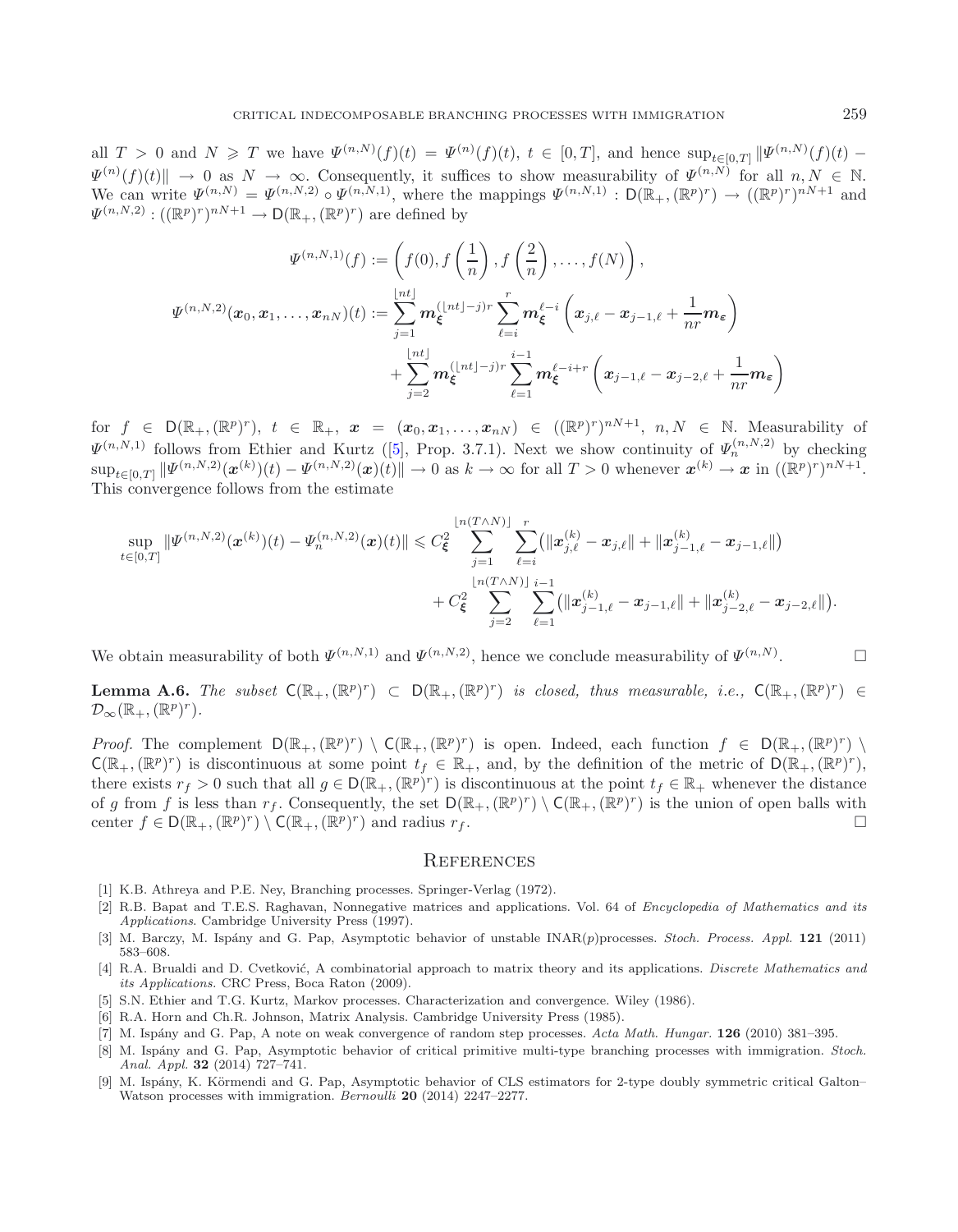all  $T > 0$  and  $N \geqslant T$  we have  $\Psi^{(n,N)}(f)(t) = \Psi^{(n)}(f)(t)$ ,  $t \in [0,T]$ , and hence  $\sup_{t \in [0,T]} \|\Psi^{(n,N)}(f)(t) \Psi^{(n)}(f)(t)$   $\to$  0 as  $N \to \infty$ . Consequently, it suffices to show measurability of  $\Psi^{(n,N)}$  for all  $n, N \in \mathbb{N}$ . We can write  $\Psi^{(n,N)} = \Psi^{(n,N,2)} \circ \Psi^{(n,N,1)}$ , where the mappings  $\Psi^{(n,N,1)} : D(\mathbb{R}_+,( \mathbb{R}^p)^r) \to ((\mathbb{R}^p)^r)^{nN+1}$  and  $\Psi^{(n,N,2)}: ((\mathbb{R}^p)^r)^{nN+1} \to \mathsf{D}(\mathbb{R}_+, (\mathbb{R}^p)^r)$  are defined by

$$
\Psi^{(n,N,1)}(f) := \left(f(0), f\left(\frac{1}{n}\right), f\left(\frac{2}{n}\right), \dots, f(N)\right),
$$
  

$$
\Psi^{(n,N,2)}(\boldsymbol{x}_0, \boldsymbol{x}_1, \dots, \boldsymbol{x}_{n})(t) := \sum_{j=1}^{\lfloor nt \rfloor} \boldsymbol{m}_{\xi}^{(\lfloor nt \rfloor - j)r} \sum_{\ell=i}^r \boldsymbol{m}_{\xi}^{\ell-i} \left(\boldsymbol{x}_{j,\ell} - \boldsymbol{x}_{j-1,\ell} + \frac{1}{nr} \boldsymbol{m}_{\varepsilon}\right)
$$
  

$$
+ \sum_{j=2}^{\lfloor nt \rfloor} \boldsymbol{m}_{\xi}^{(\lfloor nt \rfloor - j)r} \sum_{\ell=1}^{i-1} \boldsymbol{m}_{\xi}^{\ell-i+r} \left(\boldsymbol{x}_{j-1,\ell} - \boldsymbol{x}_{j-2,\ell} + \frac{1}{nr} \boldsymbol{m}_{\varepsilon}\right)
$$

for  $f \in D(\mathbb{R}_+,\mathbb{(R}^p)^r)$ ,  $t \in \mathbb{R}_+$ ,  $x = (x_0, x_1, \ldots, x_{nN}) \in ((\mathbb{R}^p)^r)^{nN+1}$ ,  $n, N \in \mathbb{N}$ . Measurability of  $\Psi^{(n,N,1)}$  follows from Ethier and Kurtz ([\[5\]](#page-21-7), Prop. 3.7.1). Next we show continuity of  $\Psi^{(n,N,2)}_n$  by checking  $\sup_{t\in[0,T]}\|\Psi^{(n,N,2)}(\boldsymbol{x}^{(k)})(t)-\Psi^{(n,N,2)}(\boldsymbol{x})(t)\| \to 0$  as  $k\to\infty$  for all  $T>0$  whenever  $\boldsymbol{x}^{(k)}\to\boldsymbol{x}$  in  $((\mathbb{R}^p)^r)^{nN+1}$ . This convergence follows from the estimate

$$
\sup_{t\in[0,T]}\|\Psi^{(n,N,2)}(\boldsymbol{x}^{(k)})(t)-\Psi^{(n,N,2)}_n(\boldsymbol{x})(t)\|\leqslant C_{\xi}^2\sum_{j=1}^{\lfloor n(T\wedge N)\rfloor}\sum_{\ell=i}^r(\|\boldsymbol{x}^{(k)}_{j,\ell}-\boldsymbol{x}_{j,\ell}\|+\|\boldsymbol{x}^{(k)}_{j-1,\ell}-\boldsymbol{x}_{j-1,\ell}\|)\\+\frac{C_{\xi}^2}{\sum_{j=2}^{\lfloor n(T\wedge N)\rfloor}\sum_{\ell=1}^{i-1}(\|\boldsymbol{x}^{(k)}_{j-1,\ell}-\boldsymbol{x}_{j-1,\ell}\|+\|\boldsymbol{x}^{(k)}_{j-2,\ell}-\boldsymbol{x}_{j-2,\ell}\|).
$$

We obtain measurability of both  $\Psi^{(n,N,1)}$  and  $\Psi^{(n,N,2)}$ , hence we conclude measurability of  $\Psi^{(n,N)}$ .  $\Box$ 

<span id="page-21-8"></span>**Lemma A.6.** *The subset*  $C(\mathbb{R}_+,( \mathbb{R}^p)^r) \subset D(\mathbb{R}_+,( \mathbb{R}^p)^r)$  *is closed, thus measurable, i.e.,*  $C(\mathbb{R}_+,( \mathbb{R}^p)^r) \in$  $\mathcal{D}_{\infty}(\mathbb{R}_+,\mathbb{(R}^p)^r)$ .

*Proof.* The complement  $D(\mathbb{R}_+,( \mathbb{R}^p)^r) \setminus C(\mathbb{R}_+,( \mathbb{R}^p)^r)$  is open. Indeed, each function  $f \in D(\mathbb{R}_+,( \mathbb{R}^p)^r)$  $\mathsf{C}(\mathbb{R}_+,\mathbb{R}^p)^r$  is discontinuous at some point  $t_f \in \mathbb{R}_+$ , and, by the definition of the metric of  $\mathsf{D}(\mathbb{R}_+,\mathbb{R}^p)^r$ , there exists  $r_f > 0$  such that all  $g \in D(\mathbb{R}_+,( \mathbb{R}^p)^r)$  is discontinuous at the point  $t_f \in \mathbb{R}_+$  whenever the distance of g from f is less than  $r_f$ . Consequently, the set  $D(\mathbb{R}_+,(R^p)^r) \setminus C(\mathbb{R}_+,(R^p)^r)$  is the union of open balls with center  $f \in D(\mathbb{R}_+,( \mathbb{R}^p)^r) \setminus C(\mathbb{R}_+,( \mathbb{R}^p)^r)$  and radius  $r_f$ .

#### **REFERENCES**

- <span id="page-21-0"></span>[1] K.B. Athreya and P.E. Ney, Branching processes. Springer-Verlag (1972).
- <span id="page-21-4"></span>[2] R.B. Bapat and T.E.S. Raghavan, Nonnegative matrices and applications. Vol. 64 of *Encyclopedia of Mathematics and its Applications*. Cambridge University Press (1997).
- <span id="page-21-6"></span>[3] M. Barczy, M. Isp´any and G. Pap, Asymptotic behavior of unstable INAR(*p*)processes. *Stoch. Process. Appl.* **121** (2011) 583–608.
- <span id="page-21-5"></span>[4] R.A. Brualdi and D. Cvetković, A combinatorial approach to matrix theory and its applications. *Discrete Mathematics and its Applications.* CRC Press, Boca Raton (2009).
- <span id="page-21-7"></span>[5] S.N. Ethier and T.G. Kurtz, Markov processes. Characterization and convergence. Wiley (1986).
- <span id="page-21-3"></span>[6] R.A. Horn and Ch.R. Johnson, Matrix Analysis. Cambridge University Press (1985).
- <span id="page-21-9"></span>[7] M. Isp´any and G. Pap, A note on weak convergence of random step processes. *Acta Math. Hungar.* **126** (2010) 381–395.
- <span id="page-21-1"></span>[8] M. Isp´any and G. Pap, Asymptotic behavior of critical primitive multi-type branching processes with immigration. *Stoch. Anal. Appl.* **32** (2014) 727–741.
- <span id="page-21-2"></span>[9] M. Ispány, K. Körmendi and G. Pap, Asymptotic behavior of CLS estimators for 2-type doubly symmetric critical Galton– Watson processes with immigration. *Bernoulli* **20** (2014) 2247–2277.